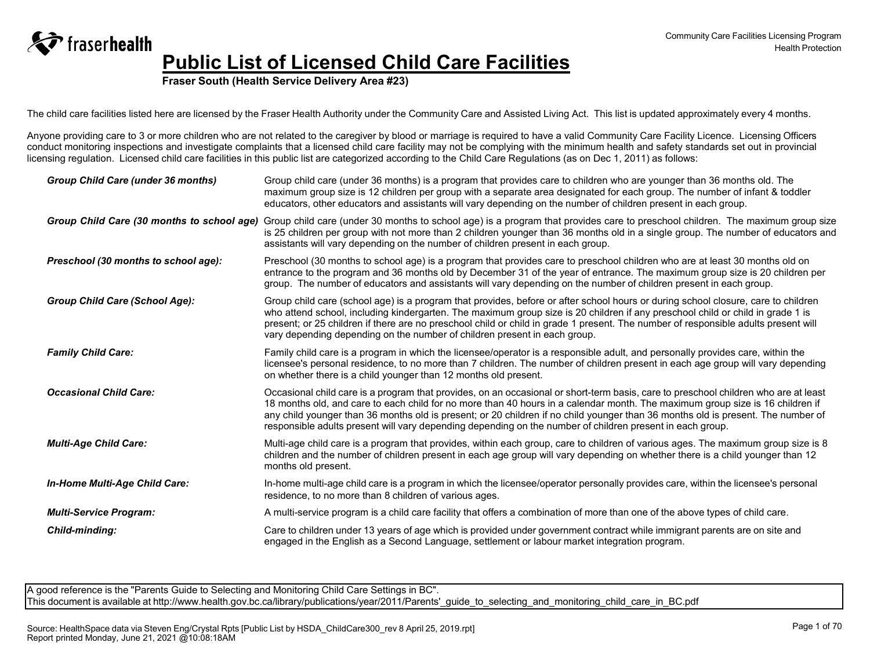**Fraser South (Health Service Delivery Area #23)**

The child care facilities listed here are licensed by the Fraser Health Authority under the Community Care and Assisted Living Act. This list is updated approximately every 4 months.

Anyone providing care to 3 or more children who are not related to the caregiver by blood or marriage is required to have a valid Community Care Facility Licence. Licensing Officers conduct monitoring inspections and investigate complaints that a licensed child care facility may not be complying with the minimum health and safety standards set out in provincial licensing regulation. Licensed child care facilities in this public list are categorized according to the Child Care Regulations (as on Dec 1, 2011) as follows:

| Group Child Care (under 36 months)         | Group child care (under 36 months) is a program that provides care to children who are younger than 36 months old. The<br>maximum group size is 12 children per group with a separate area designated for each group. The number of infant & toddler<br>educators, other educators and assistants will vary depending on the number of children present in each group.                                                                                                                                                |
|--------------------------------------------|-----------------------------------------------------------------------------------------------------------------------------------------------------------------------------------------------------------------------------------------------------------------------------------------------------------------------------------------------------------------------------------------------------------------------------------------------------------------------------------------------------------------------|
| Group Child Care (30 months to school age) | Group child care (under 30 months to school age) is a program that provides care to preschool children. The maximum group size<br>is 25 children per group with not more than 2 children younger than 36 months old in a single group. The number of educators and<br>assistants will vary depending on the number of children present in each group.                                                                                                                                                                 |
| Preschool (30 months to school age):       | Preschool (30 months to school age) is a program that provides care to preschool children who are at least 30 months old on<br>entrance to the program and 36 months old by December 31 of the year of entrance. The maximum group size is 20 children per<br>group. The number of educators and assistants will vary depending on the number of children present in each group.                                                                                                                                      |
| <b>Group Child Care (School Age):</b>      | Group child care (school age) is a program that provides, before or after school hours or during school closure, care to children<br>who attend school, including kindergarten. The maximum group size is 20 children if any preschool child or child in grade 1 is<br>present; or 25 children if there are no preschool child or child in grade 1 present. The number of responsible adults present will<br>vary depending depending on the number of children present in each group.                                |
| <b>Family Child Care:</b>                  | Family child care is a program in which the licensee/operator is a responsible adult, and personally provides care, within the<br>licensee's personal residence, to no more than 7 children. The number of children present in each age group will vary depending<br>on whether there is a child younger than 12 months old present.                                                                                                                                                                                  |
| <b>Occasional Child Care:</b>              | Occasional child care is a program that provides, on an occasional or short-term basis, care to preschool children who are at least<br>18 months old, and care to each child for no more than 40 hours in a calendar month. The maximum group size is 16 children if<br>any child younger than 36 months old is present; or 20 children if no child younger than 36 months old is present. The number of<br>responsible adults present will vary depending depending on the number of children present in each group. |
| <b>Multi-Age Child Care:</b>               | Multi-age child care is a program that provides, within each group, care to children of various ages. The maximum group size is 8<br>children and the number of children present in each age group will vary depending on whether there is a child younger than 12<br>months old present.                                                                                                                                                                                                                             |
| In-Home Multi-Age Child Care:              | In-home multi-age child care is a program in which the licensee/operator personally provides care, within the licensee's personal<br>residence, to no more than 8 children of various ages.                                                                                                                                                                                                                                                                                                                           |
| <b>Multi-Service Program:</b>              | A multi-service program is a child care facility that offers a combination of more than one of the above types of child care.                                                                                                                                                                                                                                                                                                                                                                                         |
| Child-minding:                             | Care to children under 13 years of age which is provided under government contract while immigrant parents are on site and<br>engaged in the English as a Second Language, settlement or labour market integration program.                                                                                                                                                                                                                                                                                           |

A good reference is the "Parents Guide to Selecting and Monitoring Child Care Settings in BC". This document is available at http://www.health.gov.bc.ca/library/publications/year/2011/Parents' quide\_to\_selecting\_and\_monitoring\_child\_care\_in\_BC.pdf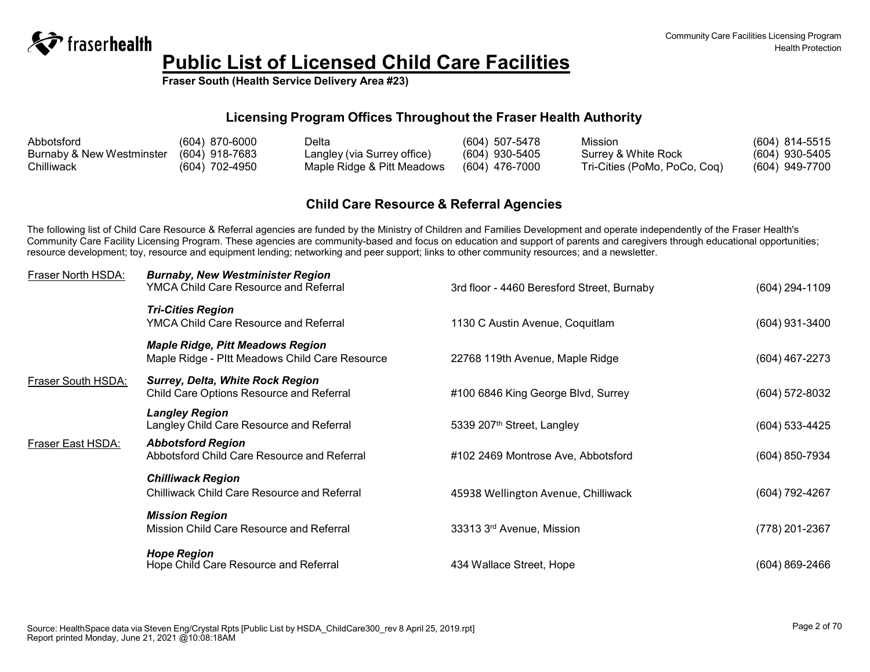

**Fraser South (Health Service Delivery Area #23)**

#### **Licensing Program Offices Throughout the Fraser Health Authority**

| Abbotsford                | $(604)$ 870-6000 | Delta                       | $(604)$ 507-5478 | Mission                      | (604) 814-5515   |
|---------------------------|------------------|-----------------------------|------------------|------------------------------|------------------|
| Burnaby & New Westminster | (604) 918-7683   | Langley (via Surrey office) | $(604)$ 930-5405 | Surrey & White Rock          | $(604)$ 930-5405 |
| Chilliwack                | (604) 702-4950   | Maple Ridge & Pitt Meadows  | $(604)$ 476-7000 | Tri-Cities (PoMo, PoCo, Coq) | (604) 949-7700   |

#### **Child Care Resource & Referral Agencies**

The following list of Child Care Resource & Referral agencies are funded by the Ministry of Children and Families Development and operate independently of the Fraser Health's Community Care Facility Licensing Program. These agencies are community-based and focus on education and support of parents and caregivers through educational opportunities; resource development; toy, resource and equipment lending; networking and peer support; links to other community resources; and a newsletter.

| Fraser North HSDA: | <b>Burnaby, New Westminister Region</b><br><b>YMCA Child Care Resource and Referral</b>   | 3rd floor - 4460 Beresford Street, Burnaby | (604) 294-1109     |
|--------------------|-------------------------------------------------------------------------------------------|--------------------------------------------|--------------------|
|                    | <b>Tri-Cities Region</b><br><b>YMCA Child Care Resource and Referral</b>                  | 1130 C Austin Avenue, Coquitlam            | (604) 931-3400     |
|                    | <b>Maple Ridge, Pitt Meadows Region</b><br>Maple Ridge - Pltt Meadows Child Care Resource | 22768 119th Avenue, Maple Ridge            | (604) 467-2273     |
| Fraser South HSDA: | <b>Surrey, Delta, White Rock Region</b><br>Child Care Options Resource and Referral       | #100 6846 King George Blvd, Surrey         | (604) 572-8032     |
|                    | <b>Langley Region</b><br>Langley Child Care Resource and Referral                         | 5339 207 <sup>th</sup> Street, Langley     | (604) 533-4425     |
| Fraser East HSDA:  | <b>Abbotsford Region</b><br>Abbotsford Child Care Resource and Referral                   | #102 2469 Montrose Ave, Abbotsford         | (604) 850-7934     |
|                    | <b>Chilliwack Region</b><br><b>Chilliwack Child Care Resource and Referral</b>            | 45938 Wellington Avenue, Chilliwack        | (604) 792-4267     |
|                    | <b>Mission Region</b><br>Mission Child Care Resource and Referral                         | 33313 3rd Avenue, Mission                  | (778) 201-2367     |
|                    | <b>Hope Region</b><br>Hope Child Care Resource and Referral                               | 434 Wallace Street, Hope                   | $(604) 869 - 2466$ |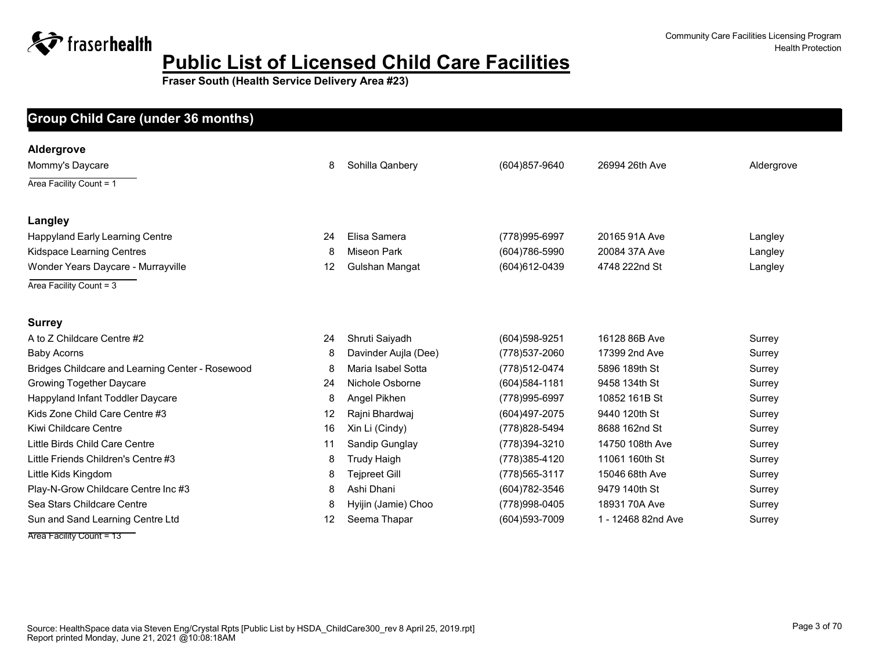**Fraser South (Health Service Delivery Area #23)**

#### **Facility Name Max Capacity at One Time Manager Phone Address Group Child Care (under 36 months)**

| Aldergrove                                       |    |                      |                  |                    |            |
|--------------------------------------------------|----|----------------------|------------------|--------------------|------------|
| Mommy's Daycare                                  | 8  | Sohilla Qanbery      | (604) 857-9640   | 26994 26th Ave     | Aldergrove |
| Area Facility Count = 1                          |    |                      |                  |                    |            |
| Langley                                          |    |                      |                  |                    |            |
| <b>Happyland Early Learning Centre</b>           | 24 | Elisa Samera         | (778)995-6997    | 20165 91A Ave      | Langley    |
| Kidspace Learning Centres                        | 8  | <b>Miseon Park</b>   | (604) 786-5990   | 20084 37A Ave      | Langley    |
| Wonder Years Daycare - Murrayville               | 12 | Gulshan Mangat       | (604) 612-0439   | 4748 222nd St      | Langley    |
| Area Facility Count = 3                          |    |                      |                  |                    |            |
| <b>Surrey</b>                                    |    |                      |                  |                    |            |
| A to Z Childcare Centre #2                       | 24 | Shruti Saiyadh       | $(604)598-9251$  | 16128 86B Ave      | Surrey     |
| <b>Baby Acorns</b>                               | 8  | Davinder Aujla (Dee) | (778) 537-2060   | 17399 2nd Ave      | Surrey     |
| Bridges Childcare and Learning Center - Rosewood | 8  | Maria Isabel Sotta   | (778) 512-0474   | 5896 189th St      | Surrey     |
| Growing Together Daycare                         | 24 | Nichole Osborne      | $(604)$ 584-1181 | 9458 134th St      | Surrey     |
| Happyland Infant Toddler Daycare                 | 8  | Angel Pikhen         | (778)995-6997    | 10852 161B St      | Surrey     |
| Kids Zone Child Care Centre #3                   | 12 | Rajni Bhardwaj       | (604) 497-2075   | 9440 120th St      | Surrey     |
| Kiwi Childcare Centre                            | 16 | Xin Li (Cindy)       | (778) 828-5494   | 8688 162nd St      | Surrey     |
| Little Birds Child Care Centre                   | 11 | Sandip Gunglay       | (778) 394-3210   | 14750 108th Ave    | Surrey     |
| Little Friends Children's Centre #3              | 8  | <b>Trudy Haigh</b>   | (778) 385-4120   | 11061 160th St     | Surrey     |
| Little Kids Kingdom                              | 8  | <b>Teipreet Gill</b> | (778) 565-3117   | 15046 68th Ave     | Surrey     |
| Play-N-Grow Childcare Centre Inc #3              | 8  | Ashi Dhani           | (604) 782-3546   | 9479 140th St      | Surrey     |
| Sea Stars Childcare Centre                       | 8  | Hyijin (Jamie) Choo  | (778) 998-0405   | 18931 70A Ave      | Surrey     |
| Sun and Sand Learning Centre Ltd                 | 12 | Seema Thapar         | (604) 593-7009   | 1 - 12468 82nd Ave | Surrey     |

Area Facility Count = 13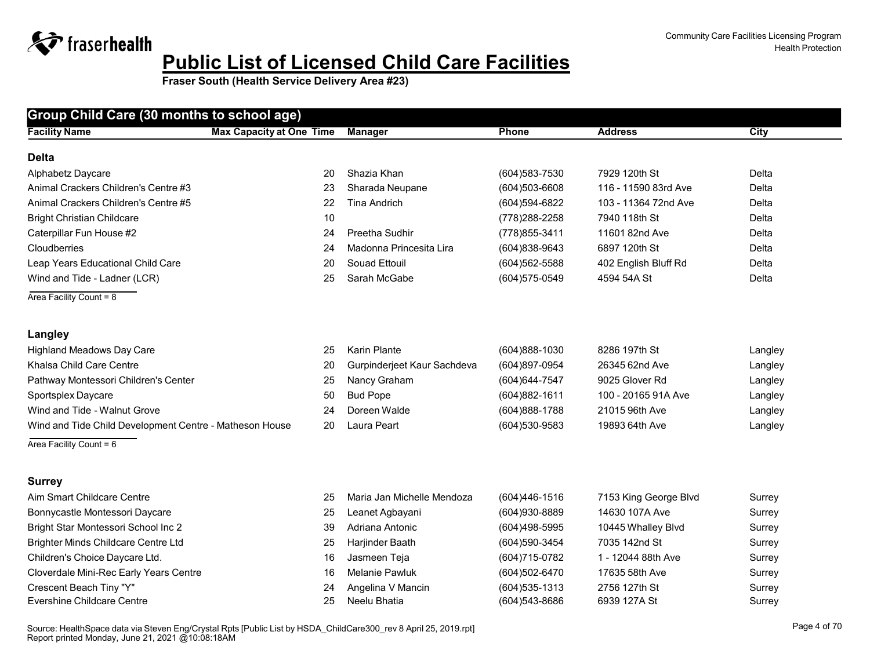| <b>Facility Name</b>                                    | <b>Max Capacity at One Time</b> | <b>Manager</b>              | Phone             | <b>Address</b>        | <b>City</b> |
|---------------------------------------------------------|---------------------------------|-----------------------------|-------------------|-----------------------|-------------|
|                                                         |                                 |                             |                   |                       |             |
| <b>Delta</b>                                            |                                 |                             |                   |                       |             |
| Alphabetz Daycare                                       | 20                              | Shazia Khan                 | $(604)583 - 7530$ | 7929 120th St         | Delta       |
| Animal Crackers Children's Centre #3                    | 23                              | Sharada Neupane             | (604)503-6608     | 116 - 11590 83rd Ave  | Delta       |
| Animal Crackers Children's Centre #5                    | 22                              | <b>Tina Andrich</b>         | (604) 594-6822    | 103 - 11364 72nd Ave  | Delta       |
| <b>Bright Christian Childcare</b>                       | 10                              |                             | (778) 288-2258    | 7940 118th St         | Delta       |
| Caterpillar Fun House #2                                | 24                              | Preetha Sudhir              | (778) 855-3411    | 11601 82nd Ave        | Delta       |
| Cloudberries                                            | 24                              | Madonna Princesita Lira     | $(604)838-9643$   | 6897 120th St         | Delta       |
| Leap Years Educational Child Care                       | 20                              | Souad Ettouil               | (604) 562-5588    | 402 English Bluff Rd  | Delta       |
| Wind and Tide - Ladner (LCR)                            | 25                              | Sarah McGabe                | (604) 575-0549    | 4594 54A St           | Delta       |
| Area Facility Count = $8$                               |                                 |                             |                   |                       |             |
|                                                         |                                 |                             |                   |                       |             |
| Langley                                                 |                                 |                             |                   |                       |             |
| <b>Highland Meadows Day Care</b>                        | 25                              | <b>Karin Plante</b>         | (604)888-1030     | 8286 197th St         | Langley     |
| Khalsa Child Care Centre                                | 20                              | Gurpinderjeet Kaur Sachdeva | (604)897-0954     | 26345 62nd Ave        | Langley     |
| Pathway Montessori Children's Center                    | 25                              | Nancy Graham                | (604) 644-7547    | 9025 Glover Rd        | Langley     |
| Sportsplex Daycare                                      | 50                              | <b>Bud Pope</b>             | (604) 882-1611    | 100 - 20165 91A Ave   | Langley     |
| Wind and Tide - Walnut Grove                            | 24                              | Doreen Walde                | (604) 888-1788    | 21015 96th Ave        | Langley     |
| Wind and Tide Child Development Centre - Matheson House | 20                              | Laura Peart                 | (604) 530-9583    | 19893 64th Ave        | Langley     |
| Area Facility Count = $6$                               |                                 |                             |                   |                       |             |
|                                                         |                                 |                             |                   |                       |             |
| <b>Surrey</b>                                           |                                 |                             |                   |                       |             |
| Aim Smart Childcare Centre                              | 25                              | Maria Jan Michelle Mendoza  | (604)446-1516     | 7153 King George Blvd | Surrey      |
| Bonnycastle Montessori Daycare                          | 25                              | Leanet Agbayani             | (604)930-8889     | 14630 107A Ave        | Surrey      |
| Bright Star Montessori School Inc 2                     | 39                              | Adriana Antonic             | (604)498-5995     | 10445 Whalley Blvd    | Surrey      |
| <b>Brighter Minds Childcare Centre Ltd</b>              | 25                              | Harjinder Baath             | (604)590-3454     | 7035 142nd St         | Surrey      |
| Children's Choice Daycare Ltd.                          | 16                              | Jasmeen Teja                | (604) 715-0782    | 1 - 12044 88th Ave    | Surrey      |
| Cloverdale Mini-Rec Early Years Centre                  | 16                              | <b>Melanie Pawluk</b>       | $(604)502 - 6470$ | 17635 58th Ave        | Surrey      |
| Crescent Beach Tiny "Y"                                 | 24                              | Angelina V Mancin           | (604) 535-1313    | 2756 127th St         | Surrey      |
| Evershine Childcare Centre                              | 25                              | Neelu Bhatia                | (604) 543-8686    | 6939 127A St          | Surrey      |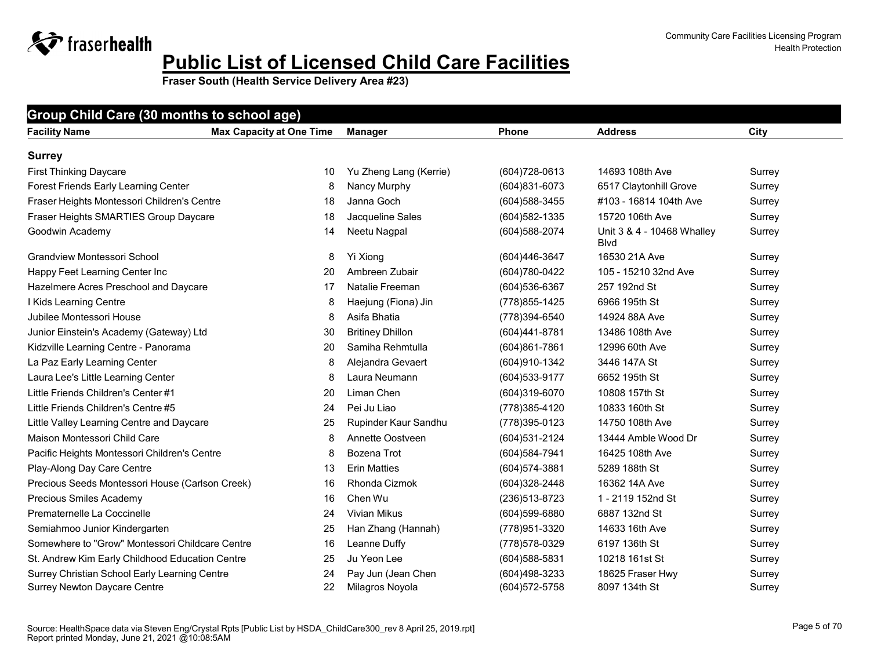| Group Child Care (30 months to school age)                                           |                                 |                                       |                                 |                                    |                  |  |  |  |
|--------------------------------------------------------------------------------------|---------------------------------|---------------------------------------|---------------------------------|------------------------------------|------------------|--|--|--|
| <b>Facility Name</b>                                                                 | <b>Max Capacity at One Time</b> | <b>Manager</b>                        | Phone                           | <b>Address</b>                     | City             |  |  |  |
| <b>Surrey</b>                                                                        |                                 |                                       |                                 |                                    |                  |  |  |  |
| <b>First Thinking Daycare</b>                                                        | 10                              | Yu Zheng Lang (Kerrie)                | $(604)728-0613$                 | 14693 108th Ave                    | Surrey           |  |  |  |
| Forest Friends Early Learning Center                                                 | 8                               | Nancy Murphy                          | (604)831-6073                   | 6517 Claytonhill Grove             | Surrey           |  |  |  |
| Fraser Heights Montessori Children's Centre                                          | 18                              | Janna Goch                            | (604) 588-3455                  | #103 - 16814 104th Ave             | Surrey           |  |  |  |
| Fraser Heights SMARTIES Group Daycare                                                | 18                              | Jacqueline Sales                      | (604) 582-1335                  | 15720 106th Ave                    | Surrey           |  |  |  |
| Goodwin Academy                                                                      | 14                              | Neetu Nagpal                          | (604) 588-2074                  | Unit 3 & 4 - 10468 Whalley<br>Blvd | Surrey           |  |  |  |
| Grandview Montessori School                                                          | 8                               | Yi Xiong                              | (604)446-3647                   | 16530 21A Ave                      | Surrey           |  |  |  |
| Happy Feet Learning Center Inc                                                       | 20                              | Ambreen Zubair                        | (604) 780-0422                  | 105 - 15210 32nd Ave               | Surrey           |  |  |  |
| Hazelmere Acres Preschool and Daycare                                                | 17                              | Natalie Freeman                       | (604) 536-6367                  | 257 192nd St                       | Surrey           |  |  |  |
| I Kids Learning Centre                                                               | 8                               | Haejung (Fiona) Jin                   | (778) 855-1425                  | 6966 195th St                      | Surrey           |  |  |  |
| Jubilee Montessori House                                                             | 8                               | Asifa Bhatia                          | (778)394-6540                   | 14924 88A Ave                      | Surrey           |  |  |  |
| Junior Einstein's Academy (Gateway) Ltd                                              | 30                              | <b>Britiney Dhillon</b>               | (604)441-8781                   | 13486 108th Ave                    | Surrey           |  |  |  |
| Kidzville Learning Centre - Panorama                                                 | 20                              | Samiha Rehmtulla                      | $(604)861 - 7861$               | 12996 60th Ave                     | Surrey           |  |  |  |
| La Paz Early Learning Center                                                         | 8                               | Alejandra Gevaert                     | (604) 910-1342                  | 3446 147A St                       | Surrey           |  |  |  |
| Laura Lee's Little Learning Center                                                   | 8                               | Laura Neumann                         | (604) 533-9177                  | 6652 195th St                      | Surrey           |  |  |  |
| Little Friends Children's Center #1                                                  | 20                              | Liman Chen                            | (604)319-6070                   | 10808 157th St                     | Surrey           |  |  |  |
| Little Friends Children's Centre #5                                                  | 24                              | Pei Ju Liao                           | (778) 385-4120                  | 10833 160th St                     | Surrey           |  |  |  |
| Little Valley Learning Centre and Daycare                                            | 25                              | Rupinder Kaur Sandhu                  | (778) 395-0123                  | 14750 108th Ave                    | Surrey           |  |  |  |
| Maison Montessori Child Care                                                         | 8                               | Annette Oostveen                      | (604) 531-2124                  | 13444 Amble Wood Dr                | Surrey           |  |  |  |
| Pacific Heights Montessori Children's Centre                                         | 8                               | Bozena Trot                           | (604) 584-7941                  | 16425 108th Ave                    | Surrey           |  |  |  |
| Play-Along Day Care Centre                                                           | 13                              | <b>Erin Matties</b>                   | (604) 574-3881                  | 5289 188th St                      | Surrey           |  |  |  |
| Precious Seeds Montessori House (Carlson Creek)                                      | 16                              | Rhonda Cizmok                         | (604) 328-2448                  | 16362 14A Ave                      | Surrey           |  |  |  |
| Precious Smiles Academy                                                              | 16                              | Chen Wu                               | (236) 513-8723                  | 1 - 2119 152nd St                  | Surrey           |  |  |  |
| Prematernelle La Coccinelle                                                          | 24                              | <b>Vivian Mikus</b>                   | $(604)599-6880$                 | 6887 132nd St                      | Surrey           |  |  |  |
| Semiahmoo Junior Kindergarten                                                        | 25                              | Han Zhang (Hannah)                    | (778) 951-3320                  | 14633 16th Ave                     | Surrey           |  |  |  |
| Somewhere to "Grow" Montessori Childcare Centre                                      | 16                              | Leanne Duffy                          | (778) 578-0329                  | 6197 136th St                      | Surrey           |  |  |  |
| St. Andrew Kim Early Childhood Education Centre                                      | 25                              | Ju Yeon Lee                           | $(604)$ 588-5831                | 10218 161st St                     | Surrey           |  |  |  |
| Surrey Christian School Early Learning Centre<br><b>Surrey Newton Daycare Centre</b> | 24<br>22                        | Pay Jun (Jean Chen<br>Milagros Noyola | (604)498-3233<br>(604) 572-5758 | 18625 Fraser Hwy<br>8097 134th St  | Surrey<br>Surrey |  |  |  |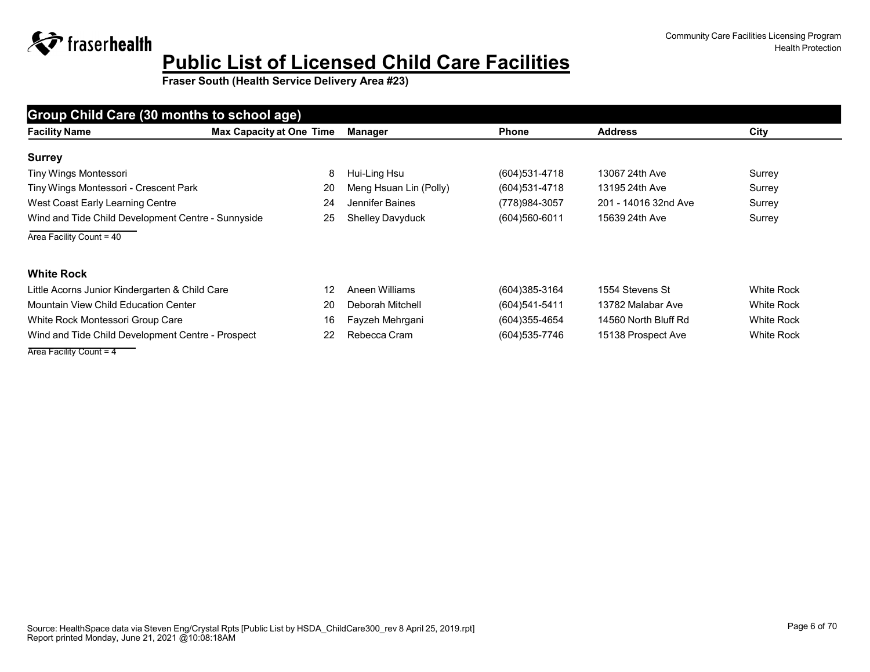**Fraser South (Health Service Delivery Area #23)**

| Group Child Care (30 months to school age)         |                                 |                        |                   |                      |                   |  |  |  |
|----------------------------------------------------|---------------------------------|------------------------|-------------------|----------------------|-------------------|--|--|--|
| <b>Facility Name</b>                               | <b>Max Capacity at One Time</b> | Manager                | <b>Phone</b>      | <b>Address</b>       | City              |  |  |  |
| <b>Surrey</b>                                      |                                 |                        |                   |                      |                   |  |  |  |
| Tiny Wings Montessori                              | 8                               | Hui-Ling Hsu           | $(604)$ 531-4718  | 13067 24th Ave       | Surrey            |  |  |  |
| Tiny Wings Montessori - Crescent Park              | 20                              | Meng Hsuan Lin (Polly) | $(604)531 - 4718$ | 13195 24th Ave       | Surrey            |  |  |  |
| West Coast Early Learning Centre                   | 24                              | Jennifer Baines        | (778) 984-3057    | 201 - 14016 32nd Ave | Surrey            |  |  |  |
| Wind and Tide Child Development Centre - Sunnyside | 25                              | Shelley Davyduck       | $(604)560-6011$   | 15639 24th Ave       | Surrey            |  |  |  |
| Area Facility Count = 40                           |                                 |                        |                   |                      |                   |  |  |  |
| <b>White Rock</b>                                  |                                 |                        |                   |                      |                   |  |  |  |
|                                                    |                                 |                        |                   |                      |                   |  |  |  |
| Little Acorns Junior Kindergarten & Child Care     | 12                              | Aneen Williams         | (604)385-3164     | 1554 Stevens St      | <b>White Rock</b> |  |  |  |
| Mountain View Child Education Center               | 20                              | Deborah Mitchell       | $(604)541 - 5411$ | 13782 Malabar Ave    | <b>White Rock</b> |  |  |  |
| White Rock Montessori Group Care                   | 16                              | Fayzeh Mehrgani        | (604) 355-4654    | 14560 North Bluff Rd | <b>White Rock</b> |  |  |  |
| Wind and Tide Child Development Centre - Prospect  | 22                              | Rebecca Cram           | (604) 535-7746    | 15138 Prospect Ave   | <b>White Rock</b> |  |  |  |

Area Facility Count = 4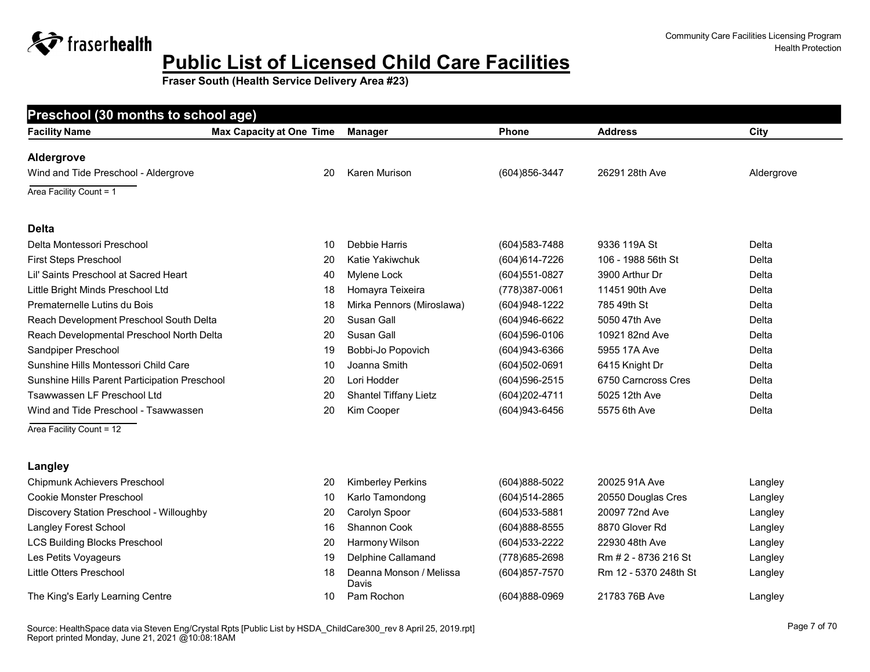**Fraser South (Health Service Delivery Area #23)**

| Preschool (30 months to school age)           |                                 |                              |                   |                     |            |
|-----------------------------------------------|---------------------------------|------------------------------|-------------------|---------------------|------------|
| <b>Facility Name</b>                          | <b>Max Capacity at One Time</b> | <b>Manager</b>               | <b>Phone</b>      | <b>Address</b>      | City       |
| Aldergrove                                    |                                 |                              |                   |                     |            |
| Wind and Tide Preschool - Aldergrove          | 20                              | Karen Murison                | (604) 856-3447    | 26291 28th Ave      | Aldergrove |
| Area Facility Count = 1                       |                                 |                              |                   |                     |            |
| <b>Delta</b>                                  |                                 |                              |                   |                     |            |
| Delta Montessori Preschool                    | 10                              | Debbie Harris                | $(604)583 - 7488$ | 9336 119A St        | Delta      |
| First Steps Preschool                         | 20                              | Katie Yakiwchuk              | (604) 614-7226    | 106 - 1988 56th St  | Delta      |
| Lil' Saints Preschool at Sacred Heart         | 40                              | Mylene Lock                  | (604) 551-0827    | 3900 Arthur Dr      | Delta      |
| Little Bright Minds Preschool Ltd             | 18                              | Homayra Teixeira             | (778)387-0061     | 11451 90th Ave      | Delta      |
| Prematernelle Lutins du Bois                  | 18                              | Mirka Pennors (Miroslawa)    | (604) 948-1222    | 785 49th St         | Delta      |
| Reach Development Preschool South Delta       | 20                              | Susan Gall                   | $(604)946-6622$   | 5050 47th Ave       | Delta      |
| Reach Developmental Preschool North Delta     | 20                              | Susan Gall                   | $(604)596 - 0106$ | 10921 82nd Ave      | Delta      |
| Sandpiper Preschool                           | 19                              | Bobbi-Jo Popovich            | (604) 943-6366    | 5955 17A Ave        | Delta      |
| Sunshine Hills Montessori Child Care          | 10                              | Joanna Smith                 | $(604)502-0691$   | 6415 Knight Dr      | Delta      |
| Sunshine Hills Parent Participation Preschool | 20                              | Lori Hodder                  | $(604)596 - 2515$ | 6750 Carncross Cres | Delta      |
| Tsawwassen LF Preschool Ltd                   | 20                              | <b>Shantel Tiffany Lietz</b> | (604) 202-4711    | 5025 12th Ave       | Delta      |
| Wind and Tide Preschool - Tsawwassen          | 20                              | Kim Cooper                   | (604) 943-6456    | 5575 6th Ave        | Delta      |
| Area Facility Count = 12                      |                                 |                              |                   |                     |            |
| Langley                                       |                                 |                              |                   |                     |            |
| Chipmunk Achievers Preschool                  | 20                              | <b>Kimberley Perkins</b>     | (604) 888-5022    | 20025 91A Ave       | Langley    |
| <b>Cookie Monster Preschool</b>               | 10                              | Karlo Tamondong              | $(604)514 - 2865$ | 20550 Douglas Cres  | Langley    |
| Discovery Station Preschool - Willoughby      | 20                              | Carolyn Spoor                | $(604)$ 533-5881  | 20097 72nd Ave      | Langley    |
| <b>Langley Forest School</b>                  | 16                              | <b>Shannon Cook</b>          | (604)888-8555     | 8870 Glover Rd      | Langley    |

LCS Building Blocks Preschool 20 Harmony Wilson (604)533-2222 22930 48th Ave Langley

Les Petits Voyageurs 19 Delphine Callamand (778)685-2698 Rm # 2 - 8736 216 St Langley

Little Otters Preschool 18 Deanna Monson / Melissa

The King's Early Learning Centre 10 Pam Rochon 10 Pam Rochon (604)888-0969 21783 76B Ave Langley

Davis

(604)857-7570 Rm 12 - 5370 248th St Langley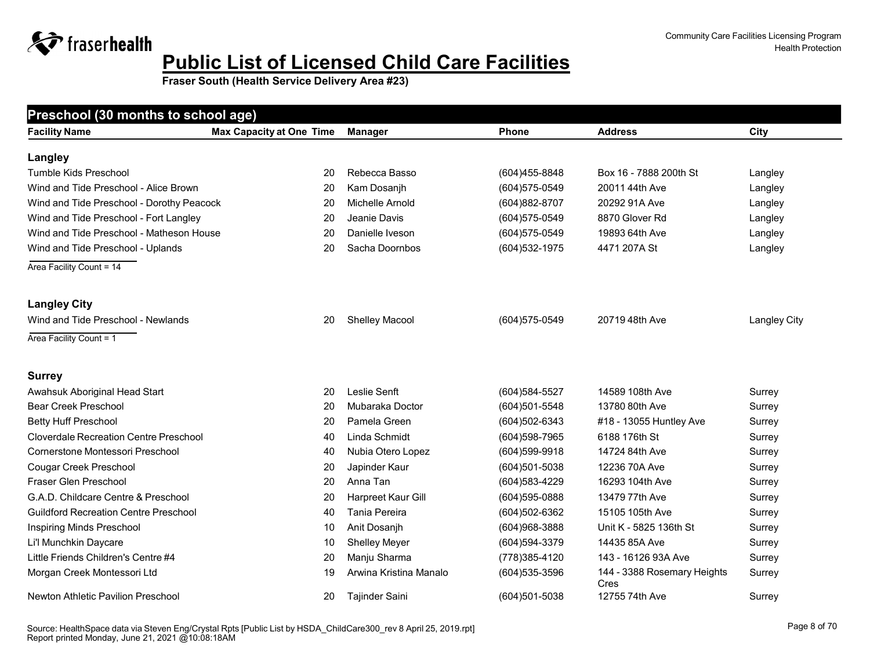**Fraser South (Health Service Delivery Area #23)**

| Preschool (30 months to school age)           |                                 |                        |                  |                                     |              |  |  |  |
|-----------------------------------------------|---------------------------------|------------------------|------------------|-------------------------------------|--------------|--|--|--|
| <b>Facility Name</b>                          | <b>Max Capacity at One Time</b> | <b>Manager</b>         | <b>Phone</b>     | <b>Address</b>                      | City         |  |  |  |
| Langley                                       |                                 |                        |                  |                                     |              |  |  |  |
| Tumble Kids Preschool                         | 20                              | Rebecca Basso          | (604) 455-8848   | Box 16 - 7888 200th St              | Langley      |  |  |  |
| Wind and Tide Preschool - Alice Brown         | 20                              | Kam Dosanjh            | (604) 575-0549   | 20011 44th Ave                      | Langley      |  |  |  |
| Wind and Tide Preschool - Dorothy Peacock     | 20                              | Michelle Arnold        | (604) 882-8707   | 20292 91A Ave                       | Langley      |  |  |  |
| Wind and Tide Preschool - Fort Langley        | 20                              | Jeanie Davis           | (604) 575-0549   | 8870 Glover Rd                      | Langley      |  |  |  |
| Wind and Tide Preschool - Matheson House      | 20                              | Danielle Iveson        | (604) 575-0549   | 19893 64th Ave                      | Langley      |  |  |  |
| Wind and Tide Preschool - Uplands             | 20                              | Sacha Doornbos         | (604) 532-1975   | 4471 207A St                        | Langley      |  |  |  |
| Area Facility Count = 14                      |                                 |                        |                  |                                     |              |  |  |  |
| <b>Langley City</b>                           |                                 |                        |                  |                                     |              |  |  |  |
| Wind and Tide Preschool - Newlands            | 20                              | Shelley Macool         | (604) 575-0549   | 20719 48th Ave                      | Langley City |  |  |  |
| Area Facility Count = 1                       |                                 |                        |                  |                                     |              |  |  |  |
| <b>Surrey</b>                                 |                                 |                        |                  |                                     |              |  |  |  |
| Awahsuk Aboriginal Head Start                 | 20                              | Leslie Senft           | (604) 584-5527   | 14589 108th Ave                     | Surrey       |  |  |  |
| <b>Bear Creek Preschool</b>                   | 20                              | Mubaraka Doctor        | (604)501-5548    | 13780 80th Ave                      | Surrey       |  |  |  |
| <b>Betty Huff Preschool</b>                   | 20                              | Pamela Green           | (604)502-6343    | #18 - 13055 Huntley Ave             | Surrey       |  |  |  |
| <b>Cloverdale Recreation Centre Preschool</b> | 40                              | Linda Schmidt          | (604) 598-7965   | 6188 176th St                       | Surrey       |  |  |  |
| Cornerstone Montessori Preschool              | 40                              | Nubia Otero Lopez      | $(604)599-9918$  | 14724 84th Ave                      | Surrey       |  |  |  |
| Cougar Creek Preschool                        | 20                              | Japinder Kaur          | (604)501-5038    | 12236 70A Ave                       | Surrey       |  |  |  |
| Fraser Glen Preschool                         | 20                              | Anna Tan               | (604) 583-4229   | 16293 104th Ave                     | Surrey       |  |  |  |
| G.A.D. Childcare Centre & Preschool           | 20                              | Harpreet Kaur Gill     | (604) 595-0888   | 13479 77th Ave                      | Surrey       |  |  |  |
| <b>Guildford Recreation Centre Preschool</b>  | 40                              | Tania Pereira          | (604)502-6362    | 15105 105th Ave                     | Surrey       |  |  |  |
| Inspiring Minds Preschool                     | 10                              | Anit Dosanjh           | (604) 968-3888   | Unit K - 5825 136th St              | Surrey       |  |  |  |
| Li'l Munchkin Daycare                         | 10                              | <b>Shelley Meyer</b>   | (604) 594-3379   | 14435 85A Ave                       | Surrey       |  |  |  |
| Little Friends Children's Centre #4           | 20                              | Manju Sharma           | (778) 385-4120   | 143 - 16126 93A Ave                 | Surrey       |  |  |  |
| Morgan Creek Montessori Ltd                   | 19                              | Arwina Kristina Manalo | $(604)$ 535-3596 | 144 - 3388 Rosemary Heights<br>Cres | Surrey       |  |  |  |
| <b>Newton Athletic Pavilion Preschool</b>     | 20                              | <b>Tajinder Saini</b>  | (604)501-5038    | 12755 74th Ave                      | Surrey       |  |  |  |

#### Source: HealthSpace Page 8 of 70 data via Steven Eng/Crystal Rpts [Public List by HSDA\_ChildCare300\_rev 8 April 25, 2019.rpt] Report printed Monday, June 21, 2021 @10:08:18AM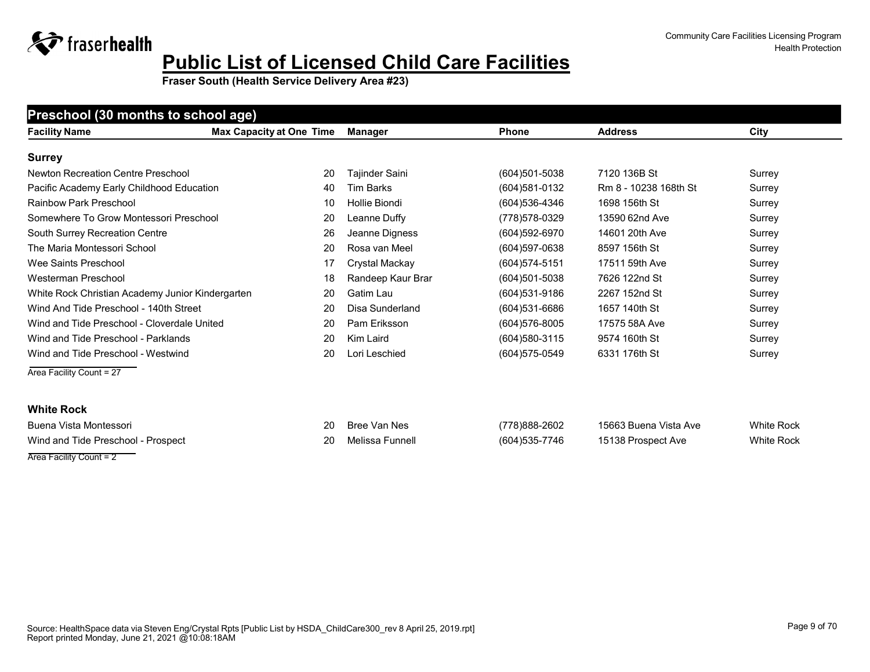**Fraser South (Health Service Delivery Area #23)**

#### **Preschool (30 months to school age)**

| <b>Facility Name</b>                             | <b>Max Capacity at One Time</b> | Manager           | <b>Phone</b>      | <b>Address</b>        | City   |
|--------------------------------------------------|---------------------------------|-------------------|-------------------|-----------------------|--------|
| <b>Surrey</b>                                    |                                 |                   |                   |                       |        |
| Newton Recreation Centre Preschool               | 20                              | Tajinder Saini    | $(604)501 - 5038$ | 7120 136B St          | Surrey |
| Pacific Academy Early Childhood Education        | 40                              | Tim Barks         | (604) 581-0132    | Rm 8 - 10238 168th St | Surrey |
| Rainbow Park Preschool                           | 10                              | Hollie Biondi     | (604) 536-4346    | 1698 156th St         | Surrey |
| Somewhere To Grow Montessori Preschool           | 20                              | Leanne Duffy      | (778)578-0329     | 13590 62nd Ave        | Surrey |
| South Surrey Recreation Centre                   | 26                              | Jeanne Digness    | (604) 592-6970    | 14601 20th Ave        | Surrey |
| The Maria Montessori School                      | 20                              | Rosa van Meel     | $(604)597-0638$   | 8597 156th St         | Surrey |
| Wee Saints Preschool                             | 17                              | Crystal Mackay    | $(604)574 - 5151$ | 17511 59th Ave        | Surrey |
| Westerman Preschool                              | 18                              | Randeep Kaur Brar | $(604)501 - 5038$ | 7626 122nd St         | Surrey |
| White Rock Christian Academy Junior Kindergarten | 20                              | Gatim Lau         | (604) 531-9186    | 2267 152nd St         | Surrey |
| Wind And Tide Preschool - 140th Street           | 20                              | Disa Sunderland   | (604) 531-6686    | 1657 140th St         | Surrey |
| Wind and Tide Preschool - Cloverdale United      | 20                              | Pam Eriksson      | $(604)576 - 8005$ | 17575 58A Ave         | Surrey |
| Wind and Tide Preschool - Parklands              | 20                              | Kim Laird         | $(604)$ 580-3115  | 9574 160th St         | Surrey |
| Wind and Tide Preschool - Westwind               | 20                              | Lori Leschied     | (604) 575-0549    | 6331 176th St         | Surrey |
| Area Facility Count = 27                         |                                 |                   |                   |                       |        |
|                                                  |                                 |                   |                   |                       |        |

#### **White Rock**

| Buena Vista Montessori             | 20 | Bree Van Nes    | (778)888-2602  | 15663 Buena Vista Ave | <b>White Rock</b> |
|------------------------------------|----|-----------------|----------------|-----------------------|-------------------|
| Wind and Tide Preschool - Prospect |    | Melissa Funnell | (604) 535-7746 | 15138 Prospect Ave    | <b>White Rock</b> |
| Area Facility Count = 2            |    |                 |                |                       |                   |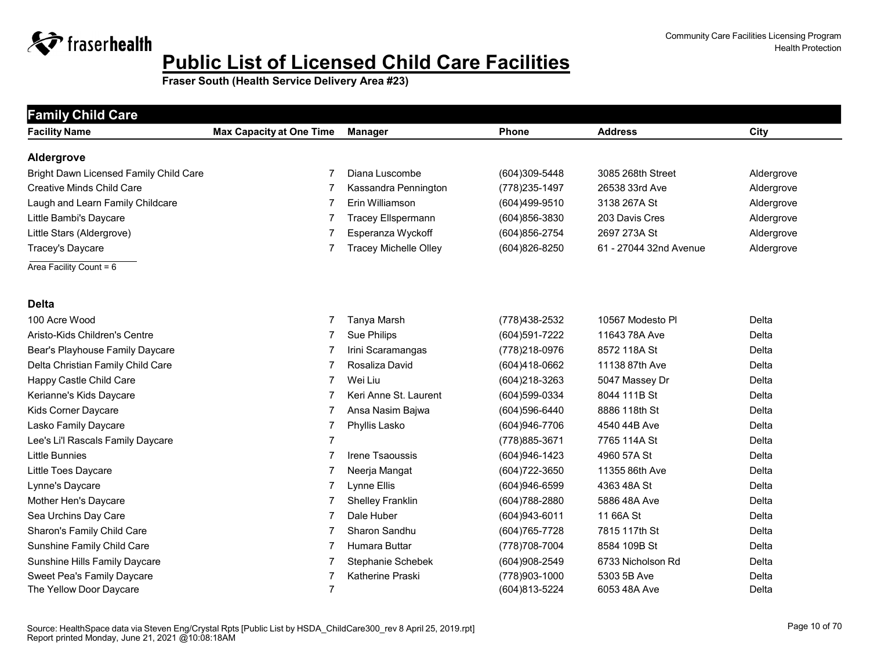

| <b>Family Child Care</b><br><b>Facility Name</b> | <b>Max Capacity at One Time</b> | <b>Manager</b>               | Phone          | <b>Address</b>         | City         |
|--------------------------------------------------|---------------------------------|------------------------------|----------------|------------------------|--------------|
|                                                  |                                 |                              |                |                        |              |
| Aldergrove                                       |                                 |                              |                |                        |              |
| Bright Dawn Licensed Family Child Care           | 7                               | Diana Luscombe               | (604)309-5448  | 3085 268th Street      | Aldergrove   |
| <b>Creative Minds Child Care</b>                 | 7                               | Kassandra Pennington         | (778) 235-1497 | 26538 33rd Ave         | Aldergrove   |
| Laugh and Learn Family Childcare                 | 7                               | Erin Williamson              | (604)499-9510  | 3138 267A St           | Aldergrove   |
| Little Bambi's Daycare                           | 7                               | <b>Tracey Ellspermann</b>    | (604)856-3830  | 203 Davis Cres         | Aldergrove   |
| Little Stars (Aldergrove)                        |                                 | Esperanza Wyckoff            | (604) 856-2754 | 2697 273A St           | Aldergrove   |
| Tracey's Daycare                                 | 7                               | <b>Tracey Michelle Olley</b> | (604) 826-8250 | 61 - 27044 32nd Avenue | Aldergrove   |
| Area Facility Count = $6$                        |                                 |                              |                |                        |              |
| <b>Delta</b>                                     |                                 |                              |                |                        |              |
| 100 Acre Wood                                    | 7                               | Tanya Marsh                  | (778) 438-2532 | 10567 Modesto Pl       | Delta        |
| Aristo-Kids Children's Centre                    | 7                               | Sue Philips                  | (604) 591-7222 | 11643 78A Ave          | Delta        |
| Bear's Playhouse Family Daycare                  | 7                               | Irini Scaramangas            | (778) 218-0976 | 8572 118A St           | Delta        |
| Delta Christian Family Child Care                | 7                               | Rosaliza David               | (604)418-0662  | 11138 87th Ave         | Delta        |
| Happy Castle Child Care                          | 7                               | Wei Liu                      | (604)218-3263  | 5047 Massey Dr         | Delta        |
| Kerianne's Kids Daycare                          | 7                               | Keri Anne St. Laurent        | (604)599-0334  | 8044 111B St           | Delta        |
| Kids Corner Daycare                              | 7                               | Ansa Nasim Bajwa             | (604) 596-6440 | 8886 118th St          | Delta        |
| Lasko Family Daycare                             | 7                               | Phyllis Lasko                | (604)946-7706  | 4540 44B Ave           | Delta        |
| Lee's Li'l Rascals Family Daycare                | $\overline{7}$                  |                              | (778) 885-3671 | 7765 114A St           | Delta        |
| <b>Little Bunnies</b>                            | 7                               | Irene Tsaoussis              | (604)946-1423  | 4960 57A St            | Delta        |
| Little Toes Daycare                              | 7                               | Neerja Mangat                | (604) 722-3650 | 11355 86th Ave         | <b>Delta</b> |
| Lynne's Daycare                                  | 7                               | Lynne Ellis                  | (604)946-6599  | 4363 48A St            | Delta        |
| Mother Hen's Daycare                             | 7                               | <b>Shelley Franklin</b>      | (604) 788-2880 | 5886 48A Ave           | Delta        |
| Sea Urchins Day Care                             | 7                               | Dale Huber                   | (604)943-6011  | 11 66A St              | Delta        |
| Sharon's Family Child Care                       | 7                               | Sharon Sandhu                | (604) 765-7728 | 7815 117th St          | Delta        |
| Sunshine Family Child Care                       | 7                               | Humara Buttar                | (778) 708-7004 | 8584 109B St           | Delta        |
| Sunshine Hills Family Daycare                    | 7                               | Stephanie Schebek            | (604)908-2549  | 6733 Nicholson Rd      | Delta        |
| <b>Sweet Pea's Family Daycare</b>                | 7                               | Katherine Praski             | (778)903-1000  | 5303 5B Ave            | Delta        |
| The Yellow Door Daycare                          | $\overline{7}$                  |                              | (604)813-5224  | 6053 48A Ave           | Delta        |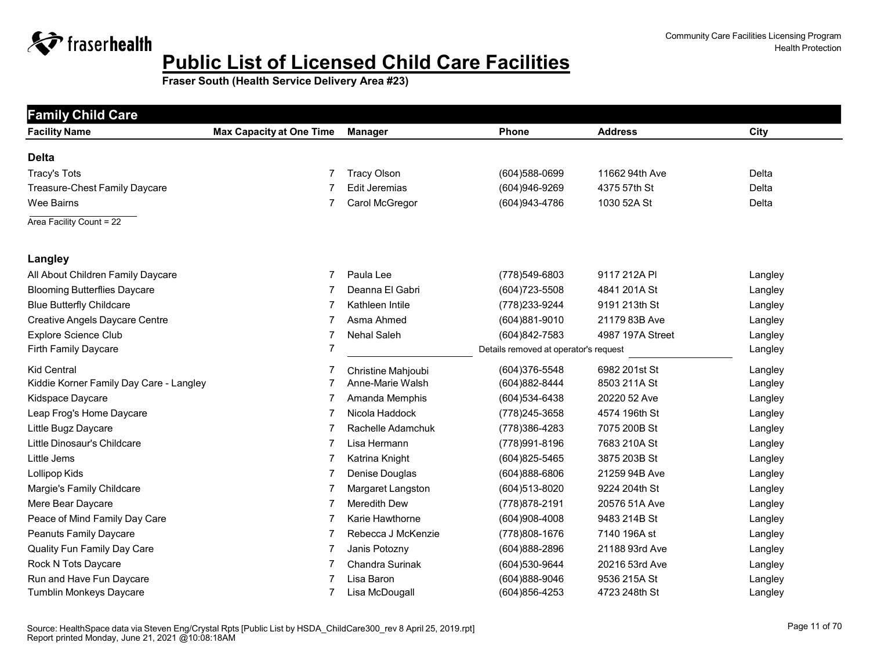

| <b>Family Child Care</b>                |                                 |                        |                                       |                  |         |  |  |
|-----------------------------------------|---------------------------------|------------------------|---------------------------------------|------------------|---------|--|--|
| <b>Facility Name</b>                    | <b>Max Capacity at One Time</b> | <b>Manager</b>         | <b>Phone</b>                          | <b>Address</b>   | City    |  |  |
| <b>Delta</b>                            |                                 |                        |                                       |                  |         |  |  |
| <b>Tracy's Tots</b>                     |                                 | <b>Tracy Olson</b>     | (604) 588-0699                        | 11662 94th Ave   | Delta   |  |  |
| Treasure-Chest Family Daycare           |                                 | <b>Edit Jeremias</b>   | (604)946-9269                         | 4375 57th St     | Delta   |  |  |
| Wee Bairns                              | 7                               | Carol McGregor         | (604) 943-4786                        | 1030 52A St      | Delta   |  |  |
| Area Facility Count = 22                |                                 |                        |                                       |                  |         |  |  |
| Langley                                 |                                 |                        |                                       |                  |         |  |  |
| All About Children Family Daycare       | 7                               | Paula Lee              | (778)549-6803                         | 9117 212A PI     | Langley |  |  |
| <b>Blooming Butterflies Daycare</b>     |                                 | Deanna El Gabri        | (604) 723-5508                        | 4841 201A St     | Langley |  |  |
| <b>Blue Butterfly Childcare</b>         | 7                               | Kathleen Intile        | (778) 233-9244                        | 9191 213th St    | Langley |  |  |
| <b>Creative Angels Daycare Centre</b>   | 7                               | Asma Ahmed             | (604)881-9010                         | 21179 83B Ave    | Langley |  |  |
| <b>Explore Science Club</b>             | 7                               | <b>Nehal Saleh</b>     | (604)842-7583                         | 4987 197A Street | Langley |  |  |
| Firth Family Daycare                    | 7                               |                        | Details removed at operator's request |                  | Langley |  |  |
| <b>Kid Central</b>                      |                                 | Christine Mahjoubi     | (604)376-5548                         | 6982 201st St    | Langley |  |  |
| Kiddie Korner Family Day Care - Langley | 7                               | Anne-Marie Walsh       | (604)882-8444                         | 8503 211A St     | Langley |  |  |
| Kidspace Daycare                        | 7                               | Amanda Memphis         | (604) 534-6438                        | 20220 52 Ave     | Langley |  |  |
| Leap Frog's Home Daycare                | 7                               | Nicola Haddock         | (778) 245-3658                        | 4574 196th St    | Langley |  |  |
| Little Bugz Daycare                     | 7                               | Rachelle Adamchuk      | (778) 386-4283                        | 7075 200B St     | Langley |  |  |
| Little Dinosaur's Childcare             | 7                               | Lisa Hermann           | (778) 991-8196                        | 7683 210A St     | Langley |  |  |
| Little Jems                             | 7                               | Katrina Knight         | (604) 825-5465                        | 3875 203B St     | Langley |  |  |
| Lollipop Kids                           | 7                               | Denise Douglas         | (604)888-6806                         | 21259 94B Ave    | Langley |  |  |
| Margie's Family Childcare               |                                 | Margaret Langston      | (604) 513-8020                        | 9224 204th St    | Langley |  |  |
| Mere Bear Daycare                       | 7                               | <b>Meredith Dew</b>    | (778) 878-2191                        | 20576 51A Ave    | Langley |  |  |
| Peace of Mind Family Day Care           | 7                               | Karie Hawthorne        | (604)908-4008                         | 9483 214B St     | Langley |  |  |
| Peanuts Family Daycare                  |                                 | Rebecca J McKenzie     | (778) 808-1676                        | 7140 196A st     | Langley |  |  |
| Quality Fun Family Day Care             | 7                               | Janis Potozny          | (604)888-2896                         | 21188 93rd Ave   | Langley |  |  |
| Rock N Tots Daycare                     | 7                               | <b>Chandra Surinak</b> | (604) 530-9644                        | 20216 53rd Ave   | Langley |  |  |
| Run and Have Fun Daycare                |                                 | Lisa Baron             | $(604)888-9046$                       | 9536 215A St     | Langley |  |  |
| Tumblin Monkeys Daycare                 |                                 | Lisa McDougall         | (604)856-4253                         | 4723 248th St    | Langley |  |  |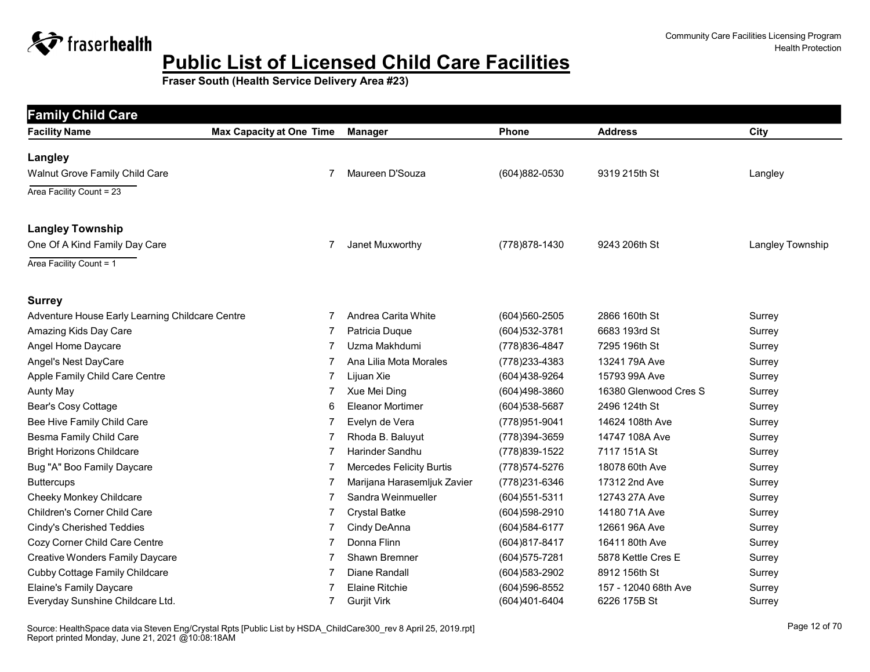

| <b>Family Child Care</b>                        |                                 |                             |                   |                       |                  |  |  |  |
|-------------------------------------------------|---------------------------------|-----------------------------|-------------------|-----------------------|------------------|--|--|--|
| <b>Facility Name</b>                            | <b>Max Capacity at One Time</b> | <b>Manager</b>              | Phone             | <b>Address</b>        | City             |  |  |  |
| <b>Langley</b>                                  |                                 |                             |                   |                       |                  |  |  |  |
| Walnut Grove Family Child Care                  | 7                               | Maureen D'Souza             | (604)882-0530     | 9319 215th St         | Langley          |  |  |  |
| Area Facility Count = 23                        |                                 |                             |                   |                       |                  |  |  |  |
| <b>Langley Township</b>                         |                                 |                             |                   |                       |                  |  |  |  |
| One Of A Kind Family Day Care                   | 7                               | Janet Muxworthy             | (778) 878-1430    | 9243 206th St         | Langley Township |  |  |  |
| Area Facility Count = 1                         |                                 |                             |                   |                       |                  |  |  |  |
| <b>Surrey</b>                                   |                                 |                             |                   |                       |                  |  |  |  |
| Adventure House Early Learning Childcare Centre | 7                               | Andrea Carita White         | (604)560-2505     | 2866 160th St         | Surrey           |  |  |  |
| Amazing Kids Day Care                           | 7                               | Patricia Duque              | (604) 532-3781    | 6683 193rd St         | Surrey           |  |  |  |
| Angel Home Daycare                              | 7                               | Uzma Makhdumi               | (778) 836-4847    | 7295 196th St         | Surrey           |  |  |  |
| Angel's Nest DayCare                            | 7                               | Ana Lilia Mota Morales      | (778) 233-4383    | 13241 79A Ave         | Surrey           |  |  |  |
| Apple Family Child Care Centre                  | 7                               | Lijuan Xie                  | (604)438-9264     | 15793 99A Ave         | Surrey           |  |  |  |
| <b>Aunty May</b>                                | 7                               | Xue Mei Ding                | (604)498-3860     | 16380 Glenwood Cres S | Surrey           |  |  |  |
| Bear's Cosy Cottage                             | 6                               | <b>Eleanor Mortimer</b>     | (604) 538-5687    | 2496 124th St         | Surrey           |  |  |  |
| Bee Hive Family Child Care                      | 7                               | Evelyn de Vera              | (778) 951-9041    | 14624 108th Ave       | Surrey           |  |  |  |
| Besma Family Child Care                         | 7                               | Rhoda B. Baluyut            | (778)394-3659     | 14747 108A Ave        | Surrey           |  |  |  |
| <b>Bright Horizons Childcare</b>                | 7                               | Harinder Sandhu             | (778) 839-1522    | 7117 151A St          | Surrey           |  |  |  |
| Bug "A" Boo Family Daycare                      | 7                               | Mercedes Felicity Burtis    | (778) 574-5276    | 18078 60th Ave        | Surrey           |  |  |  |
| <b>Buttercups</b>                               | 7                               | Marijana Harasemljuk Zavier | (778) 231-6346    | 17312 2nd Ave         | Surrey           |  |  |  |
| Cheeky Monkey Childcare                         | 7                               | Sandra Weinmueller          | $(604)551 - 5311$ | 12743 27A Ave         | Surrey           |  |  |  |
| <b>Children's Corner Child Care</b>             | 7                               | <b>Crystal Batke</b>        | (604) 598-2910    | 14180 71A Ave         | Surrey           |  |  |  |
| Cindy's Cherished Teddies                       | 7                               | Cindy DeAnna                | (604) 584-6177    | 12661 96A Ave         | Surrey           |  |  |  |
| Cozy Corner Child Care Centre                   | 7                               | Donna Flinn                 | (604)817-8417     | 16411 80th Ave        | Surrey           |  |  |  |
| <b>Creative Wonders Family Daycare</b>          | 7                               | Shawn Bremner               | (604) 575-7281    | 5878 Kettle Cres E    | Surrey           |  |  |  |
| Cubby Cottage Family Childcare                  | 7                               | Diane Randall               | (604) 583-2902    | 8912 156th St         | Surrey           |  |  |  |
| Elaine's Family Daycare                         |                                 | <b>Elaine Ritchie</b>       | (604) 596-8552    | 157 - 12040 68th Ave  | Surrey           |  |  |  |
| Everyday Sunshine Childcare Ltd.                | 7                               | <b>Gurjit Virk</b>          | $(604)401 - 6404$ | 6226 175B St          | Surrey           |  |  |  |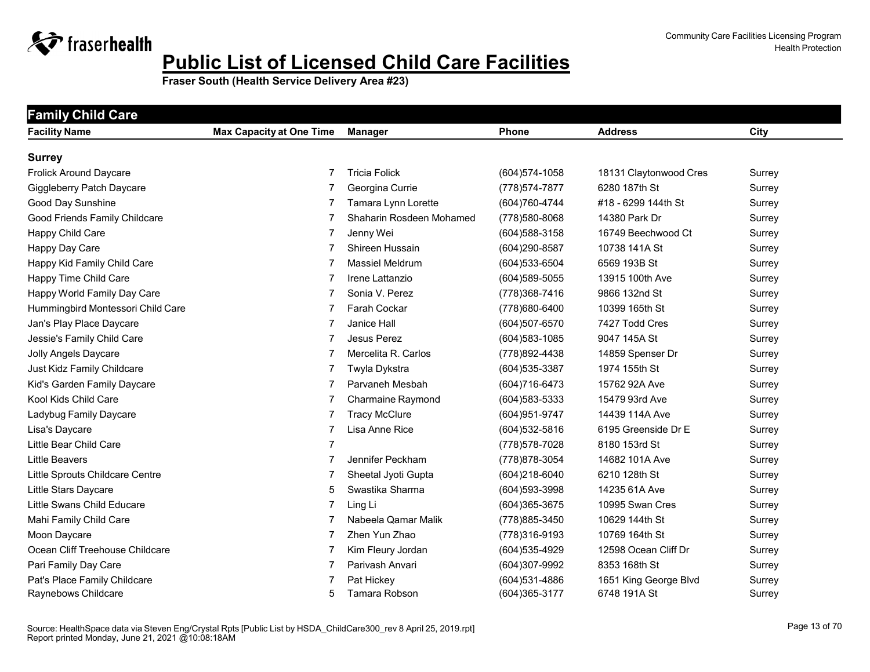

| <b>Family Child Care</b>          |                                 |                          |                   |                        |             |
|-----------------------------------|---------------------------------|--------------------------|-------------------|------------------------|-------------|
| <b>Facility Name</b>              | <b>Max Capacity at One Time</b> | Manager                  | <b>Phone</b>      | <b>Address</b>         | <b>City</b> |
| <b>Surrey</b>                     |                                 |                          |                   |                        |             |
| <b>Frolick Around Daycare</b>     | 7                               | <b>Tricia Folick</b>     | $(604)574 - 1058$ | 18131 Claytonwood Cres | Surrey      |
| Giggleberry Patch Daycare         |                                 | Georgina Currie          | (778) 574-7877    | 6280 187th St          | Surrey      |
| Good Day Sunshine                 |                                 | Tamara Lynn Lorette      | (604)760-4744     | #18 - 6299 144th St    | Surrey      |
| Good Friends Family Childcare     | 7                               | Shaharin Rosdeen Mohamed | (778) 580-8068    | 14380 Park Dr          | Surrey      |
| Happy Child Care                  | 7                               | Jenny Wei                | (604) 588-3158    | 16749 Beechwood Ct     | Surrey      |
| Happy Day Care                    | 7                               | Shireen Hussain          | (604)290-8587     | 10738 141A St          | Surrey      |
| Happy Kid Family Child Care       | 7                               | <b>Massiel Meldrum</b>   | (604) 533-6504    | 6569 193B St           | Surrey      |
| Happy Time Child Care             | 7                               | Irene Lattanzio          | $(604)589 - 5055$ | 13915 100th Ave        | Surrey      |
| Happy World Family Day Care       | 7                               | Sonia V. Perez           | (778) 368-7416    | 9866 132nd St          | Surrey      |
| Hummingbird Montessori Child Care | 7                               | Farah Cockar             | (778) 680-6400    | 10399 165th St         | Surrey      |
| Jan's Play Place Daycare          | 7                               | Janice Hall              | (604)507-6570     | 7427 Todd Cres         | Surrey      |
| Jessie's Family Child Care        | 7                               | Jesus Perez              | $(604)583 - 1085$ | 9047 145A St           | Surrey      |
| Jolly Angels Daycare              |                                 | Mercelita R. Carlos      | (778) 892-4438    | 14859 Spenser Dr       | Surrey      |
| Just Kidz Family Childcare        | 7                               | Twyla Dykstra            | (604) 535-3387    | 1974 155th St          | Surrey      |
| Kid's Garden Family Daycare       | 7                               | Parvaneh Mesbah          | (604) 716-6473    | 15762 92A Ave          | Surrey      |
| Kool Kids Child Care              |                                 | <b>Charmaine Raymond</b> | (604) 583-5333    | 15479 93rd Ave         | Surrey      |
| Ladybug Family Daycare            |                                 | <b>Tracy McClure</b>     | (604) 951-9747    | 14439 114A Ave         | Surrey      |
| Lisa's Daycare                    | 7                               | Lisa Anne Rice           | (604) 532-5816    | 6195 Greenside Dr E    | Surrey      |
| Little Bear Child Care            | 7                               |                          | (778) 578-7028    | 8180 153rd St          | Surrey      |
| <b>Little Beavers</b>             | 7                               | Jennifer Peckham         | (778) 878-3054    | 14682 101A Ave         | Surrey      |
| Little Sprouts Childcare Centre   | 7                               | Sheetal Jyoti Gupta      | (604)218-6040     | 6210 128th St          | Surrey      |
| Little Stars Daycare              | 5                               | Swastika Sharma          | (604) 593-3998    | 14235 61A Ave          | Surrey      |
| Little Swans Child Educare        | 7                               | Ling Li                  | (604) 365-3675    | 10995 Swan Cres        | Surrey      |
| Mahi Family Child Care            | 7                               | Nabeela Qamar Malik      | (778) 885-3450    | 10629 144th St         | Surrey      |
| Moon Daycare                      | 7                               | Zhen Yun Zhao            | (778)316-9193     | 10769 164th St         | Surrey      |
| Ocean Cliff Treehouse Childcare   | 7                               | Kim Fleury Jordan        | (604) 535-4929    | 12598 Ocean Cliff Dr   | Surrey      |
| Pari Family Day Care              | 7                               | Parivash Anvari          | (604)307-9992     | 8353 168th St          | Surrey      |
| Pat's Place Family Childcare      |                                 | Pat Hickey               | $(604)$ 531-4886  | 1651 King George Blvd  | Surrey      |
| Raynebows Childcare               | 5                               | Tamara Robson            | (604) 365-3177    | 6748 191A St           | Surrey      |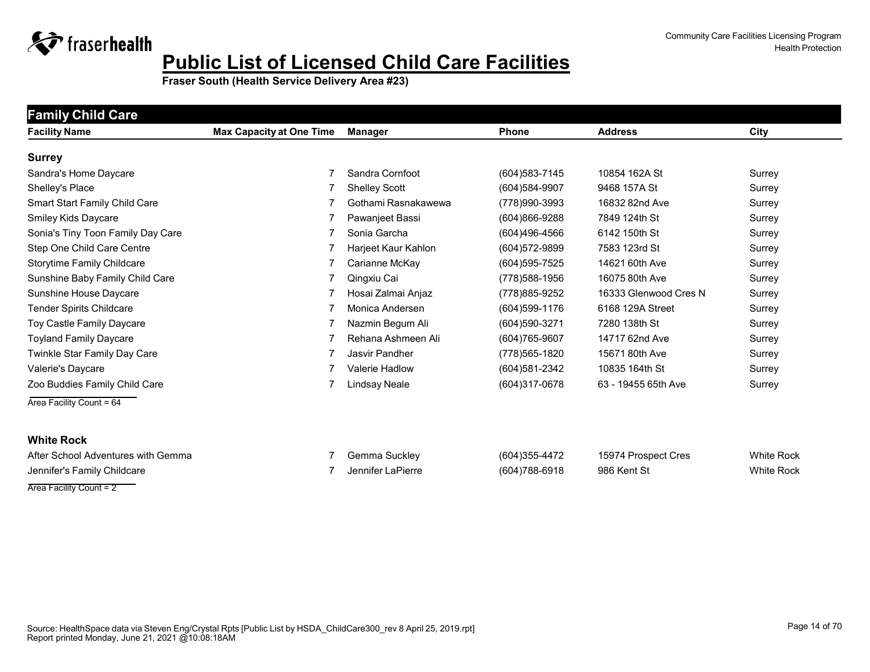

**Fraser South (Health Service Delivery Area #23)**

| <b>Family Child Care</b>             |                                 |                      |                   |                       |                   |
|--------------------------------------|---------------------------------|----------------------|-------------------|-----------------------|-------------------|
| <b>Facility Name</b>                 | <b>Max Capacity at One Time</b> | <b>Manager</b>       | <b>Phone</b>      | <b>Address</b>        | City              |
| <b>Surrey</b>                        |                                 |                      |                   |                       |                   |
| Sandra's Home Daycare                |                                 | Sandra Cornfoot      | (604) 583-7145    | 10854 162A St         | Surrey            |
| Shelley's Place                      |                                 | <b>Shelley Scott</b> | (604) 584-9907    | 9468 157A St          | Surrey            |
| <b>Smart Start Family Child Care</b> |                                 | Gothami Rasnakawewa  | (778)990-3993     | 16832 82nd Ave        | Surrey            |
| Smiley Kids Daycare                  |                                 | Pawanjeet Bassi      | (604)866-9288     | 7849 124th St         | Surrey            |
| Sonia's Tiny Toon Family Day Care    |                                 | Sonia Garcha         | (604)496-4566     | 6142 150th St         | Surrey            |
| Step One Child Care Centre           |                                 | Harjeet Kaur Kahlon  | (604) 572-9899    | 7583 123rd St         | Surrey            |
| Storytime Family Childcare           |                                 | Carianne McKay       | (604) 595-7525    | 14621 60th Ave        | Surrey            |
| Sunshine Baby Family Child Care      |                                 | Qingxiu Cai          | (778) 588-1956    | 16075 80th Ave        | Surrey            |
| Sunshine House Daycare               |                                 | Hosai Zalmai Anjaz   | (778) 885-9252    | 16333 Glenwood Cres N | Surrey            |
| <b>Tender Spirits Childcare</b>      |                                 | Monica Andersen      | $(604)599 - 1176$ | 6168 129A Street      | Surrey            |
| Toy Castle Family Daycare            |                                 | Nazmin Begum Ali     | (604) 590-3271    | 7280 138th St         | Surrey            |
| <b>Toyland Family Daycare</b>        |                                 | Rehana Ashmeen Ali   | (604) 765-9607    | 14717 62nd Ave        | Surrey            |
| Twinkle Star Family Day Care         |                                 | Jasvir Pandher       | (778) 565-1820    | 15671 80th Ave        | Surrey            |
| Valerie's Daycare                    |                                 | Valerie Hadlow       | (604) 581-2342    | 10835 164th St        | Surrey            |
| Zoo Buddies Family Child Care        |                                 | Lindsay Neale        | (604)317-0678     | 63 - 19455 65th Ave   | Surrey            |
| Area Facility Count = 64             |                                 |                      |                   |                       |                   |
| <b>White Rock</b>                    |                                 |                      |                   |                       |                   |
| After School Adventures with Gemma   |                                 | Gemma Suckley        | (604)355-4472     | 15974 Prospect Cres   | <b>White Rock</b> |
| Jennifer's Family Childcare          |                                 | Jennifer LaPierre    | (604)788-6918     | 986 Kent St           | <b>White Rock</b> |

Area Facility Count = 2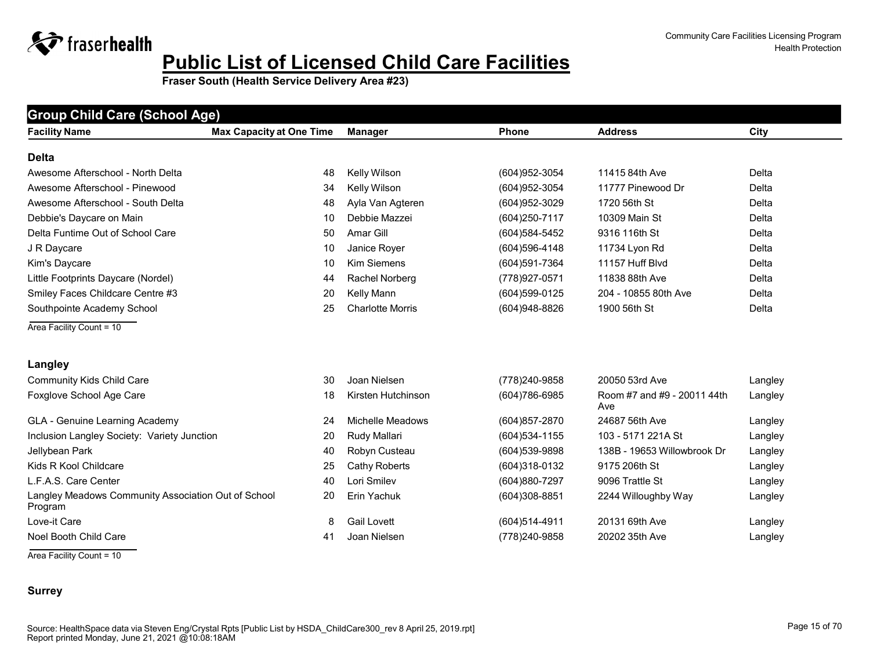**Fraser South (Health Service Delivery Area #23)**

| <b>Group Child Care (School Age)</b>                           |                                 |                         |                |                                    |         |  |  |
|----------------------------------------------------------------|---------------------------------|-------------------------|----------------|------------------------------------|---------|--|--|
| <b>Facility Name</b>                                           | <b>Max Capacity at One Time</b> | <b>Manager</b>          | <b>Phone</b>   | <b>Address</b>                     | City    |  |  |
| <b>Delta</b>                                                   |                                 |                         |                |                                    |         |  |  |
| Awesome Afterschool - North Delta                              | 48                              | Kelly Wilson            | (604) 952-3054 | 11415 84th Ave                     | Delta   |  |  |
| Awesome Afterschool - Pinewood                                 | 34                              | Kelly Wilson            | (604) 952-3054 | 11777 Pinewood Dr                  | Delta   |  |  |
| Awesome Afterschool - South Delta                              | 48                              | Ayla Van Agteren        | (604) 952-3029 | 1720 56th St                       | Delta   |  |  |
| Debbie's Daycare on Main                                       | 10                              | Debbie Mazzei           | (604) 250-7117 | 10309 Main St                      | Delta   |  |  |
| Delta Funtime Out of School Care                               | 50                              | Amar Gill               | (604) 584-5452 | 9316 116th St                      | Delta   |  |  |
| J R Daycare                                                    | 10                              | Janice Royer            | (604) 596-4148 | 11734 Lyon Rd                      | Delta   |  |  |
| Kim's Daycare                                                  | 10                              | <b>Kim Siemens</b>      | (604)591-7364  | 11157 Huff Blvd                    | Delta   |  |  |
| Little Footprints Daycare (Nordel)                             | 44                              | Rachel Norberg          | (778) 927-0571 | 11838 88th Ave                     | Delta   |  |  |
| Smiley Faces Childcare Centre #3                               | 20                              | Kelly Mann              | (604)599-0125  | 204 - 10855 80th Ave               | Delta   |  |  |
| Southpointe Academy School                                     | 25                              | <b>Charlotte Morris</b> | (604)948-8826  | 1900 56th St                       | Delta   |  |  |
| Area Facility Count = 10                                       |                                 |                         |                |                                    |         |  |  |
| Langley                                                        |                                 |                         |                |                                    |         |  |  |
| <b>Community Kids Child Care</b>                               | 30                              | Joan Nielsen            | (778) 240-9858 | 20050 53rd Ave                     | Langley |  |  |
| Foxglove School Age Care                                       | 18                              | Kirsten Hutchinson      | (604) 786-6985 | Room #7 and #9 - 20011 44th<br>Ave | Langley |  |  |
| GLA - Genuine Learning Academy                                 | 24                              | Michelle Meadows        | (604) 857-2870 | 24687 56th Ave                     | Langley |  |  |
| Inclusion Langley Society: Variety Junction                    | 20                              | Rudy Mallari            | (604) 534-1155 | 103 - 5171 221A St                 | Langley |  |  |
| Jellybean Park                                                 | 40                              | Robyn Custeau           | (604) 539-9898 | 138B - 19653 Willowbrook Dr        | Langley |  |  |
| Kids R Kool Childcare                                          | 25                              | <b>Cathy Roberts</b>    | (604)318-0132  | 9175 206th St                      | Langley |  |  |
| L.F.A.S. Care Center                                           | 40                              | Lori Smilev             | (604)880-7297  | 9096 Trattle St                    | Langley |  |  |
| Langley Meadows Community Association Out of School<br>Program | 20                              | Erin Yachuk             | (604)308-8851  | 2244 Willoughby Way                | Langley |  |  |
| Love-it Care                                                   | 8                               | <b>Gail Lovett</b>      | (604)514-4911  | 20131 69th Ave                     | Langley |  |  |
| Noel Booth Child Care                                          | 41                              | Joan Nielsen            | (778) 240-9858 | 20202 35th Ave                     | Langley |  |  |

Area Facility Count = 10

#### **Surrey**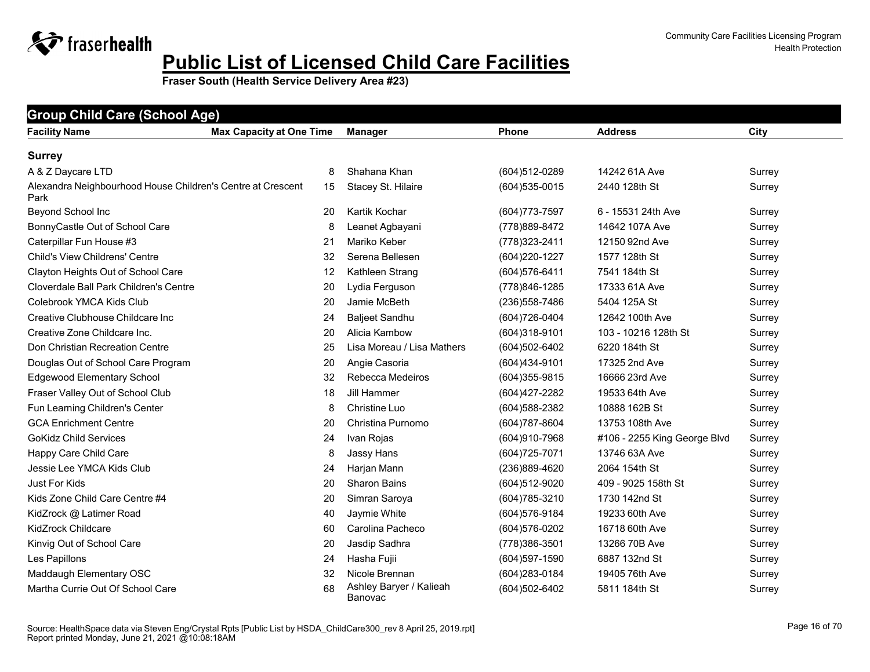**Fraser South (Health Service Delivery Area #23)**

| <b>Facility Name</b>                                                | <b>Max Capacity at One Time</b> | <b>Manager</b>                     | <b>Phone</b>    | <b>Address</b>               | City   |
|---------------------------------------------------------------------|---------------------------------|------------------------------------|-----------------|------------------------------|--------|
| <b>Surrey</b>                                                       |                                 |                                    |                 |                              |        |
| A & Z Daycare LTD                                                   | 8                               | Shahana Khan                       | (604)512-0289   | 14242 61A Ave                | Surrey |
| Alexandra Neighbourhood House Children's Centre at Crescent<br>Park | 15                              | Stacey St. Hilaire                 | (604) 535-0015  | 2440 128th St                | Surrey |
| Beyond School Inc                                                   | 20                              | Kartik Kochar                      | (604) 773-7597  | 6 - 15531 24th Ave           | Surrey |
| BonnyCastle Out of School Care                                      | 8                               | Leanet Agbayani                    | (778) 889-8472  | 14642 107A Ave               | Surrey |
| Caterpillar Fun House #3                                            | 21                              | Mariko Keber                       | (778) 323-2411  | 12150 92nd Ave               | Surrey |
| <b>Child's View Childrens' Centre</b>                               | 32                              | Serena Bellesen                    | (604) 220-1227  | 1577 128th St                | Surrey |
| Clayton Heights Out of School Care                                  | 12                              | Kathleen Strang                    | (604) 576-6411  | 7541 184th St                | Surrey |
| Cloverdale Ball Park Children's Centre                              | 20                              | Lydia Ferguson                     | (778) 846-1285  | 17333 61A Ave                | Surrey |
| Colebrook YMCA Kids Club                                            | 20                              | Jamie McBeth                       | (236) 558-7486  | 5404 125A St                 | Surrey |
| Creative Clubhouse Childcare Inc                                    | 24                              | <b>Baljeet Sandhu</b>              | (604) 726-0404  | 12642 100th Ave              | Surrey |
| Creative Zone Childcare Inc.                                        | 20                              | Alicia Kambow                      | (604)318-9101   | 103 - 10216 128th St         | Surrey |
| Don Christian Recreation Centre                                     | 25                              | Lisa Moreau / Lisa Mathers         | (604)502-6402   | 6220 184th St                | Surrey |
| Douglas Out of School Care Program                                  | 20                              | Angie Casoria                      | (604)434-9101   | 17325 2nd Ave                | Surrey |
| <b>Edgewood Elementary School</b>                                   | 32                              | Rebecca Medeiros                   | (604) 355-9815  | 16666 23rd Ave               | Surrey |
| Fraser Valley Out of School Club                                    | 18                              | Jill Hammer                        | (604) 427-2282  | 19533 64th Ave               | Surrey |
| Fun Learning Children's Center                                      | 8                               | Christine Luo                      | (604) 588-2382  | 10888 162B St                | Surrey |
| <b>GCA Enrichment Centre</b>                                        | 20                              | Christina Purnomo                  | (604) 787-8604  | 13753 108th Ave              | Surrey |
| <b>GoKidz Child Services</b>                                        | 24                              | Ivan Rojas                         | (604)910-7968   | #106 - 2255 King George Blvd | Surrey |
| Happy Care Child Care                                               | 8                               | Jassy Hans                         | (604) 725-7071  | 13746 63A Ave                | Surrey |
| Jessie Lee YMCA Kids Club                                           | 24                              | Harjan Mann                        | (236)889-4620   | 2064 154th St                | Surrey |
| <b>Just For Kids</b>                                                | 20                              | <b>Sharon Bains</b>                | (604)512-9020   | 409 - 9025 158th St          | Surrey |
| Kids Zone Child Care Centre #4                                      | 20                              | Simran Saroya                      | (604) 785-3210  | 1730 142nd St                | Surrey |
| KidZrock @ Latimer Road                                             | 40                              | Jaymie White                       | (604) 576-9184  | 19233 60th Ave               | Surrey |
| <b>KidZrock Childcare</b>                                           | 60                              | Carolina Pacheco                   | $(604)576-0202$ | 16718 60th Ave               | Surrey |
| Kinvig Out of School Care                                           | 20                              | Jasdip Sadhra                      | (778) 386-3501  | 13266 70B Ave                | Surrey |
| Les Papillons                                                       | 24                              | Hasha Fujii                        | (604) 597-1590  | 6887 132nd St                | Surrey |
| Maddaugh Elementary OSC                                             | 32                              | Nicole Brennan                     | (604) 283-0184  | 19405 76th Ave               | Surrey |
| Martha Currie Out Of School Care                                    | 68                              | Ashley Baryer / Kalieah<br>Banovac | (604)502-6402   | 5811 184th St                | Surrey |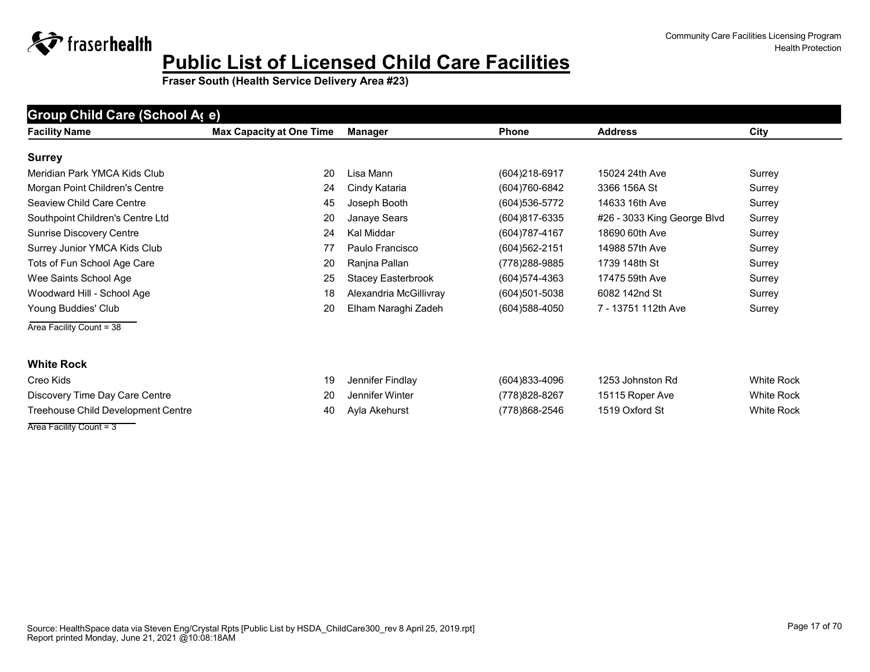**Fraser South (Health Service Delivery Area #23)**

| Group Child Care (School A(e)      |                                 |                        |                   |                             |                   |  |  |
|------------------------------------|---------------------------------|------------------------|-------------------|-----------------------------|-------------------|--|--|
| <b>Facility Name</b>               | <b>Max Capacity at One Time</b> | <b>Manager</b>         | <b>Phone</b>      | <b>Address</b>              | City              |  |  |
| <b>Surrey</b>                      |                                 |                        |                   |                             |                   |  |  |
| Meridian Park YMCA Kids Club       | 20                              | Lisa Mann              | $(604)218-6917$   | 15024 24th Ave              | Surrey            |  |  |
| Morgan Point Children's Centre     | 24                              | Cindy Kataria          | (604)760-6842     | 3366 156A St                | Surrey            |  |  |
| Seaview Child Care Centre          | 45                              | Joseph Booth           | (604) 536-5772    | 14633 16th Ave              | Surrey            |  |  |
| Southpoint Children's Centre Ltd   | 20                              | Janaye Sears           | (604)817-6335     | #26 - 3033 King George Blvd | Surrey            |  |  |
| Sunrise Discovery Centre           | 24                              | Kal Middar             | (604) 787-4167    | 18690 60th Ave              | Surrey            |  |  |
| Surrey Junior YMCA Kids Club       | 77                              | Paulo Francisco        | $(604)562 - 2151$ | 14988 57th Ave              | Surrey            |  |  |
| Tots of Fun School Age Care        | 20                              | Ranjna Pallan          | (778) 288-9885    | 1739 148th St               | Surrey            |  |  |
| Wee Saints School Age              | 25                              | Stacey Easterbrook     | (604) 574-4363    | 17475 59th Ave              | Surrey            |  |  |
| Woodward Hill - School Age         | 18                              | Alexandria McGillivray | $(604)501 - 5038$ | 6082 142nd St               | Surrey            |  |  |
| Young Buddies' Club                | 20                              | Elham Naraghi Zadeh    | (604) 588-4050    | 7 - 13751 112th Ave         | Surrey            |  |  |
| Area Facility Count = 38           |                                 |                        |                   |                             |                   |  |  |
| <b>White Rock</b>                  |                                 |                        |                   |                             |                   |  |  |
| Creo Kids                          | 19                              | Jennifer Findlay       | (604)833-4096     | 1253 Johnston Rd            | <b>White Rock</b> |  |  |
| Discovery Time Day Care Centre     | 20                              | Jennifer Winter        | (778) 828-8267    | 15115 Roper Ave             | <b>White Rock</b> |  |  |
| Treehouse Child Development Centre | 40                              | Ayla Akehurst          | (778)868-2546     | 1519 Oxford St              | <b>White Rock</b> |  |  |
| Area Facility Count = 3            |                                 |                        |                   |                             |                   |  |  |

#### Source: HealthSpace data via Steven Eng/Crystal Rpts [Public List by HSDA\_ChildCare300\_rev 8 April 25, 2019.rpt] Report printed Monday, June 21, 2021 @10:08:18AM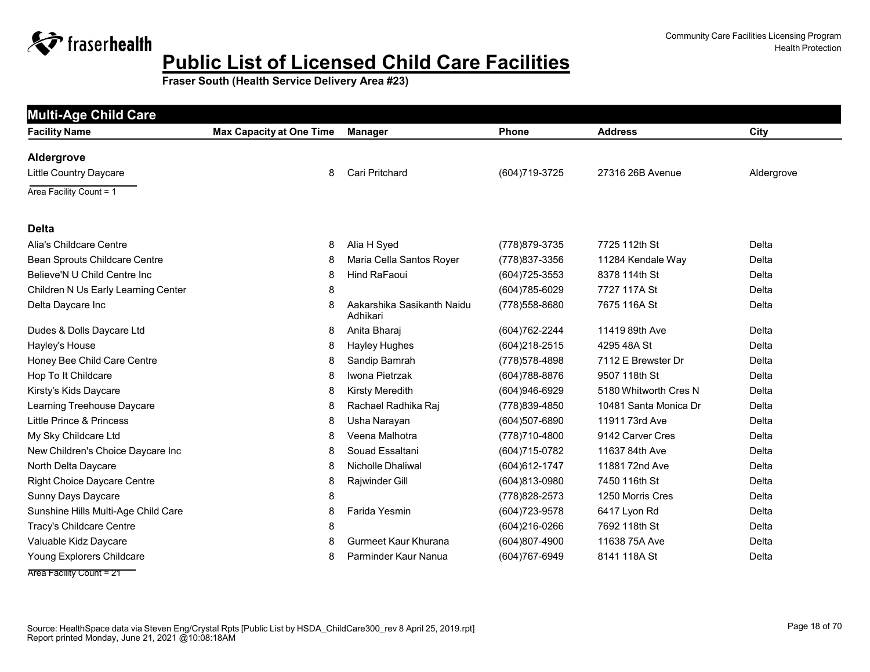

| <b>Facility Name</b>                 | <b>Max Capacity at One Time</b> | <b>Manager</b>                         | <b>Phone</b>      | <b>Address</b>        | City       |
|--------------------------------------|---------------------------------|----------------------------------------|-------------------|-----------------------|------------|
| Aldergrove                           |                                 |                                        |                   |                       |            |
| Little Country Daycare               | 8                               | <b>Cari Pritchard</b>                  | (604) 719-3725    | 27316 26B Avenue      | Aldergrove |
| Area Facility Count = 1              |                                 |                                        |                   |                       |            |
| <b>Delta</b>                         |                                 |                                        |                   |                       |            |
| Alia's Childcare Centre              | 8                               | Alia H Syed                            | (778) 879-3735    | 7725 112th St         | Delta      |
| <b>Bean Sprouts Childcare Centre</b> | 8                               | Maria Cella Santos Royer               | (778) 837-3356    | 11284 Kendale Way     | Delta      |
| Believe'N U Child Centre Inc         | 8                               | Hind RaFaoui                           | $(604)725 - 3553$ | 8378 114th St         | Delta      |
| Children N Us Early Learning Center  | 8                               |                                        | (604) 785-6029    | 7727 117A St          | Delta      |
| Delta Daycare Inc                    | 8                               | Aakarshika Sasikanth Naidu<br>Adhikari | (778) 558-8680    | 7675 116A St          | Delta      |
| Dudes & Dolls Daycare Ltd            | 8                               | Anita Bharaj                           | (604) 762-2244    | 11419 89th Ave        | Delta      |
| Hayley's House                       | 8                               | Hayley Hughes                          | (604) 218-2515    | 4295 48A St           | Delta      |
| Honey Bee Child Care Centre          | 8                               | Sandip Bamrah                          | (778) 578-4898    | 7112 E Brewster Dr    | Delta      |
| Hop To It Childcare                  | 8                               | Iwona Pietrzak                         | (604) 788-8876    | 9507 118th St         | Delta      |
| Kirsty's Kids Daycare                | 8                               | <b>Kirsty Meredith</b>                 | (604)946-6929     | 5180 Whitworth Cres N | Delta      |
| Learning Treehouse Daycare           | 8                               | Rachael Radhika Raj                    | (778) 839-4850    | 10481 Santa Monica Dr | Delta      |
| Little Prince & Princess             | 8                               | Usha Narayan                           | (604)507-6890     | 11911 73rd Ave        | Delta      |
| My Sky Childcare Ltd                 | 8                               | Veena Malhotra                         | (778)710-4800     | 9142 Carver Cres      | Delta      |
| New Children's Choice Daycare Inc    | 8                               | Souad Essaltani                        | (604) 715-0782    | 11637 84th Ave        | Delta      |
| North Delta Daycare                  | 8                               | Nicholle Dhaliwal                      | (604) 612-1747    | 11881 72nd Ave        | Delta      |
| <b>Right Choice Daycare Centre</b>   | 8                               | Rajwinder Gill                         | (604)813-0980     | 7450 116th St         | Delta      |
| Sunny Days Daycare                   | 8                               |                                        | (778) 828-2573    | 1250 Morris Cres      | Delta      |
| Sunshine Hills Multi-Age Child Care  | 8                               | Farida Yesmin                          | (604) 723-9578    | 6417 Lyon Rd          | Delta      |
| Tracy's Childcare Centre             | 8                               |                                        | (604) 216-0266    | 7692 118th St         | Delta      |
| Valuable Kidz Daycare                | 8                               | Gurmeet Kaur Khurana                   | (604)807-4900     | 11638 75A Ave         | Delta      |
| Young Explorers Childcare            | 8                               | Parminder Kaur Nanua                   | (604) 767-6949    | 8141 118A St          | Delta      |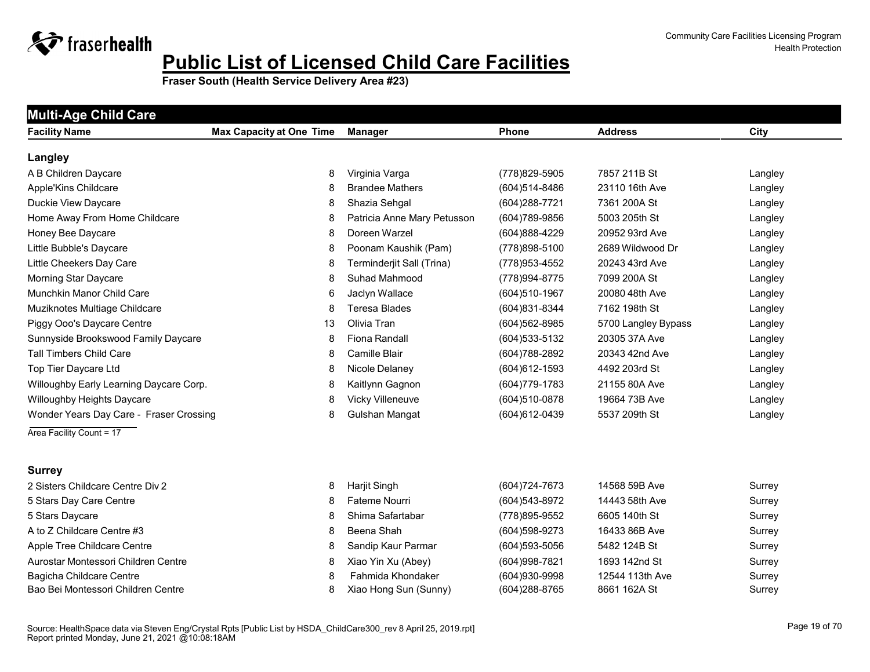

| <b>Facility Name</b>                    | <b>Max Capacity at One Time</b> | <b>Manager</b>              | Phone             | <b>Address</b>      | City    |
|-----------------------------------------|---------------------------------|-----------------------------|-------------------|---------------------|---------|
| Langley                                 |                                 |                             |                   |                     |         |
| A B Children Daycare                    | 8                               | Virginia Varga              | (778) 829-5905    | 7857 211B St        | Langley |
| Apple'Kins Childcare                    | 8                               | <b>Brandee Mathers</b>      | $(604)514 - 8486$ | 23110 16th Ave      | Langley |
| Duckie View Daycare                     | 8                               | Shazia Sehgal               | (604) 288-7721    | 7361 200A St        | Langley |
| Home Away From Home Childcare           | 8                               | Patricia Anne Mary Petusson | (604) 789-9856    | 5003 205th St       | Langley |
| Honey Bee Daycare                       | 8                               | Doreen Warzel               | (604)888-4229     | 20952 93rd Ave      | Langley |
| Little Bubble's Daycare                 | 8                               | Poonam Kaushik (Pam)        | (778) 898-5100    | 2689 Wildwood Dr    | Langley |
| Little Cheekers Day Care                | 8                               | Terminderjit Sall (Trina)   | (778) 953-4552    | 20243 43rd Ave      | Langley |
| <b>Morning Star Daycare</b>             | 8                               | Suhad Mahmood               | (778) 994-8775    | 7099 200A St        | Langley |
| Munchkin Manor Child Care               | 6                               | Jaclyn Wallace              | (604)510-1967     | 20080 48th Ave      | Langley |
| Muziknotes Multiage Childcare           | 8                               | <b>Teresa Blades</b>        | (604)831-8344     | 7162 198th St       | Langley |
| Piggy Ooo's Daycare Centre              | 13                              | Olivia Tran                 | (604) 562-8985    | 5700 Langley Bypass | Langley |
| Sunnyside Brookswood Family Daycare     | 8                               | <b>Fiona Randall</b>        | (604) 533-5132    | 20305 37A Ave       | Langley |
| <b>Tall Timbers Child Care</b>          | 8                               | Camille Blair               | (604) 788-2892    | 20343 42nd Ave      | Langley |
| Top Tier Daycare Ltd                    | 8                               | Nicole Delaney              | (604) 612-1593    | 4492 203rd St       | Langley |
| Willoughby Early Learning Daycare Corp. | 8                               | Kaitlynn Gagnon             | (604) 779-1783    | 21155 80A Ave       | Langley |
| Willoughby Heights Daycare              | 8                               | Vicky Villeneuve            | (604)510-0878     | 19664 73B Ave       | Langley |
| Wonder Years Day Care - Fraser Crossing | 8                               | Gulshan Mangat              | (604) 612-0439    | 5537 209th St       | Langley |
| Area Facility Count = 17                |                                 |                             |                   |                     |         |
| <b>Surrey</b>                           |                                 |                             |                   |                     |         |
| 2 Sisters Childcare Centre Div 2        | 8                               | Harjit Singh                | (604) 724-7673    | 14568 59B Ave       | Surrey  |
| 5 Stars Day Care Centre                 | 8                               | Fateme Nourri               | (604) 543-8972    | 14443 58th Ave      | Surrey  |
| 5 Stars Daycare                         | 8                               | Shima Safartabar            | (778) 895-9552    | 6605 140th St       | Surrey  |
| A to Z Childcare Centre #3              | 8                               | Beena Shah                  | (604) 598-9273    | 16433 86B Ave       | Surrey  |
| Apple Tree Childcare Centre             | 8                               | Sandip Kaur Parmar          | $(604)593 - 5056$ | 5482 124B St        | Surrey  |
| Aurostar Montessori Children Centre     | 8                               | Xiao Yin Xu (Abey)          | (604) 998-7821    | 1693 142nd St       | Surrey  |
| Bagicha Childcare Centre                | 8                               | Fahmida Khondaker           | (604)930-9998     | 12544 113th Ave     | Surrey  |
| Bao Bei Montessori Children Centre      | 8                               | Xiao Hong Sun (Sunny)       | (604) 288-8765    | 8661 162A St        | Surrey  |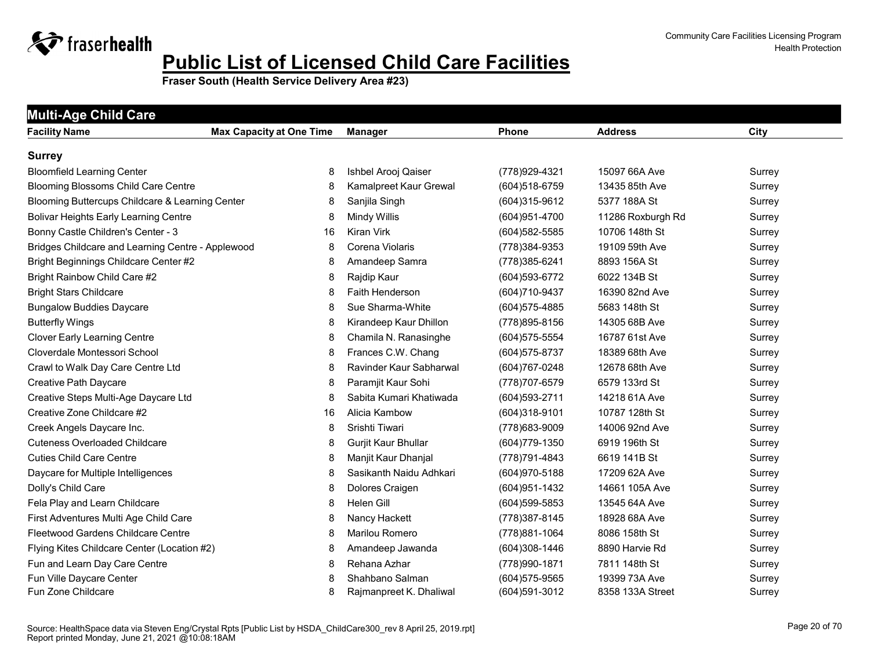

| <b>Multi-Age Child Care</b>                       |                                 |                         |                   |                   |        |  |  |  |
|---------------------------------------------------|---------------------------------|-------------------------|-------------------|-------------------|--------|--|--|--|
| <b>Facility Name</b>                              | <b>Max Capacity at One Time</b> | <b>Manager</b>          | <b>Phone</b>      | <b>Address</b>    | City   |  |  |  |
| <b>Surrey</b>                                     |                                 |                         |                   |                   |        |  |  |  |
| <b>Bloomfield Learning Center</b>                 | 8                               | Ishbel Arooj Qaiser     | (778) 929-4321    | 15097 66A Ave     | Surrey |  |  |  |
| <b>Blooming Blossoms Child Care Centre</b>        | 8                               | Kamalpreet Kaur Grewal  | (604) 518-6759    | 13435 85th Ave    | Surrey |  |  |  |
| Blooming Buttercups Childcare & Learning Center   | 8                               | Sanjila Singh           | (604)315-9612     | 5377 188A St      | Surrey |  |  |  |
| <b>Bolivar Heights Early Learning Centre</b>      | 8                               | Mindy Willis            | (604) 951-4700    | 11286 Roxburgh Rd | Surrey |  |  |  |
| Bonny Castle Children's Center - 3                | 16                              | <b>Kiran Virk</b>       | (604) 582-5585    | 10706 148th St    | Surrey |  |  |  |
| Bridges Childcare and Learning Centre - Applewood | 8                               | Corena Violaris         | (778) 384-9353    | 19109 59th Ave    | Surrey |  |  |  |
| Bright Beginnings Childcare Center #2             | 8                               | Amandeep Samra          | (778) 385-6241    | 8893 156A St      | Surrey |  |  |  |
| Bright Rainbow Child Care #2                      | 8                               | Rajdip Kaur             | (604) 593-6772    | 6022 134B St      | Surrey |  |  |  |
| <b>Bright Stars Childcare</b>                     | 8                               | <b>Faith Henderson</b>  | (604) 710-9437    | 16390 82nd Ave    | Surrey |  |  |  |
| <b>Bungalow Buddies Daycare</b>                   | 8                               | Sue Sharma-White        | (604) 575-4885    | 5683 148th St     | Surrey |  |  |  |
| <b>Butterfly Wings</b>                            | 8                               | Kirandeep Kaur Dhillon  | (778) 895-8156    | 14305 68B Ave     | Surrey |  |  |  |
| <b>Clover Early Learning Centre</b>               | 8                               | Chamila N. Ranasinghe   | (604) 575-5554    | 16787 61st Ave    | Surrey |  |  |  |
| Cloverdale Montessori School                      | 8                               | Frances C.W. Chang      | $(604)575 - 8737$ | 18389 68th Ave    | Surrey |  |  |  |
| Crawl to Walk Day Care Centre Ltd                 | 8                               | Ravinder Kaur Sabharwal | (604) 767-0248    | 12678 68th Ave    | Surrey |  |  |  |
| Creative Path Daycare                             | 8                               | Paramjit Kaur Sohi      | (778) 707-6579    | 6579 133rd St     | Surrey |  |  |  |
| Creative Steps Multi-Age Daycare Ltd              | 8                               | Sabita Kumari Khatiwada | (604) 593-2711    | 14218 61A Ave     | Surrey |  |  |  |
| Creative Zone Childcare #2                        | 16                              | Alicia Kambow           | $(604)318-9101$   | 10787 128th St    | Surrey |  |  |  |
| Creek Angels Daycare Inc.                         | 8                               | Srishti Tiwari          | (778) 683-9009    | 14006 92nd Ave    | Surrey |  |  |  |
| <b>Cuteness Overloaded Childcare</b>              | 8                               | Gurjit Kaur Bhullar     | $(604)779-1350$   | 6919 196th St     | Surrey |  |  |  |
| <b>Cuties Child Care Centre</b>                   | 8                               | Manjit Kaur Dhanjal     | (778) 791-4843    | 6619 141B St      | Surrey |  |  |  |
| Daycare for Multiple Intelligences                | 8                               | Sasikanth Naidu Adhkari | (604) 970-5188    | 17209 62A Ave     | Surrey |  |  |  |
| Dolly's Child Care                                | 8                               | Dolores Craigen         | (604) 951-1432    | 14661 105A Ave    | Surrey |  |  |  |
| Fela Play and Learn Childcare                     | 8                               | Helen Gill              | (604) 599-5853    | 13545 64A Ave     | Surrey |  |  |  |
| First Adventures Multi Age Child Care             | 8                               | Nancy Hackett           | (778) 387-8145    | 18928 68A Ave     | Surrey |  |  |  |
| Fleetwood Gardens Childcare Centre                | 8                               | Marilou Romero          | (778) 881-1064    | 8086 158th St     | Surrey |  |  |  |
| Flying Kites Childcare Center (Location #2)       | 8                               | Amandeep Jawanda        | (604)308-1446     | 8890 Harvie Rd    | Surrey |  |  |  |
| Fun and Learn Day Care Centre                     | 8                               | Rehana Azhar            | (778) 990-1871    | 7811 148th St     | Surrey |  |  |  |
| Fun Ville Daycare Center                          | 8                               | Shahbano Salman         | $(604)575 - 9565$ | 19399 73A Ave     | Surrey |  |  |  |
| Fun Zone Childcare                                | 8                               | Rajmanpreet K. Dhaliwal | (604) 591-3012    | 8358 133A Street  | Surrey |  |  |  |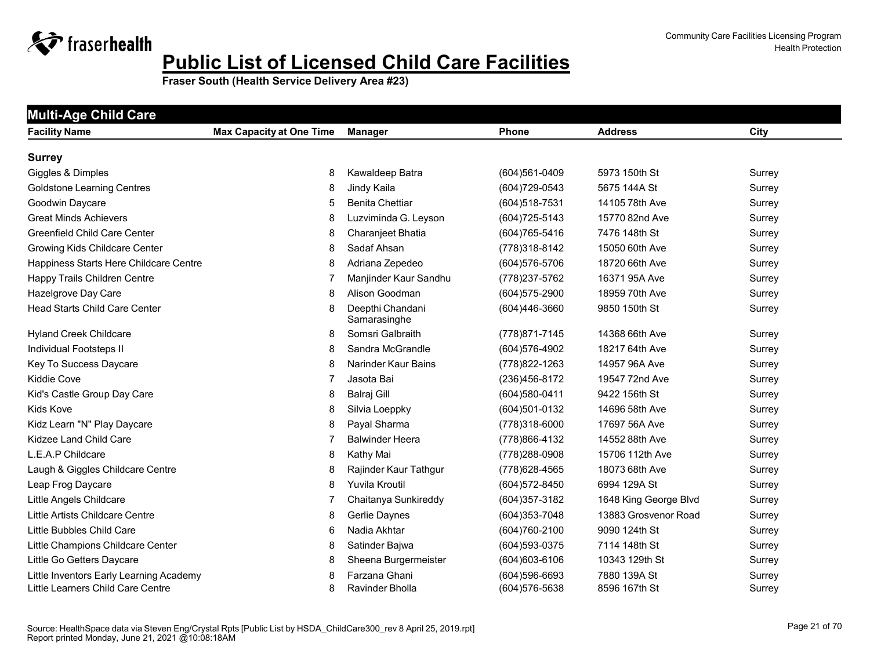

| <b>Multi-Age Child Care</b>             |                                 |                                  |                |                       |             |
|-----------------------------------------|---------------------------------|----------------------------------|----------------|-----------------------|-------------|
| <b>Facility Name</b>                    | <b>Max Capacity at One Time</b> | Manager                          | <b>Phone</b>   | <b>Address</b>        | <b>City</b> |
| <b>Surrey</b>                           |                                 |                                  |                |                       |             |
| Giggles & Dimples                       | 8                               | Kawaldeep Batra                  | (604)561-0409  | 5973 150th St         | Surrey      |
| <b>Goldstone Learning Centres</b>       | 8                               | Jindy Kaila                      | (604) 729-0543 | 5675 144A St          | Surrey      |
| Goodwin Daycare                         | 5                               | <b>Benita Chettiar</b>           | (604) 518-7531 | 14105 78th Ave        | Surrey      |
| <b>Great Minds Achievers</b>            | 8                               | Luzviminda G. Leyson             | (604) 725-5143 | 15770 82nd Ave        | Surrey      |
| <b>Greenfield Child Care Center</b>     | 8                               | Charanjeet Bhatia                | (604) 765-5416 | 7476 148th St         | Surrey      |
| Growing Kids Childcare Center           | 8                               | Sadaf Ahsan                      | (778) 318-8142 | 15050 60th Ave        | Surrey      |
| Happiness Starts Here Childcare Centre  | 8                               | Adriana Zepedeo                  | (604) 576-5706 | 18720 66th Ave        | Surrey      |
| Happy Trails Children Centre            | 7                               | Manjinder Kaur Sandhu            | (778) 237-5762 | 16371 95A Ave         | Surrey      |
| Hazelgrove Day Care                     | 8                               | Alison Goodman                   | (604) 575-2900 | 18959 70th Ave        | Surrey      |
| <b>Head Starts Child Care Center</b>    | 8                               | Deepthi Chandani<br>Samarasinghe | (604)446-3660  | 9850 150th St         | Surrey      |
| <b>Hyland Creek Childcare</b>           | 8                               | Somsri Galbraith                 | (778) 871-7145 | 14368 66th Ave        | Surrey      |
| Individual Footsteps II                 | 8                               | Sandra McGrandle                 | (604) 576-4902 | 18217 64th Ave        | Surrey      |
| Key To Success Daycare                  | 8                               | Narinder Kaur Bains              | (778) 822-1263 | 14957 96A Ave         | Surrey      |
| <b>Kiddie Cove</b>                      | 7                               | Jasota Bai                       | (236) 456-8172 | 19547 72nd Ave        | Surrey      |
| Kid's Castle Group Day Care             | 8                               | <b>Balraj Gill</b>               | (604) 580-0411 | 9422 156th St         | Surrey      |
| Kids Kove                               | 8                               | Silvia Loeppky                   | (604)501-0132  | 14696 58th Ave        | Surrey      |
| Kidz Learn "N" Play Daycare             | 8                               | Payal Sharma                     | (778)318-6000  | 17697 56A Ave         | Surrey      |
| Kidzee Land Child Care                  | 7                               | <b>Balwinder Heera</b>           | (778) 866-4132 | 14552 88th Ave        | Surrey      |
| L.E.A.P Childcare                       | 8                               | Kathy Mai                        | (778) 288-0908 | 15706 112th Ave       | Surrey      |
| Laugh & Giggles Childcare Centre        | 8                               | Rajinder Kaur Tathgur            | (778) 628-4565 | 18073 68th Ave        | Surrey      |
| Leap Frog Daycare                       | 8                               | Yuvila Kroutil                   | (604) 572-8450 | 6994 129A St          | Surrey      |
| Little Angels Childcare                 | 7                               | Chaitanya Sunkireddy             | (604) 357-3182 | 1648 King George Blvd | Surrey      |
| Little Artists Childcare Centre         | 8                               | Gerlie Daynes                    | (604) 353-7048 | 13883 Grosvenor Road  | Surrey      |
| Little Bubbles Child Care               | 6                               | Nadia Akhtar                     | (604)760-2100  | 9090 124th St         | Surrey      |
| Little Champions Childcare Center       | 8                               | Satinder Bajwa                   | (604) 593-0375 | 7114 148th St         | Surrey      |
| Little Go Getters Daycare               | 8                               | Sheena Burgermeister             | (604) 603-6106 | 10343 129th St        | Surrey      |
| Little Inventors Early Learning Academy | 8                               | Farzana Ghani                    | (604)596-6693  | 7880 139A St          | Surrey      |
| Little Learners Child Care Centre       | 8                               | Ravinder Bholla                  | (604) 576-5638 | 8596 167th St         | Surrey      |
|                                         |                                 |                                  |                |                       |             |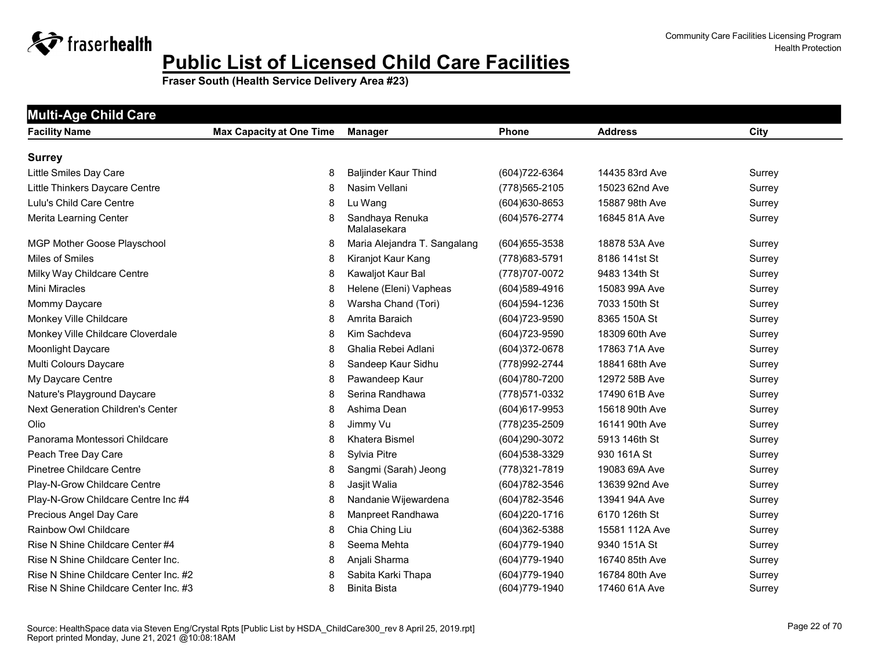

| <b>Multi-Age Child Care</b>           |                                 |                                 |                  |                |        |  |  |
|---------------------------------------|---------------------------------|---------------------------------|------------------|----------------|--------|--|--|
| <b>Facility Name</b>                  | <b>Max Capacity at One Time</b> | <b>Manager</b>                  | Phone            | <b>Address</b> | City   |  |  |
| <b>Surrey</b>                         |                                 |                                 |                  |                |        |  |  |
| Little Smiles Day Care                | 8                               | <b>Baljinder Kaur Thind</b>     | (604) 722-6364   | 14435 83rd Ave | Surrey |  |  |
| Little Thinkers Daycare Centre        | 8                               | Nasim Vellani                   | (778) 565-2105   | 15023 62nd Ave | Surrey |  |  |
| Lulu's Child Care Centre              | 8                               | Lu Wang                         | (604) 630-8653   | 15887 98th Ave | Surrey |  |  |
| Merita Learning Center                | 8                               | Sandhaya Renuka<br>Malalasekara | (604) 576-2774   | 16845 81A Ave  | Surrey |  |  |
| MGP Mother Goose Playschool           | 8                               | Maria Alejandra T. Sangalang    | $(604)$ 655-3538 | 18878 53A Ave  | Surrey |  |  |
| Miles of Smiles                       | 8                               | Kiranjot Kaur Kang              | (778) 683-5791   | 8186 141st St  | Surrey |  |  |
| Milky Way Childcare Centre            | 8                               | Kawaljot Kaur Bal               | (778) 707-0072   | 9483 134th St  | Surrey |  |  |
| Mini Miracles                         | 8                               | Helene (Eleni) Vapheas          | $(604)589-4916$  | 15083 99A Ave  | Surrey |  |  |
| Mommy Daycare                         | 8                               | Warsha Chand (Tori)             | (604)594-1236    | 7033 150th St  | Surrey |  |  |
| Monkey Ville Childcare                | 8                               | Amrita Baraich                  | (604) 723-9590   | 8365 150A St   | Surrey |  |  |
| Monkey Ville Childcare Cloverdale     | 8                               | Kim Sachdeva                    | (604) 723-9590   | 18309 60th Ave | Surrey |  |  |
| Moonlight Daycare                     | 8                               | Ghalia Rebei Adlani             | (604) 372-0678   | 17863 71A Ave  | Surrey |  |  |
| Multi Colours Daycare                 | 8                               | Sandeep Kaur Sidhu              | (778) 992-2744   | 18841 68th Ave | Surrey |  |  |
| My Daycare Centre                     | 8                               | Pawandeep Kaur                  | (604) 780-7200   | 12972 58B Ave  | Surrey |  |  |
| Nature's Playground Daycare           | 8                               | Serina Randhawa                 | (778) 571-0332   | 17490 61B Ave  | Surrey |  |  |
| Next Generation Children's Center     | 8                               | Ashima Dean                     | (604) 617-9953   | 15618 90th Ave | Surrey |  |  |
| Olio                                  | 8                               | Jimmy Vu                        | (778) 235-2509   | 16141 90th Ave | Surrey |  |  |
| Panorama Montessori Childcare         | 8                               | Khatera Bismel                  | (604) 290-3072   | 5913 146th St  | Surrey |  |  |
| Peach Tree Day Care                   | 8                               | Sylvia Pitre                    | (604) 538-3329   | 930 161A St    | Surrey |  |  |
| Pinetree Childcare Centre             | 8                               | Sangmi (Sarah) Jeong            | (778) 321-7819   | 19083 69A Ave  | Surrey |  |  |
| Play-N-Grow Childcare Centre          | 8                               | Jasjit Walia                    | (604) 782-3546   | 13639 92nd Ave | Surrey |  |  |
| Play-N-Grow Childcare Centre Inc #4   | 8                               | Nandanie Wijewardena            | (604) 782-3546   | 13941 94A Ave  | Surrey |  |  |
| Precious Angel Day Care               | 8                               | Manpreet Randhawa               | (604) 220-1716   | 6170 126th St  | Surrey |  |  |
| Rainbow Owl Childcare                 | 8                               | Chia Ching Liu                  | (604)362-5388    | 15581 112A Ave | Surrey |  |  |
| Rise N Shine Childcare Center #4      | 8                               | Seema Mehta                     | (604) 779-1940   | 9340 151A St   | Surrey |  |  |
| Rise N Shine Childcare Center Inc.    | 8                               | Anjali Sharma                   | (604) 779-1940   | 16740 85th Ave | Surrey |  |  |
| Rise N Shine Childcare Center Inc. #2 | 8                               | Sabita Karki Thapa              | (604) 779-1940   | 16784 80th Ave | Surrey |  |  |
| Rise N Shine Childcare Center Inc. #3 | 8                               | <b>Binita Bista</b>             | (604) 779-1940   | 17460 61A Ave  | Surrey |  |  |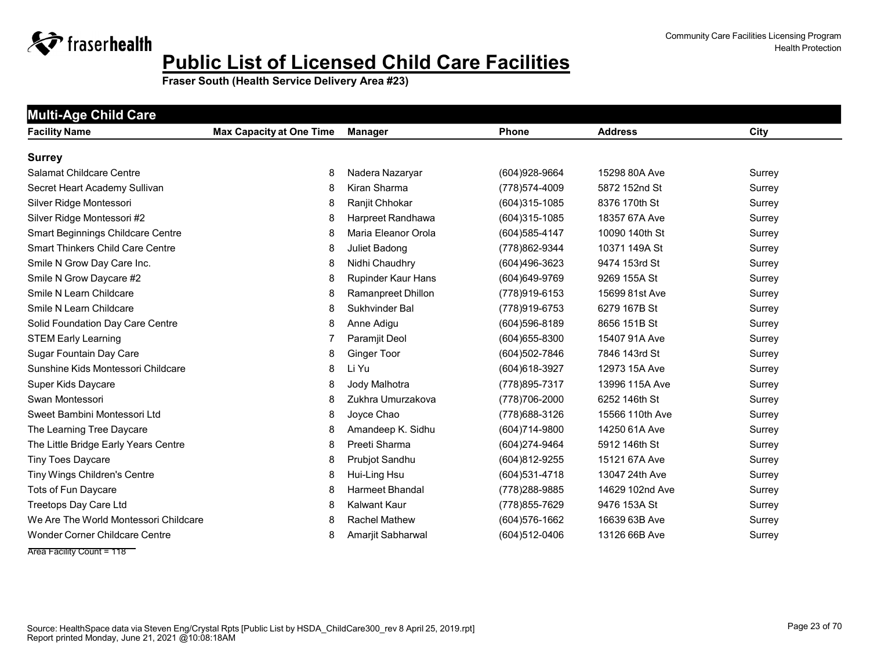

| <b>Facility Name</b>                    | <b>Max Capacity at One Time</b> | <b>Manager</b>         | Phone             | <b>Address</b>  | City   |
|-----------------------------------------|---------------------------------|------------------------|-------------------|-----------------|--------|
| <b>Surrey</b>                           |                                 |                        |                   |                 |        |
| <b>Salamat Childcare Centre</b>         | 8                               | Nadera Nazaryar        | (604) 928-9664    | 15298 80A Ave   | Surrey |
| Secret Heart Academy Sullivan           | 8                               | Kiran Sharma           | (778) 574-4009    | 5872 152nd St   | Surrey |
| Silver Ridge Montessori                 | 8                               | Ranjit Chhokar         | (604)315-1085     | 8376 170th St   | Surrey |
| Silver Ridge Montessori #2              | 8                               | Harpreet Randhawa      | $(604)315 - 1085$ | 18357 67A Ave   | Surrey |
| Smart Beginnings Childcare Centre       | 8                               | Maria Eleanor Orola    | (604) 585-4147    | 10090 140th St  | Surrey |
| <b>Smart Thinkers Child Care Centre</b> | 8                               | Juliet Badong          | (778)862-9344     | 10371 149A St   | Surrey |
| Smile N Grow Day Care Inc.              | 8                               | Nidhi Chaudhry         | (604)496-3623     | 9474 153rd St   | Surrey |
| Smile N Grow Daycare #2                 | 8                               | Rupinder Kaur Hans     | (604) 649-9769    | 9269 155A St    | Surrey |
| Smile N Learn Childcare                 | 8                               | Ramanpreet Dhillon     | (778)919-6153     | 15699 81st Ave  | Surrey |
| Smile N Learn Childcare                 | 8                               | Sukhvinder Bal         | (778)919-6753     | 6279 167B St    | Surrey |
| Solid Foundation Day Care Centre        | 8                               | Anne Adigu             | $(604)596 - 8189$ | 8656 151B St    | Surrey |
| <b>STEM Early Learning</b>              | 7                               | Paramjit Deol          | (604) 655-8300    | 15407 91A Ave   | Surrey |
| Sugar Fountain Day Care                 | 8                               | <b>Ginger Toor</b>     | (604)502-7846     | 7846 143rd St   | Surrey |
| Sunshine Kids Montessori Childcare      | 8                               | Li Yu                  | (604) 618-3927    | 12973 15A Ave   | Surrey |
| Super Kids Daycare                      | 8                               | Jody Malhotra          | (778) 895-7317    | 13996 115A Ave  | Surrey |
| Swan Montessori                         | 8                               | Zukhra Umurzakova      | (778) 706-2000    | 6252 146th St   | Surrey |
| Sweet Bambini Montessori Ltd            | 8                               | Joyce Chao             | (778) 688-3126    | 15566 110th Ave | Surrey |
| The Learning Tree Daycare               | 8                               | Amandeep K. Sidhu      | (604) 714-9800    | 14250 61A Ave   | Surrey |
| The Little Bridge Early Years Centre    | 8                               | Preeti Sharma          | (604)274-9464     | 5912 146th St   | Surrey |
| <b>Tiny Toes Daycare</b>                | 8                               | Prubjot Sandhu         | (604)812-9255     | 15121 67A Ave   | Surrey |
| Tiny Wings Children's Centre            | 8                               | Hui-Ling Hsu           | (604) 531-4718    | 13047 24th Ave  | Surrey |
| Tots of Fun Daycare                     | 8                               | <b>Harmeet Bhandal</b> | (778) 288-9885    | 14629 102nd Ave | Surrey |
| Treetops Day Care Ltd                   | 8                               | <b>Kalwant Kaur</b>    | (778) 855-7629    | 9476 153A St    | Surrey |
| We Are The World Montessori Childcare   | 8                               | <b>Rachel Mathew</b>   | (604) 576-1662    | 16639 63B Ave   | Surrey |
| Wonder Corner Childcare Centre          | 8                               | Amarjit Sabharwal      | (604)512-0406     | 13126 66B Ave   | Surrey |
| Area Facility Count = 118               |                                 |                        |                   |                 |        |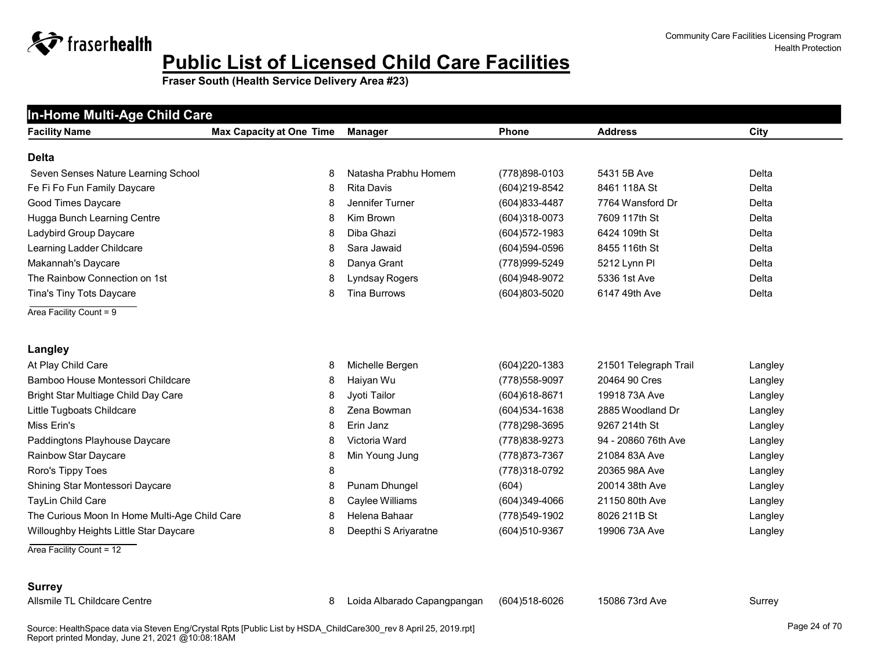**Fraser South (Health Service Delivery Area #23)**

| In-Home Multi-Age Child Care                  |                                 |                      |                   |                       |         |
|-----------------------------------------------|---------------------------------|----------------------|-------------------|-----------------------|---------|
| <b>Facility Name</b>                          | <b>Max Capacity at One Time</b> | <b>Manager</b>       | <b>Phone</b>      | <b>Address</b>        | City    |
| <b>Delta</b>                                  |                                 |                      |                   |                       |         |
| Seven Senses Nature Learning School           | 8                               | Natasha Prabhu Homem | (778)898-0103     | 5431 5B Ave           | Delta   |
| Fe Fi Fo Fun Family Daycare                   | 8                               | <b>Rita Davis</b>    | (604)219-8542     | 8461 118A St          | Delta   |
| Good Times Daycare                            | 8                               | Jennifer Turner      | (604) 833-4487    | 7764 Wansford Dr      | Delta   |
| Hugga Bunch Learning Centre                   | 8                               | Kim Brown            | (604)318-0073     | 7609 117th St         | Delta   |
| Ladybird Group Daycare                        | 8                               | Diba Ghazi           | (604) 572-1983    | 6424 109th St         | Delta   |
| Learning Ladder Childcare                     | 8                               | Sara Jawaid          | $(604)594 - 0596$ | 8455 116th St         | Delta   |
| Makannah's Daycare                            | 8                               | Danya Grant          | (778) 999-5249    | 5212 Lynn Pl          | Delta   |
| The Rainbow Connection on 1st                 | 8                               | Lyndsay Rogers       | (604) 948-9072    | 5336 1st Ave          | Delta   |
| Tina's Tiny Tots Daycare                      | 8                               | <b>Tina Burrows</b>  | (604)803-5020     | 6147 49th Ave         | Delta   |
| Area Facility Count = 9                       |                                 |                      |                   |                       |         |
|                                               |                                 |                      |                   |                       |         |
| Langley                                       |                                 |                      |                   |                       |         |
| At Play Child Care                            | 8                               | Michelle Bergen      | $(604)220-1383$   | 21501 Telegraph Trail | Langley |
| Bamboo House Montessori Childcare             | 8                               | Haiyan Wu            | (778) 558-9097    | 20464 90 Cres         | Langley |
| Bright Star Multiage Child Day Care           | 8                               | Jyoti Tailor         | $(604)618-8671$   | 19918 73A Ave         | Langley |
| Little Tugboats Childcare                     | 8                               | Zena Bowman          | (604) 534-1638    | 2885 Woodland Dr      | Langley |
| Miss Erin's                                   | 8                               | Erin Janz            | (778) 298-3695    | 9267 214th St         | Langley |
| Paddingtons Playhouse Daycare                 | 8                               | Victoria Ward        | (778) 838-9273    | 94 - 20860 76th Ave   | Langley |
| Rainbow Star Daycare                          | 8                               | Min Young Jung       | (778) 873-7367    | 21084 83A Ave         | Langley |
| Roro's Tippy Toes                             | 8                               |                      | (778)318-0792     | 20365 98A Ave         | Langley |
| Shining Star Montessori Daycare               | 8                               | Punam Dhungel        | (604)             | 20014 38th Ave        | Langley |
| TayLin Child Care                             | 8                               | Caylee Williams      | (604)349-4066     | 21150 80th Ave        | Langley |
| The Curious Moon In Home Multi-Age Child Care | 8                               | Helena Bahaar        | (778)549-1902     | 8026 211B St          | Langley |
| Willoughby Heights Little Star Daycare        | 8                               | Deepthi S Ariyaratne | (604)510-9367     | 19906 73A Ave         | Langley |

- Area Facility Count = 12
- **Surrey**

Allsmile TL Childcare Centre 8 Loida Albarado Capangpangan (604)518-6026 15086 73rd Ave Surrey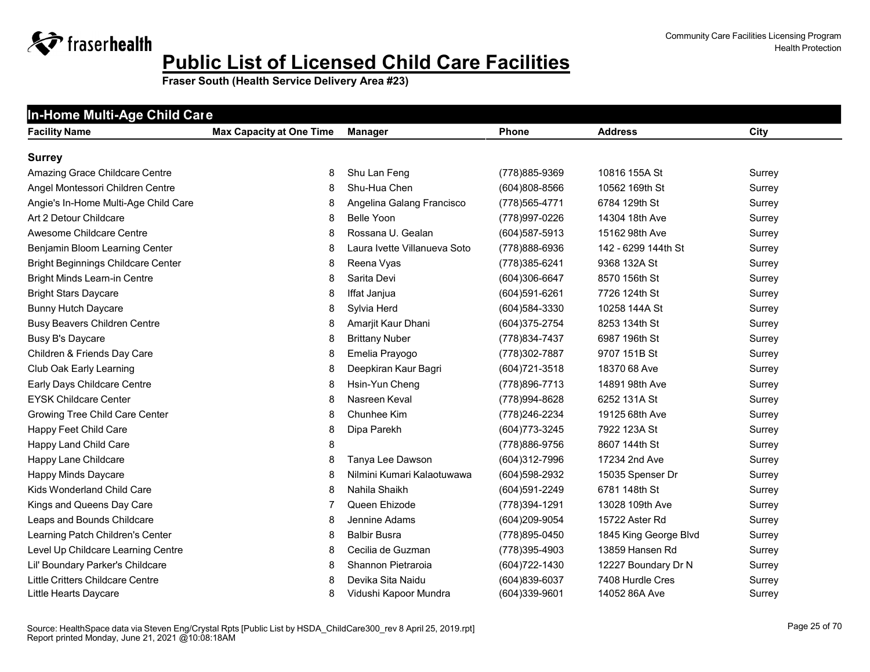| In-Home Multi-Age Child Care              |                                 |                              |                   |                       |        |
|-------------------------------------------|---------------------------------|------------------------------|-------------------|-----------------------|--------|
| <b>Facility Name</b>                      | <b>Max Capacity at One Time</b> | Manager                      | <b>Phone</b>      | <b>Address</b>        | City   |
| <b>Surrey</b>                             |                                 |                              |                   |                       |        |
| Amazing Grace Childcare Centre            | 8                               | Shu Lan Feng                 | (778) 885-9369    | 10816 155A St         | Surrey |
| Angel Montessori Children Centre          | 8                               | Shu-Hua Chen                 | $(604)808 - 8566$ | 10562 169th St        | Surrey |
| Angie's In-Home Multi-Age Child Care      | 8                               | Angelina Galang Francisco    | (778) 565-4771    | 6784 129th St         | Surrey |
| Art 2 Detour Childcare                    | 8                               | <b>Belle Yoon</b>            | (778) 997-0226    | 14304 18th Ave        | Surrey |
| Awesome Childcare Centre                  | 8                               | Rossana U. Gealan            | (604) 587-5913    | 15162 98th Ave        | Surrey |
| Benjamin Bloom Learning Center            | 8                               | Laura Ivette Villanueva Soto | (778)888-6936     | 142 - 6299 144th St   | Surrey |
| <b>Bright Beginnings Childcare Center</b> | 8                               | Reena Vyas                   | (778) 385-6241    | 9368 132A St          | Surrey |
| Bright Minds Learn-in Centre              | 8                               | Sarita Devi                  | (604)306-6647     | 8570 156th St         | Surrey |
| <b>Bright Stars Daycare</b>               | 8                               | Iffat Janjua                 | (604)591-6261     | 7726 124th St         | Surrey |
| <b>Bunny Hutch Daycare</b>                | 8                               | Sylvia Herd                  | (604) 584-3330    | 10258 144A St         | Surrey |
| <b>Busy Beavers Children Centre</b>       | 8                               | Amarjit Kaur Dhani           | (604) 375-2754    | 8253 134th St         | Surrey |
| Busy B's Daycare                          | 8                               | <b>Brittany Nuber</b>        | (778) 834-7437    | 6987 196th St         | Surrey |
| Children & Friends Day Care               | 8                               | Emelia Prayogo               | (778) 302-7887    | 9707 151B St          | Surrey |
| Club Oak Early Learning                   | 8                               | Deepkiran Kaur Bagri         | (604) 721-3518    | 18370 68 Ave          | Surrey |
| Early Days Childcare Centre               | 8                               | Hsin-Yun Cheng               | (778) 896-7713    | 14891 98th Ave        | Surrey |
| <b>EYSK Childcare Center</b>              | 8                               | Nasreen Keval                | (778) 994-8628    | 6252 131A St          | Surrey |
| Growing Tree Child Care Center            | 8                               | Chunhee Kim                  | (778) 246-2234    | 19125 68th Ave        | Surrey |
| Happy Feet Child Care                     | 8                               | Dipa Parekh                  | (604) 773-3245    | 7922 123A St          | Surrey |
| Happy Land Child Care                     | 8                               |                              | (778) 886-9756    | 8607 144th St         | Surrey |
| Happy Lane Childcare                      | 8                               | Tanya Lee Dawson             | (604)312-7996     | 17234 2nd Ave         | Surrey |
| Happy Minds Daycare                       | 8                               | Nilmini Kumari Kalaotuwawa   | (604) 598-2932    | 15035 Spenser Dr      | Surrey |
| Kids Wonderland Child Care                | 8                               | Nahila Shaikh                | (604)591-2249     | 6781 148th St         | Surrey |
| Kings and Queens Day Care                 | 7                               | Queen Ehizode                | (778) 394-1291    | 13028 109th Ave       | Surrey |
| Leaps and Bounds Childcare                | 8                               | Jennine Adams                | (604)209-9054     | 15722 Aster Rd        | Surrey |
| Learning Patch Children's Center          | 8                               | <b>Balbir Busra</b>          | (778) 895-0450    | 1845 King George Blvd | Surrey |
| Level Up Childcare Learning Centre        | 8                               | Cecilia de Guzman            | (778) 395-4903    | 13859 Hansen Rd       | Surrey |
| Lil' Boundary Parker's Childcare          | 8                               | Shannon Pietraroia           | (604) 722-1430    | 12227 Boundary Dr N   | Surrey |
| Little Critters Childcare Centre          | 8                               | Devika Sita Naidu            | $(604)839-6037$   | 7408 Hurdle Cres      | Surrey |
| Little Hearts Daycare                     | 8                               | Vidushi Kapoor Mundra        | $(604)339-9601$   | 14052 86A Ave         | Surrey |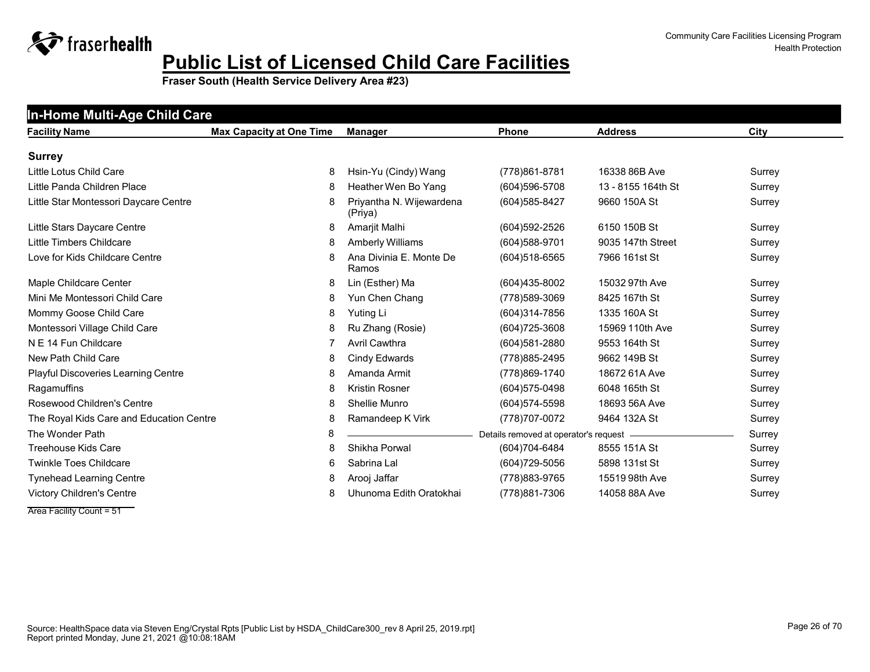| <b>Facility Name</b>                     | <b>Max Capacity at One Time</b> | <b>Manager</b>                   | Phone                                   | <b>Address</b>     | City   |
|------------------------------------------|---------------------------------|----------------------------------|-----------------------------------------|--------------------|--------|
| <b>Surrey</b>                            |                                 |                                  |                                         |                    |        |
| Little Lotus Child Care                  | 8                               | Hsin-Yu (Cindy) Wang             | (778) 861-8781                          | 16338 86B Ave      | Surrey |
| Little Panda Children Place              | 8                               | Heather Wen Bo Yang              | (604) 596-5708                          | 13 - 8155 164th St | Surrey |
|                                          | 8                               | Priyantha N. Wijewardena         |                                         |                    |        |
| Little Star Montessori Daycare Centre    |                                 | (Priya)                          | (604) 585-8427                          | 9660 150A St       | Surrey |
| Little Stars Daycare Centre              | 8                               | Amarjit Malhi                    | (604) 592-2526                          | 6150 150B St       | Surrey |
| Little Timbers Childcare                 | 8                               | Amberly Williams                 | (604) 588-9701                          | 9035 147th Street  | Surrey |
| Love for Kids Childcare Centre           | 8                               | Ana Divinia E. Monte De<br>Ramos | (604) 518-6565                          | 7966 161st St      | Surrey |
| Maple Childcare Center                   | 8                               | Lin (Esther) Ma                  | (604)435-8002                           | 15032 97th Ave     | Surrey |
| Mini Me Montessori Child Care            | 8                               | Yun Chen Chang                   | (778) 589-3069                          | 8425 167th St      | Surrey |
| Mommy Goose Child Care                   | 8                               | Yuting Li                        | $(604)314 - 7856$                       | 1335 160A St       | Surrey |
| Montessori Village Child Care            | 8                               | Ru Zhang (Rosie)                 | $(604)725 - 3608$                       | 15969 110th Ave    | Surrey |
| N E 14 Fun Childcare                     | 7                               | <b>Avril Cawthra</b>             | $(604)581 - 2880$                       | 9553 164th St      | Surrey |
| New Path Child Care                      | 8                               | Cindy Edwards                    | (778) 885-2495                          | 9662 149B St       | Surrey |
| Playful Discoveries Learning Centre      | 8                               | Amanda Armit                     | (778) 869-1740                          | 18672 61A Ave      | Surrey |
| Ragamuffins                              | 8                               | <b>Kristin Rosner</b>            | (604) 575-0498                          | 6048 165th St      | Surrey |
| Rosewood Children's Centre               | 8                               | Shellie Munro                    | $(604)574 - 5598$                       | 18693 56A Ave      | Surrey |
| The Royal Kids Care and Education Centre | 8                               | Ramandeep K Virk                 | (778) 707-0072                          | 9464 132A St       | Surrey |
| The Wonder Path                          | 8                               |                                  | Details removed at operator's request - |                    | Surrey |
| <b>Treehouse Kids Care</b>               | 8                               | Shikha Porwal                    | (604)704-6484                           | 8555 151A St       | Surrey |
| <b>Twinkle Toes Childcare</b>            | 6                               | Sabrina Lal                      | (604) 729-5056                          | 5898 131st St      | Surrey |
| <b>Tynehead Learning Centre</b>          | 8                               | Arooj Jaffar                     | (778) 883-9765                          | 15519 98th Ave     | Surrey |
| Victory Children's Centre                | 8                               | Uhunoma Edith Oratokhai          | (778) 881-7306                          | 14058 88A Ave      | Surrey |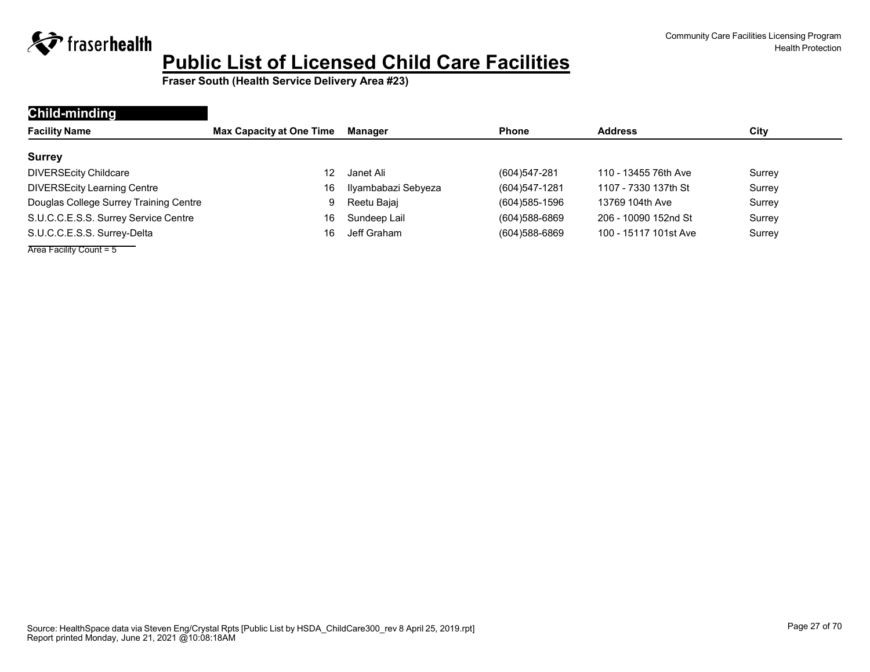

| Child-minding                          |                                 |                     |                |                       |        |
|----------------------------------------|---------------------------------|---------------------|----------------|-----------------------|--------|
| <b>Facility Name</b>                   | <b>Max Capacity at One Time</b> | Manager             | <b>Phone</b>   | <b>Address</b>        | City   |
| <b>Surrey</b>                          |                                 |                     |                |                       |        |
| <b>DIVERSEcity Childcare</b>           | 12                              | Janet Ali           | (604)547-281   | 110 - 13455 76th Ave  | Surrey |
| <b>DIVERSEcity Learning Centre</b>     | 16                              | Ilyambabazi Sebyeza | (604)547-1281  | 1107 - 7330 137th St  | Surrey |
| Douglas College Surrey Training Centre | 9                               | Reetu Bajaj         | (604) 585-1596 | 13769 104th Ave       | Surrey |
| S.U.C.C.E.S.S. Surrey Service Centre   | 16                              | Sundeep Lail        | (604) 588-6869 | 206 - 10090 152nd St  | Surrey |
| S.U.C.C.E.S.S. Surrey-Delta            | 16                              | Jeff Graham         | (604) 588-6869 | 100 - 15117 101st Ave | Surrey |
| Area Facility Count = $5$              |                                 |                     |                |                       |        |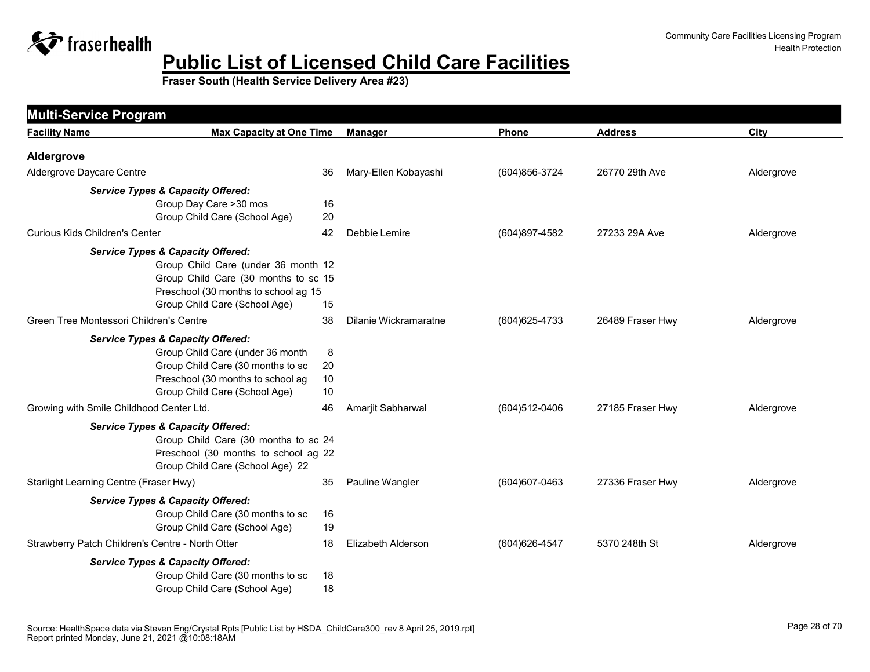

<span id="page-27-0"></span>

| <b>Facility Name</b>                             | <b>Max Capacity at One Time</b>                                                                                                                                                                                    | <b>Manager</b>            | <b>Phone</b>   | <b>Address</b>   | City       |
|--------------------------------------------------|--------------------------------------------------------------------------------------------------------------------------------------------------------------------------------------------------------------------|---------------------------|----------------|------------------|------------|
| Aldergrove                                       |                                                                                                                                                                                                                    |                           |                |                  |            |
| Aldergrove Daycare Centre                        | 36                                                                                                                                                                                                                 | Mary-Ellen Kobayashi      | (604) 856-3724 | 26770 29th Ave   | Aldergrove |
|                                                  | <b>Service Types &amp; Capacity Offered:</b><br>Group Day Care >30 mos<br>16<br>Group Child Care (School Age)<br>20                                                                                                |                           |                |                  |            |
| <b>Curious Kids Children's Center</b>            | 42                                                                                                                                                                                                                 | Debbie Lemire             | (604)897-4582  | 27233 29A Ave    | Aldergrove |
|                                                  | <b>Service Types &amp; Capacity Offered:</b><br>Group Child Care (under 36 month 12<br>Group Child Care (30 months to sc 15<br>Preschool (30 months to school ag 15<br>Group Child Care (School Age)<br>15         |                           |                |                  |            |
| Green Tree Montessori Children's Centre          | 38                                                                                                                                                                                                                 | Dilanie Wickramaratne     | (604) 625-4733 | 26489 Fraser Hwy | Aldergrove |
|                                                  | <b>Service Types &amp; Capacity Offered:</b><br>Group Child Care (under 36 month<br>8<br>Group Child Care (30 months to sc<br>20<br>Preschool (30 months to school ag<br>10<br>Group Child Care (School Age)<br>10 |                           |                |                  |            |
| Growing with Smile Childhood Center Ltd.         | 46                                                                                                                                                                                                                 | Amarjit Sabharwal         | (604)512-0406  | 27185 Fraser Hwy | Aldergrove |
|                                                  | <b>Service Types &amp; Capacity Offered:</b><br>Group Child Care (30 months to sc 24<br>Preschool (30 months to school ag 22<br>Group Child Care (School Age) 22                                                   |                           |                |                  |            |
| Starlight Learning Centre (Fraser Hwy)           | 35                                                                                                                                                                                                                 | Pauline Wangler           | (604) 607-0463 | 27336 Fraser Hwy | Aldergrove |
|                                                  | <b>Service Types &amp; Capacity Offered:</b><br>Group Child Care (30 months to sc<br>16<br>Group Child Care (School Age)<br>19                                                                                     |                           |                |                  |            |
| Strawberry Patch Children's Centre - North Otter | 18                                                                                                                                                                                                                 | <b>Elizabeth Alderson</b> | (604) 626-4547 | 5370 248th St    | Aldergrove |
|                                                  | <b>Service Types &amp; Capacity Offered:</b><br>Group Child Care (30 months to sc<br>18<br>Group Child Care (School Age)<br>18                                                                                     |                           |                |                  |            |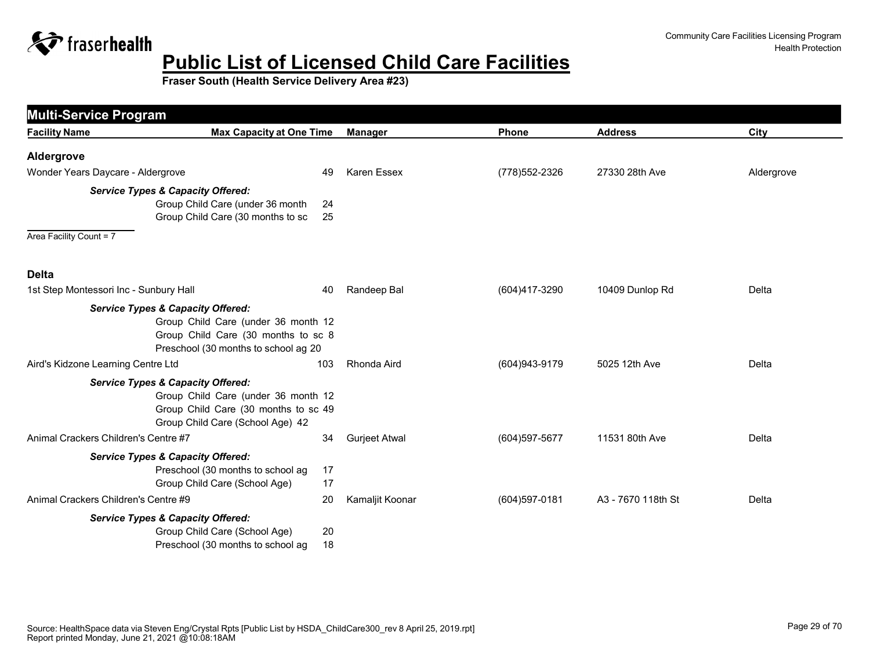

| <b>Multi-Service Program</b>                                            |                                                                                                                    |          |                      |                |                    |            |
|-------------------------------------------------------------------------|--------------------------------------------------------------------------------------------------------------------|----------|----------------------|----------------|--------------------|------------|
| <b>Facility Name</b>                                                    | <b>Max Capacity at One Time</b>                                                                                    |          | <b>Manager</b>       | Phone          | <b>Address</b>     | City       |
| Aldergrove                                                              |                                                                                                                    |          |                      |                |                    |            |
| Wonder Years Daycare - Aldergrove                                       |                                                                                                                    | 49       | <b>Karen Essex</b>   | (778) 552-2326 | 27330 28th Ave     | Aldergrove |
| <b>Service Types &amp; Capacity Offered:</b><br>Area Facility Count = 7 | Group Child Care (under 36 month<br>Group Child Care (30 months to sc                                              | 24<br>25 |                      |                |                    |            |
| <b>Delta</b>                                                            |                                                                                                                    |          |                      |                |                    |            |
| 1st Step Montessori Inc - Sunbury Hall                                  |                                                                                                                    | 40       | Randeep Bal          | (604)417-3290  | 10409 Dunlop Rd    | Delta      |
| <b>Service Types &amp; Capacity Offered:</b>                            | Group Child Care (under 36 month 12<br>Group Child Care (30 months to sc 8<br>Preschool (30 months to school ag 20 |          |                      |                |                    |            |
| Aird's Kidzone Learning Centre Ltd                                      | 103                                                                                                                |          | Rhonda Aird          | (604) 943-9179 | 5025 12th Ave      | Delta      |
| <b>Service Types &amp; Capacity Offered:</b>                            | Group Child Care (under 36 month 12<br>Group Child Care (30 months to sc 49<br>Group Child Care (School Age) 42    |          |                      |                |                    |            |
| Animal Crackers Children's Centre #7                                    |                                                                                                                    | 34       | <b>Gurjeet Atwal</b> | (604) 597-5677 | 11531 80th Ave     | Delta      |
| <b>Service Types &amp; Capacity Offered:</b>                            | Preschool (30 months to school ag<br>Group Child Care (School Age)                                                 | 17<br>17 |                      |                |                    |            |
| Animal Crackers Children's Centre #9                                    |                                                                                                                    | 20       | Kamaljit Koonar      | (604) 597-0181 | A3 - 7670 118th St | Delta      |
| <b>Service Types &amp; Capacity Offered:</b>                            | Group Child Care (School Age)<br>Preschool (30 months to school ag                                                 | 20<br>18 |                      |                |                    |            |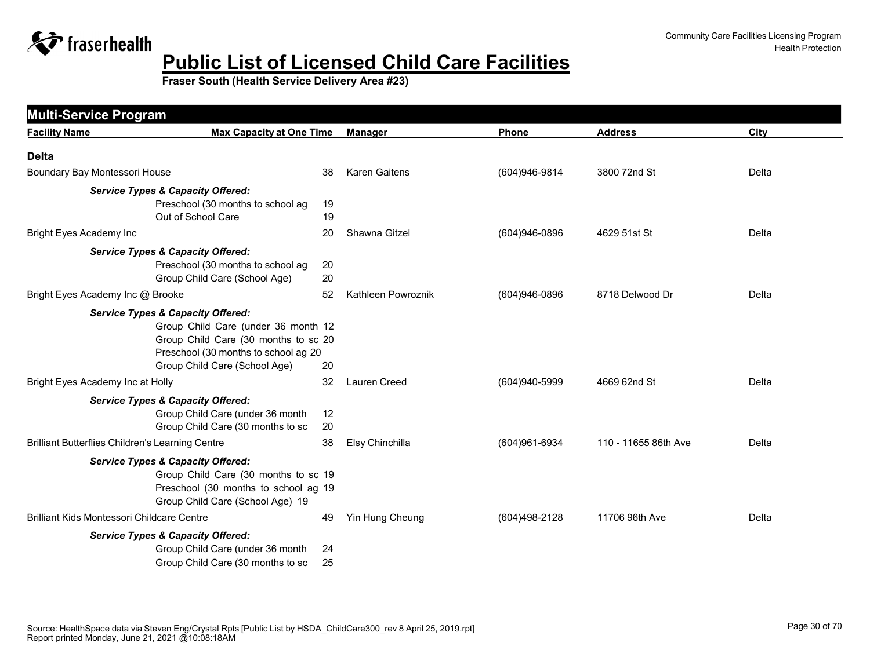

| <b>Facility Name</b>                                    | <b>Max Capacity at One Time</b>              |    | <b>Manager</b>       | Phone           | <b>Address</b>       | City  |
|---------------------------------------------------------|----------------------------------------------|----|----------------------|-----------------|----------------------|-------|
|                                                         |                                              |    |                      |                 |                      |       |
| <b>Delta</b>                                            |                                              |    |                      |                 |                      |       |
| Boundary Bay Montessori House                           |                                              | 38 | <b>Karen Gaitens</b> | (604)946-9814   | 3800 72nd St         | Delta |
|                                                         | <b>Service Types &amp; Capacity Offered:</b> |    |                      |                 |                      |       |
|                                                         | Preschool (30 months to school ag            | 19 |                      |                 |                      |       |
|                                                         | Out of School Care                           | 19 |                      |                 |                      |       |
| <b>Bright Eyes Academy Inc</b>                          |                                              | 20 | Shawna Gitzel        | $(604)946-0896$ | 4629 51st St         | Delta |
|                                                         | <b>Service Types &amp; Capacity Offered:</b> |    |                      |                 |                      |       |
|                                                         | Preschool (30 months to school ag            | 20 |                      |                 |                      |       |
|                                                         | Group Child Care (School Age)                | 20 |                      |                 |                      |       |
| Bright Eyes Academy Inc @ Brooke                        |                                              | 52 | Kathleen Powroznik   | (604)946-0896   | 8718 Delwood Dr      | Delta |
|                                                         | <b>Service Types &amp; Capacity Offered:</b> |    |                      |                 |                      |       |
|                                                         | Group Child Care (under 36 month 12          |    |                      |                 |                      |       |
|                                                         | Group Child Care (30 months to sc 20         |    |                      |                 |                      |       |
|                                                         | Preschool (30 months to school ag 20         |    |                      |                 |                      |       |
|                                                         | Group Child Care (School Age)                | 20 |                      |                 |                      |       |
| Bright Eyes Academy Inc at Holly                        |                                              | 32 | Lauren Creed         | (604)940-5999   | 4669 62nd St         | Delta |
|                                                         | <b>Service Types &amp; Capacity Offered:</b> |    |                      |                 |                      |       |
|                                                         | Group Child Care (under 36 month             | 12 |                      |                 |                      |       |
|                                                         | Group Child Care (30 months to sc            | 20 |                      |                 |                      |       |
| <b>Brilliant Butterflies Children's Learning Centre</b> |                                              | 38 | Elsy Chinchilla      | (604) 961-6934  | 110 - 11655 86th Ave | Delta |
|                                                         | <b>Service Types &amp; Capacity Offered:</b> |    |                      |                 |                      |       |
|                                                         | Group Child Care (30 months to sc 19         |    |                      |                 |                      |       |
|                                                         | Preschool (30 months to school ag 19         |    |                      |                 |                      |       |
|                                                         | Group Child Care (School Age) 19             |    |                      |                 |                      |       |
| Brilliant Kids Montessori Childcare Centre              |                                              | 49 | Yin Hung Cheung      | (604)498-2128   | 11706 96th Ave       | Delta |
|                                                         | <b>Service Types &amp; Capacity Offered:</b> |    |                      |                 |                      |       |
|                                                         | Group Child Care (under 36 month             | 24 |                      |                 |                      |       |
|                                                         | Group Child Care (30 months to sc            | 25 |                      |                 |                      |       |
|                                                         |                                              |    |                      |                 |                      |       |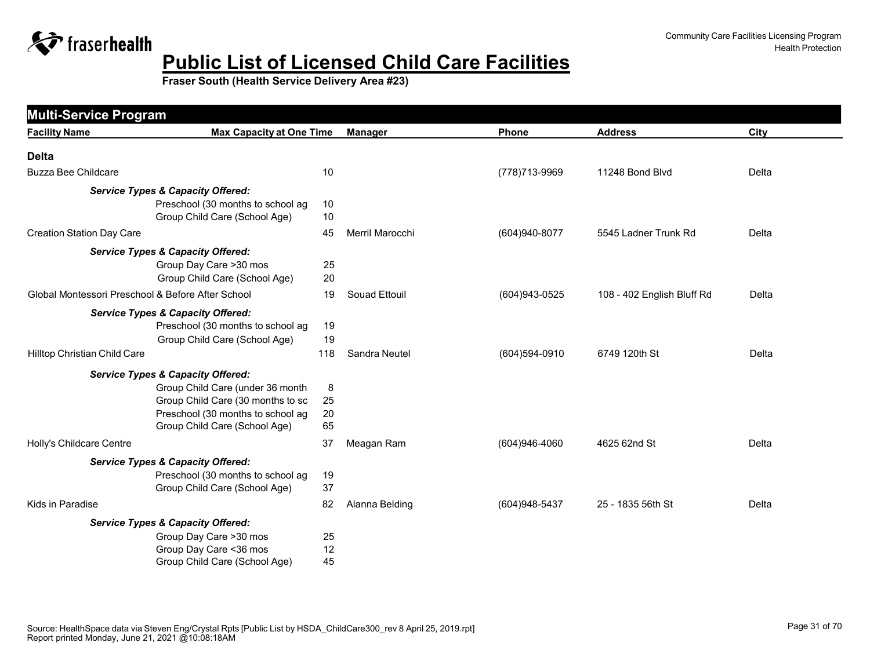

| <b>Multi-Service Program</b>                      |                                              |     |                 |                |                            |       |
|---------------------------------------------------|----------------------------------------------|-----|-----------------|----------------|----------------------------|-------|
| <b>Facility Name</b>                              | <b>Max Capacity at One Time</b>              |     | <b>Manager</b>  | Phone          | <b>Address</b>             | City  |
| <b>Delta</b>                                      |                                              |     |                 |                |                            |       |
| <b>Buzza Bee Childcare</b>                        |                                              | 10  |                 | (778) 713-9969 | 11248 Bond Blvd            | Delta |
|                                                   | <b>Service Types &amp; Capacity Offered:</b> |     |                 |                |                            |       |
|                                                   | Preschool (30 months to school ag            | 10  |                 |                |                            |       |
|                                                   | Group Child Care (School Age)                | 10  |                 |                |                            |       |
| <b>Creation Station Day Care</b>                  |                                              | 45  | Merril Marocchi | (604)940-8077  | 5545 Ladner Trunk Rd       | Delta |
|                                                   | <b>Service Types &amp; Capacity Offered:</b> |     |                 |                |                            |       |
|                                                   | Group Day Care >30 mos                       | 25  |                 |                |                            |       |
|                                                   | Group Child Care (School Age)                | 20  |                 |                |                            |       |
| Global Montessori Preschool & Before After School |                                              | 19  | Souad Ettouil   | (604) 943-0525 | 108 - 402 English Bluff Rd | Delta |
|                                                   | <b>Service Types &amp; Capacity Offered:</b> |     |                 |                |                            |       |
|                                                   | Preschool (30 months to school ag            | 19  |                 |                |                            |       |
|                                                   | Group Child Care (School Age)                | 19  |                 |                |                            |       |
| Hilltop Christian Child Care                      |                                              | 118 | Sandra Neutel   | (604)594-0910  | 6749 120th St              | Delta |
|                                                   | <b>Service Types &amp; Capacity Offered:</b> |     |                 |                |                            |       |
|                                                   | Group Child Care (under 36 month             | 8   |                 |                |                            |       |
|                                                   | Group Child Care (30 months to sc            | 25  |                 |                |                            |       |
|                                                   | Preschool (30 months to school ag            | 20  |                 |                |                            |       |
|                                                   | Group Child Care (School Age)                | 65  |                 |                |                            |       |
| Holly's Childcare Centre                          |                                              | 37  | Meagan Ram      | (604)946-4060  | 4625 62nd St               | Delta |
|                                                   | <b>Service Types &amp; Capacity Offered:</b> |     |                 |                |                            |       |
|                                                   | Preschool (30 months to school ag            | 19  |                 |                |                            |       |
|                                                   | Group Child Care (School Age)                | 37  |                 |                |                            |       |
| Kids in Paradise                                  |                                              | 82  | Alanna Belding  | (604) 948-5437 | 25 - 1835 56th St          | Delta |
|                                                   | <b>Service Types &amp; Capacity Offered:</b> |     |                 |                |                            |       |
|                                                   | Group Day Care >30 mos                       | 25  |                 |                |                            |       |
|                                                   | Group Day Care < 36 mos                      | 12  |                 |                |                            |       |
|                                                   | Group Child Care (School Age)                | 45  |                 |                |                            |       |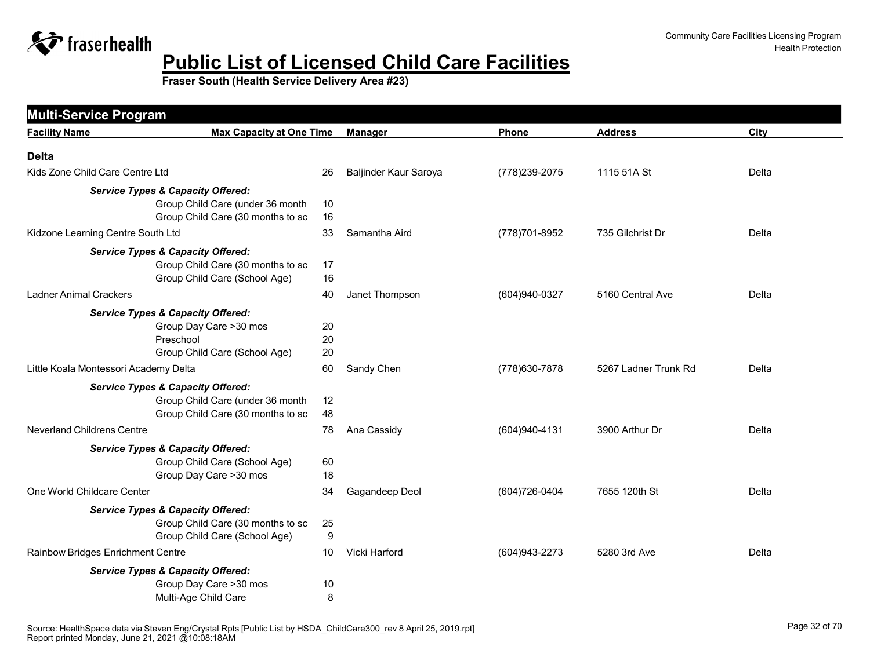

| <b>Multi-Service Program</b>                 |                                                                                   |                       |                |                      |       |
|----------------------------------------------|-----------------------------------------------------------------------------------|-----------------------|----------------|----------------------|-------|
| <b>Facility Name</b>                         | <b>Max Capacity at One Time</b>                                                   | <b>Manager</b>        | Phone          | <b>Address</b>       | City  |
| <b>Delta</b>                                 |                                                                                   |                       |                |                      |       |
| Kids Zone Child Care Centre Ltd              | 26                                                                                | Baljinder Kaur Saroya | (778) 239-2075 | 1115 51A St          | Delta |
| <b>Service Types &amp; Capacity Offered:</b> |                                                                                   |                       |                |                      |       |
|                                              | Group Child Care (under 36 month<br>10                                            |                       |                |                      |       |
|                                              | Group Child Care (30 months to sc<br>16                                           |                       |                |                      |       |
| Kidzone Learning Centre South Ltd            | 33                                                                                | Samantha Aird         | (778) 701-8952 | 735 Gilchrist Dr     | Delta |
| <b>Service Types &amp; Capacity Offered:</b> |                                                                                   |                       |                |                      |       |
|                                              | Group Child Care (30 months to sc<br>17                                           |                       |                |                      |       |
|                                              | 16<br>Group Child Care (School Age)                                               |                       |                |                      |       |
| <b>Ladner Animal Crackers</b>                | 40                                                                                | Janet Thompson        | (604)940-0327  | 5160 Central Ave     | Delta |
| <b>Service Types &amp; Capacity Offered:</b> |                                                                                   |                       |                |                      |       |
|                                              | Group Day Care >30 mos<br>20                                                      |                       |                |                      |       |
| Preschool                                    | 20                                                                                |                       |                |                      |       |
| Little Koala Montessori Academy Delta        | Group Child Care (School Age)<br>20<br>60                                         | Sandy Chen            | (778) 630-7878 | 5267 Ladner Trunk Rd | Delta |
|                                              |                                                                                   |                       |                |                      |       |
| <b>Service Types &amp; Capacity Offered:</b> |                                                                                   |                       |                |                      |       |
|                                              | Group Child Care (under 36 month<br>12<br>Group Child Care (30 months to sc<br>48 |                       |                |                      |       |
| <b>Neverland Childrens Centre</b>            | 78                                                                                | Ana Cassidy           | (604)940-4131  | 3900 Arthur Dr       | Delta |
| <b>Service Types &amp; Capacity Offered:</b> |                                                                                   |                       |                |                      |       |
|                                              | Group Child Care (School Age)<br>60                                               |                       |                |                      |       |
|                                              | Group Day Care >30 mos<br>18                                                      |                       |                |                      |       |
| One World Childcare Center                   | 34                                                                                | Gagandeep Deol        | (604) 726-0404 | 7655 120th St        | Delta |
| <b>Service Types &amp; Capacity Offered:</b> |                                                                                   |                       |                |                      |       |
|                                              | Group Child Care (30 months to sc<br>25                                           |                       |                |                      |       |
|                                              | Group Child Care (School Age)<br>9                                                |                       |                |                      |       |
| Rainbow Bridges Enrichment Centre            | 10                                                                                | Vicki Harford         | (604) 943-2273 | 5280 3rd Ave         | Delta |
| <b>Service Types &amp; Capacity Offered:</b> |                                                                                   |                       |                |                      |       |
|                                              | Group Day Care >30 mos<br>10                                                      |                       |                |                      |       |
|                                              | Multi-Age Child Care<br>8                                                         |                       |                |                      |       |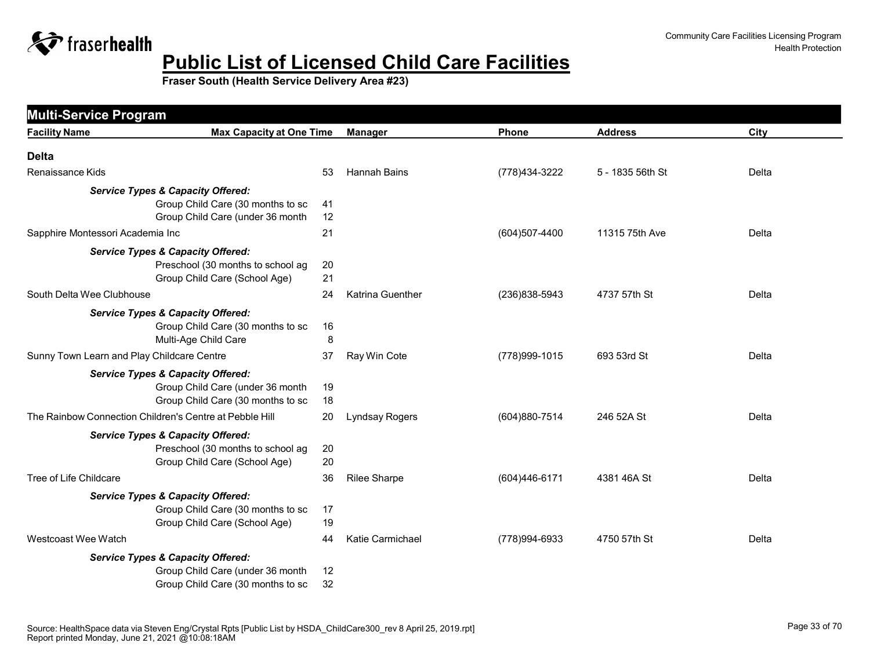

| <b>Facility Name</b>                                    | <b>Max Capacity at One Time</b>                                                                                       |                | <b>Manager</b>      | Phone          | <b>Address</b>   | City  |
|---------------------------------------------------------|-----------------------------------------------------------------------------------------------------------------------|----------------|---------------------|----------------|------------------|-------|
| <b>Delta</b>                                            |                                                                                                                       |                |                     |                |                  |       |
| Renaissance Kids                                        |                                                                                                                       | 53             | <b>Hannah Bains</b> | (778) 434-3222 | 5 - 1835 56th St | Delta |
|                                                         | <b>Service Types &amp; Capacity Offered:</b><br>Group Child Care (30 months to sc<br>Group Child Care (under 36 month | 41<br>12       |                     |                |                  |       |
| Sapphire Montessori Academia Inc                        |                                                                                                                       | 21             |                     | (604)507-4400  | 11315 75th Ave   | Delta |
|                                                         | <b>Service Types &amp; Capacity Offered:</b><br>Preschool (30 months to school ag<br>Group Child Care (School Age)    | 20<br>21       |                     |                |                  |       |
| South Delta Wee Clubhouse                               |                                                                                                                       | 24             | Katrina Guenther    | (236)838-5943  | 4737 57th St     | Delta |
|                                                         | <b>Service Types &amp; Capacity Offered:</b><br>Group Child Care (30 months to sc<br>Multi-Age Child Care             | 16<br>8        |                     |                |                  |       |
| Sunny Town Learn and Play Childcare Centre              |                                                                                                                       | 37             | Ray Win Cote        | (778) 999-1015 | 693 53rd St      | Delta |
| The Rainbow Connection Children's Centre at Pebble Hill | <b>Service Types &amp; Capacity Offered:</b><br>Group Child Care (under 36 month<br>Group Child Care (30 months to sc | 19<br>18<br>20 | Lyndsay Rogers      | (604)880-7514  | 246 52A St       | Delta |
|                                                         | <b>Service Types &amp; Capacity Offered:</b><br>Preschool (30 months to school ag<br>Group Child Care (School Age)    | 20<br>20       |                     |                |                  |       |
| Tree of Life Childcare                                  |                                                                                                                       | 36             | <b>Rilee Sharpe</b> | (604)446-6171  | 4381 46A St      | Delta |
|                                                         | <b>Service Types &amp; Capacity Offered:</b><br>Group Child Care (30 months to sc<br>Group Child Care (School Age)    | 17<br>19       |                     |                |                  |       |
| Westcoast Wee Watch                                     |                                                                                                                       | 44             | Katie Carmichael    | (778)994-6933  | 4750 57th St     | Delta |
|                                                         | <b>Service Types &amp; Capacity Offered:</b><br>Group Child Care (under 36 month<br>Group Child Care (30 months to sc | 12<br>32       |                     |                |                  |       |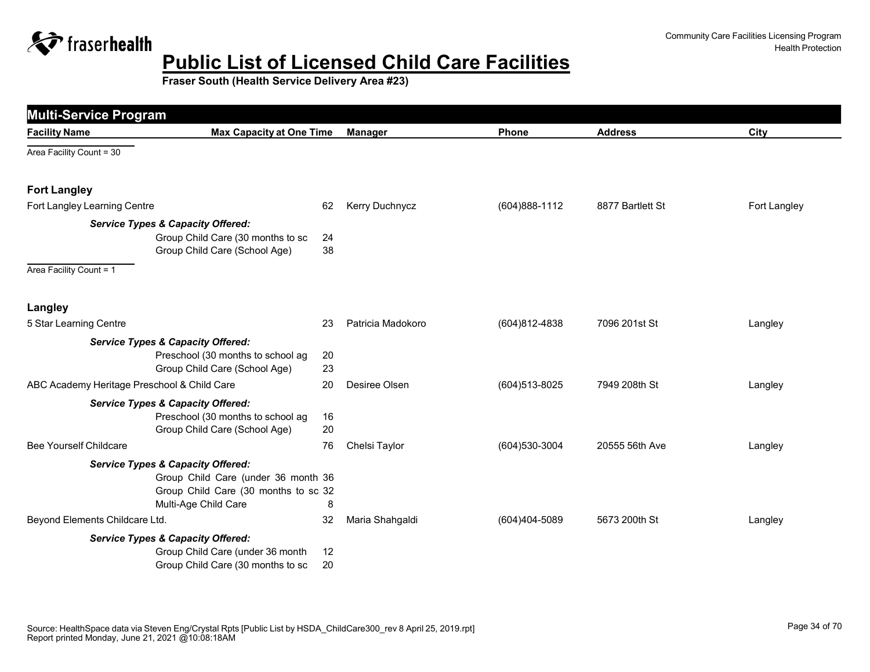

| <b>Multi-Service Program</b>                |                                                                                                                                                     |          |                   |                |                  |              |
|---------------------------------------------|-----------------------------------------------------------------------------------------------------------------------------------------------------|----------|-------------------|----------------|------------------|--------------|
| <b>Facility Name</b>                        | <b>Max Capacity at One Time</b>                                                                                                                     |          | <b>Manager</b>    | <b>Phone</b>   | <b>Address</b>   | City         |
| Area Facility Count = 30                    |                                                                                                                                                     |          |                   |                |                  |              |
| <b>Fort Langley</b>                         |                                                                                                                                                     |          |                   |                |                  |              |
| Fort Langley Learning Centre                |                                                                                                                                                     | 62       | Kerry Duchnycz    | (604) 888-1112 | 8877 Bartlett St | Fort Langley |
|                                             | <b>Service Types &amp; Capacity Offered:</b>                                                                                                        |          |                   |                |                  |              |
|                                             | Group Child Care (30 months to sc<br>Group Child Care (School Age)                                                                                  | 24<br>38 |                   |                |                  |              |
| Area Facility Count = 1                     |                                                                                                                                                     |          |                   |                |                  |              |
| Langley                                     |                                                                                                                                                     |          |                   |                |                  |              |
| 5 Star Learning Centre                      |                                                                                                                                                     | 23       | Patricia Madokoro | (604)812-4838  | 7096 201st St    | Langley      |
|                                             | <b>Service Types &amp; Capacity Offered:</b>                                                                                                        |          |                   |                |                  |              |
|                                             | Preschool (30 months to school ag<br>Group Child Care (School Age)                                                                                  | 20<br>23 |                   |                |                  |              |
| ABC Academy Heritage Preschool & Child Care |                                                                                                                                                     | 20       | Desiree Olsen     | (604) 513-8025 | 7949 208th St    | Langley      |
|                                             | <b>Service Types &amp; Capacity Offered:</b><br>Preschool (30 months to school ag<br>Group Child Care (School Age)                                  | 16<br>20 |                   |                |                  |              |
| <b>Bee Yourself Childcare</b>               |                                                                                                                                                     | 76       | Chelsi Taylor     | (604) 530-3004 | 20555 56th Ave   | Langley      |
|                                             | <b>Service Types &amp; Capacity Offered:</b><br>Group Child Care (under 36 month 36<br>Group Child Care (30 months to sc 32<br>Multi-Age Child Care | 8        |                   |                |                  |              |
| Beyond Elements Childcare Ltd.              |                                                                                                                                                     | 32       | Maria Shahgaldi   | (604)404-5089  | 5673 200th St    | Langley      |
|                                             | <b>Service Types &amp; Capacity Offered:</b>                                                                                                        |          |                   |                |                  |              |
|                                             | Group Child Care (under 36 month<br>Group Child Care (30 months to sc                                                                               | 12<br>20 |                   |                |                  |              |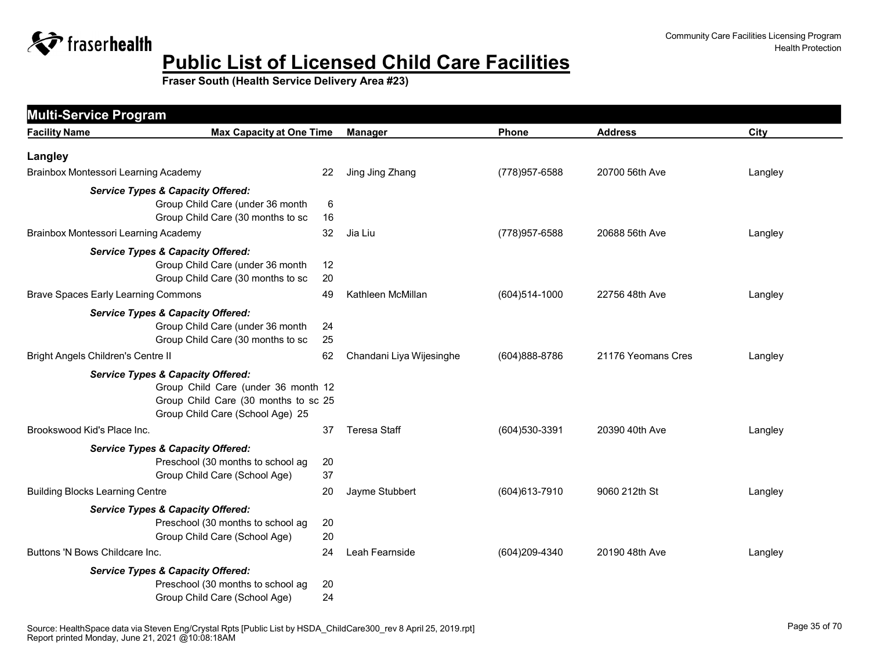

| <b>Facility Name</b>                       | <b>Max Capacity at One Time</b>                                                   |          | <b>Manager</b>           | Phone             | <b>Address</b>     | City    |
|--------------------------------------------|-----------------------------------------------------------------------------------|----------|--------------------------|-------------------|--------------------|---------|
| Langley                                    |                                                                                   |          |                          |                   |                    |         |
| Brainbox Montessori Learning Academy       |                                                                                   | 22       | Jing Jing Zhang          | (778) 957-6588    | 20700 56th Ave     | Langley |
|                                            | <b>Service Types &amp; Capacity Offered:</b>                                      |          |                          |                   |                    |         |
|                                            | Group Child Care (under 36 month                                                  | $\,6$    |                          |                   |                    |         |
|                                            | Group Child Care (30 months to sc                                                 | 16       |                          |                   |                    |         |
| Brainbox Montessori Learning Academy       |                                                                                   | 32       | Jia Liu                  | (778) 957-6588    | 20688 56th Ave     | Langley |
|                                            | <b>Service Types &amp; Capacity Offered:</b>                                      |          |                          |                   |                    |         |
|                                            | Group Child Care (under 36 month<br>Group Child Care (30 months to sc             | 12<br>20 |                          |                   |                    |         |
| <b>Brave Spaces Early Learning Commons</b> |                                                                                   | 49       | Kathleen McMillan        | $(604)514 - 1000$ | 22756 48th Ave     |         |
|                                            |                                                                                   |          |                          |                   |                    | Langley |
|                                            | <b>Service Types &amp; Capacity Offered:</b><br>Group Child Care (under 36 month  | 24       |                          |                   |                    |         |
|                                            | Group Child Care (30 months to sc                                                 | 25       |                          |                   |                    |         |
| <b>Bright Angels Children's Centre II</b>  |                                                                                   | 62       | Chandani Liya Wijesinghe | (604)888-8786     | 21176 Yeomans Cres | Langley |
|                                            | <b>Service Types &amp; Capacity Offered:</b>                                      |          |                          |                   |                    |         |
|                                            | Group Child Care (under 36 month 12                                               |          |                          |                   |                    |         |
|                                            | Group Child Care (30 months to sc 25                                              |          |                          |                   |                    |         |
|                                            | Group Child Care (School Age) 25                                                  |          |                          |                   |                    |         |
| Brookswood Kid's Place Inc.                |                                                                                   | 37       | <b>Teresa Staff</b>      | (604) 530-3391    | 20390 40th Ave     | Langley |
|                                            | <b>Service Types &amp; Capacity Offered:</b>                                      |          |                          |                   |                    |         |
|                                            | Preschool (30 months to school ag                                                 | 20       |                          |                   |                    |         |
|                                            | Group Child Care (School Age)                                                     | 37       |                          |                   |                    |         |
| <b>Building Blocks Learning Centre</b>     |                                                                                   | 20       | Jayme Stubbert           | (604) 613-7910    | 9060 212th St      | Langley |
|                                            | <b>Service Types &amp; Capacity Offered:</b>                                      |          |                          |                   |                    |         |
|                                            | Preschool (30 months to school ag<br>Group Child Care (School Age)                | 20<br>20 |                          |                   |                    |         |
| Buttons 'N Bows Childcare Inc.             |                                                                                   | 24       | Leah Fearnside           | (604)209-4340     | 20190 48th Ave     |         |
|                                            |                                                                                   |          |                          |                   |                    | Langley |
|                                            | <b>Service Types &amp; Capacity Offered:</b><br>Preschool (30 months to school ag | 20       |                          |                   |                    |         |
|                                            | Group Child Care (School Age)                                                     | 24       |                          |                   |                    |         |
|                                            |                                                                                   |          |                          |                   |                    |         |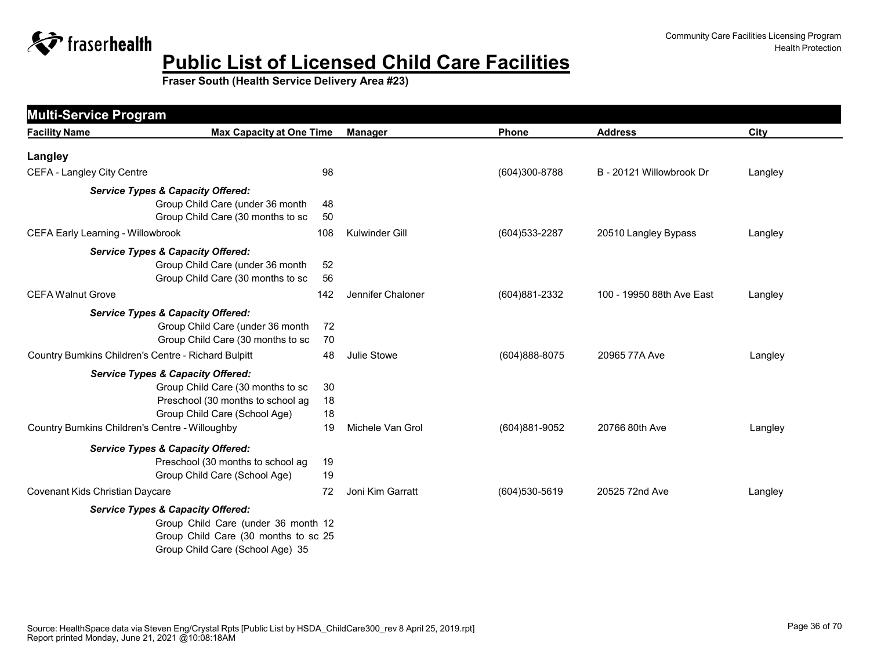

| <b>Facility Name</b>                                | <b>Max Capacity at One Time</b>      |     | <b>Manager</b>    | <b>Phone</b>   | <b>Address</b>            | City    |
|-----------------------------------------------------|--------------------------------------|-----|-------------------|----------------|---------------------------|---------|
|                                                     |                                      |     |                   |                |                           |         |
| Langley                                             |                                      |     |                   |                |                           |         |
| CEFA - Langley City Centre                          |                                      | 98  |                   | (604)300-8788  | B - 20121 Willowbrook Dr  | Langley |
| <b>Service Types &amp; Capacity Offered:</b>        |                                      |     |                   |                |                           |         |
|                                                     | Group Child Care (under 36 month     | 48  |                   |                |                           |         |
|                                                     | Group Child Care (30 months to sc    | 50  |                   |                |                           |         |
| <b>CEFA Early Learning - Willowbrook</b>            |                                      | 108 | Kulwinder Gill    | (604) 533-2287 | 20510 Langley Bypass      | Langley |
| <b>Service Types &amp; Capacity Offered:</b>        |                                      |     |                   |                |                           |         |
|                                                     | Group Child Care (under 36 month     | 52  |                   |                |                           |         |
|                                                     | Group Child Care (30 months to sc    | 56  |                   |                |                           |         |
| <b>CEFA Walnut Grove</b>                            |                                      | 142 | Jennifer Chaloner | (604)881-2332  | 100 - 19950 88th Ave East | Langley |
| <b>Service Types &amp; Capacity Offered:</b>        |                                      |     |                   |                |                           |         |
|                                                     | Group Child Care (under 36 month     | 72  |                   |                |                           |         |
|                                                     | Group Child Care (30 months to sc    | 70  |                   |                |                           |         |
| Country Bumkins Children's Centre - Richard Bulpitt |                                      | 48  | Julie Stowe       | (604) 888-8075 | 20965 77A Ave             | Langley |
| <b>Service Types &amp; Capacity Offered:</b>        |                                      |     |                   |                |                           |         |
|                                                     | Group Child Care (30 months to sc    | 30  |                   |                |                           |         |
|                                                     | Preschool (30 months to school ag    | 18  |                   |                |                           |         |
|                                                     | Group Child Care (School Age)        | 18  |                   |                |                           |         |
| Country Bumkins Children's Centre - Willoughby      |                                      | 19  | Michele Van Grol  | (604)881-9052  | 20766 80th Ave            | Langley |
| <b>Service Types &amp; Capacity Offered:</b>        |                                      |     |                   |                |                           |         |
|                                                     | Preschool (30 months to school ag    | 19  |                   |                |                           |         |
|                                                     | Group Child Care (School Age)        | 19  |                   |                |                           |         |
| Covenant Kids Christian Daycare                     |                                      | 72  | Joni Kim Garratt  | (604) 530-5619 | 20525 72nd Ave            | Langley |
| <b>Service Types &amp; Capacity Offered:</b>        |                                      |     |                   |                |                           |         |
|                                                     | Group Child Care (under 36 month 12  |     |                   |                |                           |         |
|                                                     | Group Child Care (30 months to sc 25 |     |                   |                |                           |         |
|                                                     | Group Child Care (School Age) 35     |     |                   |                |                           |         |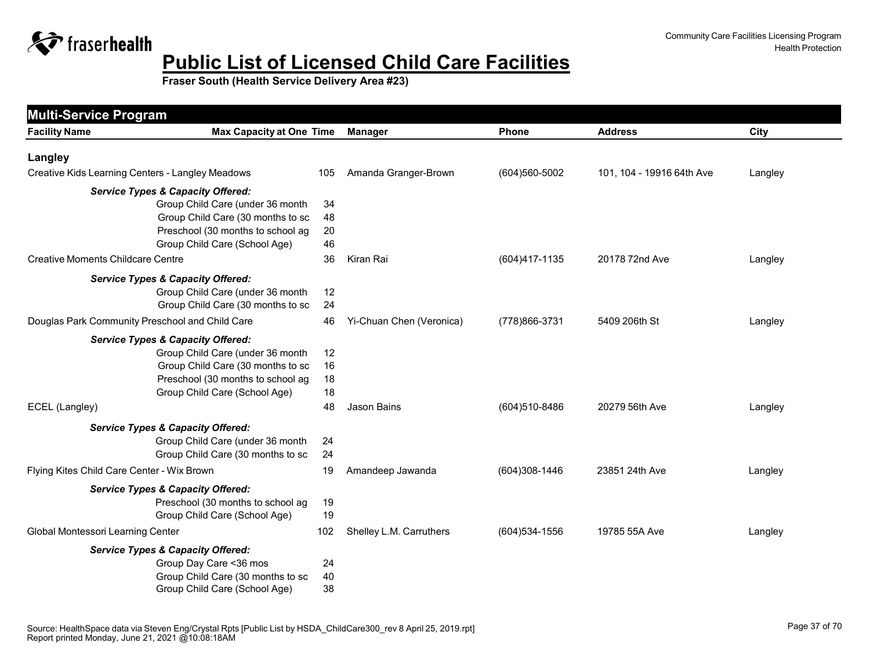

| <b>Max Capacity at One Time</b><br><b>Facility Name</b> |     | <b>Manager</b>           | Phone             | <b>Address</b>            | City    |
|---------------------------------------------------------|-----|--------------------------|-------------------|---------------------------|---------|
| Langley                                                 |     |                          |                   |                           |         |
| Creative Kids Learning Centers - Langley Meadows        | 105 | Amanda Granger-Brown     | (604)560-5002     | 101, 104 - 19916 64th Ave | Langley |
| <b>Service Types &amp; Capacity Offered:</b>            |     |                          |                   |                           |         |
| Group Child Care (under 36 month                        | 34  |                          |                   |                           |         |
| Group Child Care (30 months to sc                       | 48  |                          |                   |                           |         |
| Preschool (30 months to school ag                       | 20  |                          |                   |                           |         |
| Group Child Care (School Age)                           | 46  |                          |                   |                           |         |
| <b>Creative Moments Childcare Centre</b>                | 36  | Kiran Rai                | (604)417-1135     | 20178 72nd Ave            | Langley |
| <b>Service Types &amp; Capacity Offered:</b>            |     |                          |                   |                           |         |
| Group Child Care (under 36 month                        | 12  |                          |                   |                           |         |
| Group Child Care (30 months to sc                       | 24  |                          |                   |                           |         |
| Douglas Park Community Preschool and Child Care         | 46  | Yi-Chuan Chen (Veronica) | (778) 866-3731    | 5409 206th St             | Langley |
| <b>Service Types &amp; Capacity Offered:</b>            |     |                          |                   |                           |         |
| Group Child Care (under 36 month                        | 12  |                          |                   |                           |         |
| Group Child Care (30 months to sc                       | 16  |                          |                   |                           |         |
| Preschool (30 months to school ag                       | 18  |                          |                   |                           |         |
| Group Child Care (School Age)                           | 18  |                          |                   |                           |         |
| ECEL (Langley)                                          | 48  | Jason Bains              | (604)510-8486     | 20279 56th Ave            | Langley |
| <b>Service Types &amp; Capacity Offered:</b>            |     |                          |                   |                           |         |
| Group Child Care (under 36 month                        | 24  |                          |                   |                           |         |
| Group Child Care (30 months to sc                       | 24  |                          |                   |                           |         |
| Flying Kites Child Care Center - Wix Brown              | 19  | Amandeep Jawanda         | (604)308-1446     | 23851 24th Ave            | Langley |
| <b>Service Types &amp; Capacity Offered:</b>            |     |                          |                   |                           |         |
| Preschool (30 months to school ag                       | 19  |                          |                   |                           |         |
| Group Child Care (School Age)                           | 19  |                          |                   |                           |         |
| Global Montessori Learning Center                       | 102 | Shelley L.M. Carruthers  | $(604)534 - 1556$ | 19785 55A Ave             | Langley |
| <b>Service Types &amp; Capacity Offered:</b>            |     |                          |                   |                           |         |
| Group Day Care < 36 mos                                 | 24  |                          |                   |                           |         |
| Group Child Care (30 months to sc                       | 40  |                          |                   |                           |         |
| Group Child Care (School Age)                           | 38  |                          |                   |                           |         |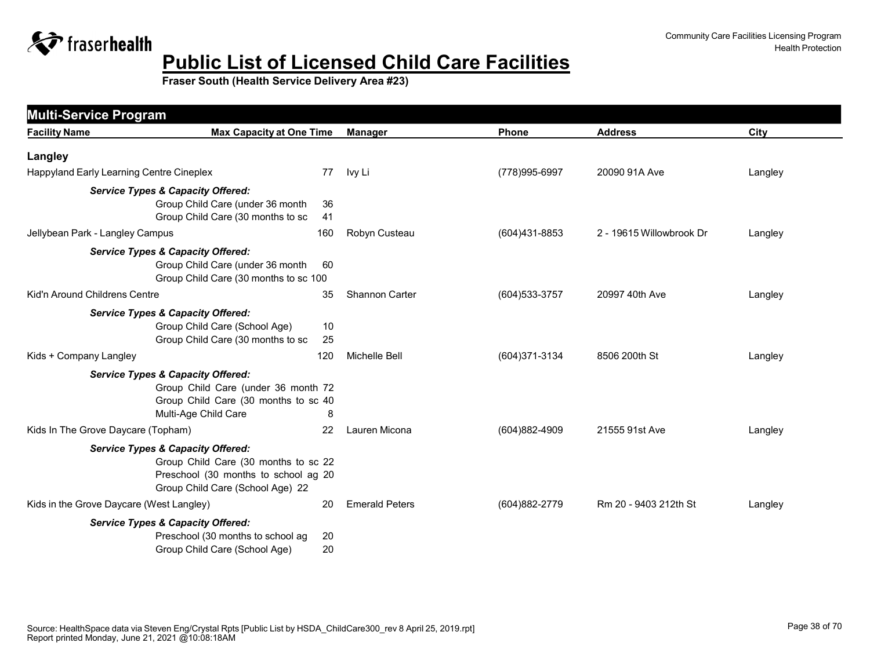

| <b>Multi-Service Program</b>             |                                                                                                                                                                  |          |                       |                |                          |         |
|------------------------------------------|------------------------------------------------------------------------------------------------------------------------------------------------------------------|----------|-----------------------|----------------|--------------------------|---------|
| <b>Facility Name</b>                     | <b>Max Capacity at One Time</b>                                                                                                                                  |          | <b>Manager</b>        | <b>Phone</b>   | <b>Address</b>           | City    |
| Langley                                  |                                                                                                                                                                  |          |                       |                |                          |         |
| Happyland Early Learning Centre Cineplex |                                                                                                                                                                  | 77       | Ivy Li                | (778) 995-6997 | 20090 91A Ave            | Langley |
|                                          | <b>Service Types &amp; Capacity Offered:</b><br>Group Child Care (under 36 month<br>Group Child Care (30 months to sc                                            | 36<br>41 |                       |                |                          |         |
| Jellybean Park - Langley Campus          |                                                                                                                                                                  | 160      | Robyn Custeau         | (604)431-8853  | 2 - 19615 Willowbrook Dr | Langley |
|                                          | <b>Service Types &amp; Capacity Offered:</b><br>Group Child Care (under 36 month<br>Group Child Care (30 months to sc 100                                        | 60       |                       |                |                          |         |
| Kid'n Around Childrens Centre            |                                                                                                                                                                  | 35       | <b>Shannon Carter</b> | (604) 533-3757 | 20997 40th Ave           | Langley |
|                                          | <b>Service Types &amp; Capacity Offered:</b><br>Group Child Care (School Age)<br>Group Child Care (30 months to sc                                               | 10<br>25 |                       |                |                          |         |
| Kids + Company Langley                   |                                                                                                                                                                  | 120      | Michelle Bell         | (604)371-3134  | 8506 200th St            | Langley |
|                                          | <b>Service Types &amp; Capacity Offered:</b><br>Group Child Care (under 36 month 72<br>Group Child Care (30 months to sc 40<br>Multi-Age Child Care              | 8        |                       |                |                          |         |
| Kids In The Grove Daycare (Topham)       |                                                                                                                                                                  | 22       | Lauren Micona         | (604)882-4909  | 21555 91st Ave           | Langley |
|                                          | <b>Service Types &amp; Capacity Offered:</b><br>Group Child Care (30 months to sc 22<br>Preschool (30 months to school ag 20<br>Group Child Care (School Age) 22 |          |                       |                |                          |         |
| Kids in the Grove Daycare (West Langley) |                                                                                                                                                                  | 20       | <b>Emerald Peters</b> | (604)882-2779  | Rm 20 - 9403 212th St    | Langley |
|                                          | <b>Service Types &amp; Capacity Offered:</b><br>Preschool (30 months to school ag<br>Group Child Care (School Age)                                               | 20<br>20 |                       |                |                          |         |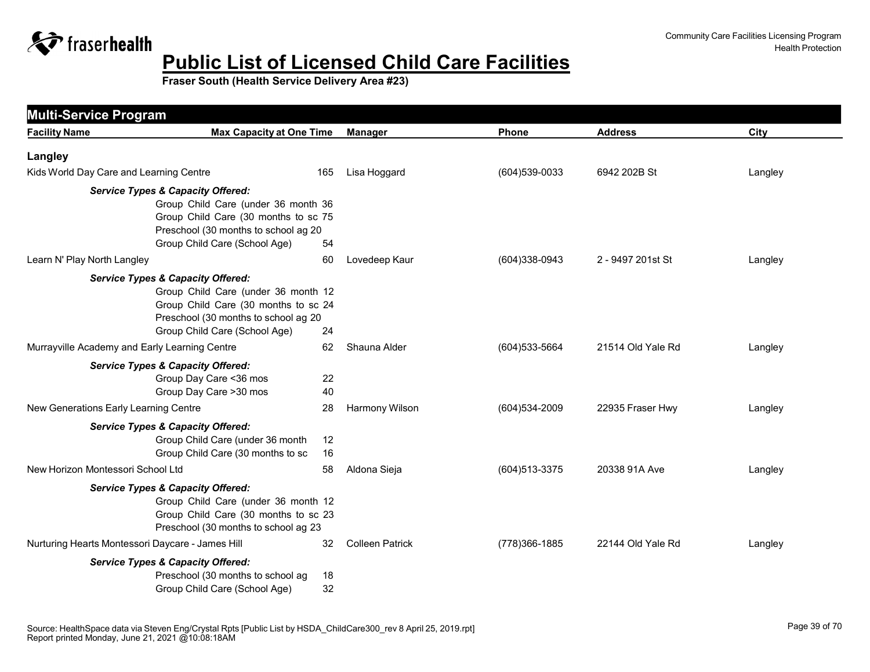

| <b>Multi-Service Program</b>                     |                                                                                                                                                            |                        |                |                   |         |
|--------------------------------------------------|------------------------------------------------------------------------------------------------------------------------------------------------------------|------------------------|----------------|-------------------|---------|
| <b>Facility Name</b>                             | <b>Max Capacity at One Time</b>                                                                                                                            | <b>Manager</b>         | Phone          | <b>Address</b>    | City    |
| Langley                                          |                                                                                                                                                            |                        |                |                   |         |
| Kids World Day Care and Learning Centre          | 165                                                                                                                                                        | Lisa Hoggard           | (604) 539-0033 | 6942 202B St      | Langley |
| <b>Service Types &amp; Capacity Offered:</b>     | Group Child Care (under 36 month 36<br>Group Child Care (30 months to sc 75<br>Preschool (30 months to school ag 20<br>Group Child Care (School Age)<br>54 |                        |                |                   |         |
| Learn N' Play North Langley                      | 60                                                                                                                                                         | Lovedeep Kaur          | (604)338-0943  | 2 - 9497 201st St | Langley |
| <b>Service Types &amp; Capacity Offered:</b>     | Group Child Care (under 36 month 12<br>Group Child Care (30 months to sc 24<br>Preschool (30 months to school ag 20<br>Group Child Care (School Age)<br>24 |                        |                |                   |         |
| Murrayville Academy and Early Learning Centre    | 62                                                                                                                                                         | Shauna Alder           | (604) 533-5664 | 21514 Old Yale Rd | Langley |
| <b>Service Types &amp; Capacity Offered:</b>     | Group Day Care < 36 mos<br>22<br>Group Day Care > 30 mos<br>40                                                                                             |                        |                |                   |         |
| New Generations Early Learning Centre            | 28                                                                                                                                                         | Harmony Wilson         | (604) 534-2009 | 22935 Fraser Hwy  | Langley |
| <b>Service Types &amp; Capacity Offered:</b>     | Group Child Care (under 36 month<br>12<br>Group Child Care (30 months to sc<br>16                                                                          |                        |                |                   |         |
| New Horizon Montessori School Ltd                | 58                                                                                                                                                         | Aldona Sieja           | (604) 513-3375 | 20338 91A Ave     | Langley |
| <b>Service Types &amp; Capacity Offered:</b>     | Group Child Care (under 36 month 12<br>Group Child Care (30 months to sc 23<br>Preschool (30 months to school ag 23                                        |                        |                |                   |         |
| Nurturing Hearts Montessori Daycare - James Hill | 32                                                                                                                                                         | <b>Colleen Patrick</b> | (778)366-1885  | 22144 Old Yale Rd | Langley |
| <b>Service Types &amp; Capacity Offered:</b>     | Preschool (30 months to school ag<br>18<br>32<br>Group Child Care (School Age)                                                                             |                        |                |                   |         |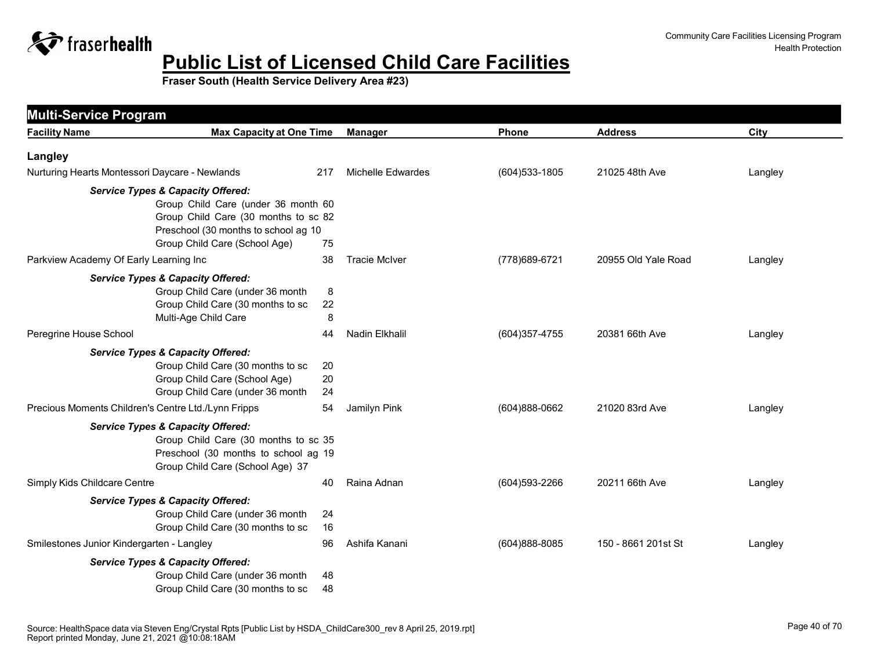

| <b>Multi-Service Program</b><br><b>Facility Name</b> | <b>Max Capacity at One Time</b>                                                                                                                                                                      |                | <b>Manager</b>           | Phone          | <b>Address</b>      | City    |
|------------------------------------------------------|------------------------------------------------------------------------------------------------------------------------------------------------------------------------------------------------------|----------------|--------------------------|----------------|---------------------|---------|
|                                                      |                                                                                                                                                                                                      |                |                          |                |                     |         |
| Langley                                              |                                                                                                                                                                                                      |                |                          |                |                     |         |
| Nurturing Hearts Montessori Daycare - Newlands       |                                                                                                                                                                                                      | 217            | <b>Michelle Edwardes</b> | (604) 533-1805 | 21025 48th Ave      | Langley |
|                                                      | <b>Service Types &amp; Capacity Offered:</b><br>Group Child Care (under 36 month 60<br>Group Child Care (30 months to sc 82<br>Preschool (30 months to school ag 10<br>Group Child Care (School Age) | 75             |                          |                |                     |         |
| Parkview Academy Of Early Learning Inc               |                                                                                                                                                                                                      | 38             | <b>Tracie McIver</b>     | (778) 689-6721 | 20955 Old Yale Road | Langley |
|                                                      | <b>Service Types &amp; Capacity Offered:</b><br>Group Child Care (under 36 month<br>Group Child Care (30 months to sc<br>Multi-Age Child Care                                                        | 8<br>22<br>8   |                          |                |                     |         |
| Peregrine House School                               |                                                                                                                                                                                                      | 44             | Nadin Elkhalil           | (604) 357-4755 | 20381 66th Ave      | Langley |
|                                                      | <b>Service Types &amp; Capacity Offered:</b><br>Group Child Care (30 months to sc<br>Group Child Care (School Age)<br>Group Child Care (under 36 month                                               | 20<br>20<br>24 |                          |                |                     |         |
| Precious Moments Children's Centre Ltd./Lynn Fripps  |                                                                                                                                                                                                      | 54             | Jamilyn Pink             | (604)888-0662  | 21020 83rd Ave      | Langley |
|                                                      | <b>Service Types &amp; Capacity Offered:</b><br>Group Child Care (30 months to sc 35<br>Preschool (30 months to school ag 19<br>Group Child Care (School Age) 37                                     |                |                          |                |                     |         |
| Simply Kids Childcare Centre                         |                                                                                                                                                                                                      | 40             | Raina Adnan              | (604) 593-2266 | 20211 66th Ave      | Langley |
|                                                      | <b>Service Types &amp; Capacity Offered:</b><br>Group Child Care (under 36 month<br>Group Child Care (30 months to sc                                                                                | 24<br>16       |                          |                |                     |         |
| Smilestones Junior Kindergarten - Langley            |                                                                                                                                                                                                      | 96             | Ashifa Kanani            | (604)888-8085  | 150 - 8661 201st St | Langley |
|                                                      | <b>Service Types &amp; Capacity Offered:</b><br>Group Child Care (under 36 month<br>Group Child Care (30 months to sc                                                                                | 48<br>48       |                          |                |                     |         |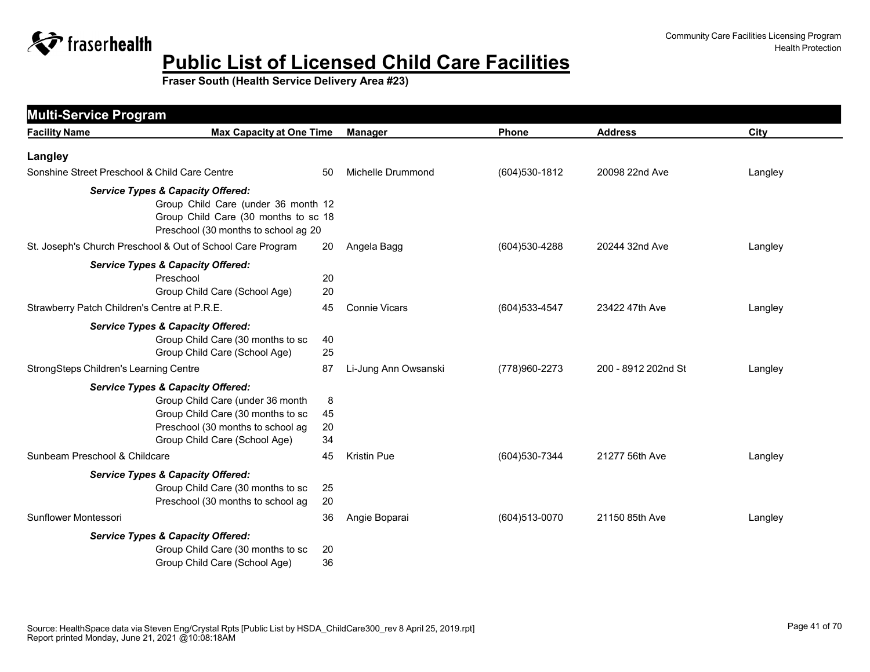

| <b>Facility Name</b>                          | <b>Max Capacity at One Time</b>                                                                                                                                                             |                     | <b>Manager</b>       | Phone             | <b>Address</b>      | City    |
|-----------------------------------------------|---------------------------------------------------------------------------------------------------------------------------------------------------------------------------------------------|---------------------|----------------------|-------------------|---------------------|---------|
| Langley                                       |                                                                                                                                                                                             |                     |                      |                   |                     |         |
| Sonshine Street Preschool & Child Care Centre |                                                                                                                                                                                             | 50                  | Michelle Drummond    | (604) 530-1812    | 20098 22nd Ave      | Langley |
|                                               | <b>Service Types &amp; Capacity Offered:</b><br>Group Child Care (under 36 month 12<br>Group Child Care (30 months to sc 18<br>Preschool (30 months to school ag 20                         |                     |                      |                   |                     |         |
|                                               | St. Joseph's Church Preschool & Out of School Care Program                                                                                                                                  | 20                  | Angela Bagg          | (604) 530-4288    | 20244 32nd Ave      | Langley |
|                                               | <b>Service Types &amp; Capacity Offered:</b><br>Preschool<br>Group Child Care (School Age)                                                                                                  | 20<br>20            |                      |                   |                     |         |
| Strawberry Patch Children's Centre at P.R.E.  |                                                                                                                                                                                             | 45                  | <b>Connie Vicars</b> | (604) 533-4547    | 23422 47th Ave      | Langley |
|                                               | <b>Service Types &amp; Capacity Offered:</b><br>Group Child Care (30 months to sc<br>Group Child Care (School Age)                                                                          | 40<br>25            |                      |                   |                     |         |
| StrongSteps Children's Learning Centre        |                                                                                                                                                                                             | 87                  | Li-Jung Ann Owsanski | (778) 960-2273    | 200 - 8912 202nd St | Langley |
|                                               | <b>Service Types &amp; Capacity Offered:</b><br>Group Child Care (under 36 month<br>Group Child Care (30 months to sc<br>Preschool (30 months to school ag<br>Group Child Care (School Age) | 8<br>45<br>20<br>34 |                      |                   |                     |         |
| Sunbeam Preschool & Childcare                 |                                                                                                                                                                                             | 45                  | <b>Kristin Pue</b>   | (604) 530-7344    | 21277 56th Ave      | Langley |
|                                               | <b>Service Types &amp; Capacity Offered:</b><br>Group Child Care (30 months to sc<br>Preschool (30 months to school ag                                                                      | 25<br>20            |                      |                   |                     |         |
| Sunflower Montessori                          |                                                                                                                                                                                             | 36                  | Angie Boparai        | $(604)513 - 0070$ | 21150 85th Ave      | Langley |
|                                               | <b>Service Types &amp; Capacity Offered:</b><br>Group Child Care (30 months to sc<br>Group Child Care (School Age)                                                                          | 20<br>36            |                      |                   |                     |         |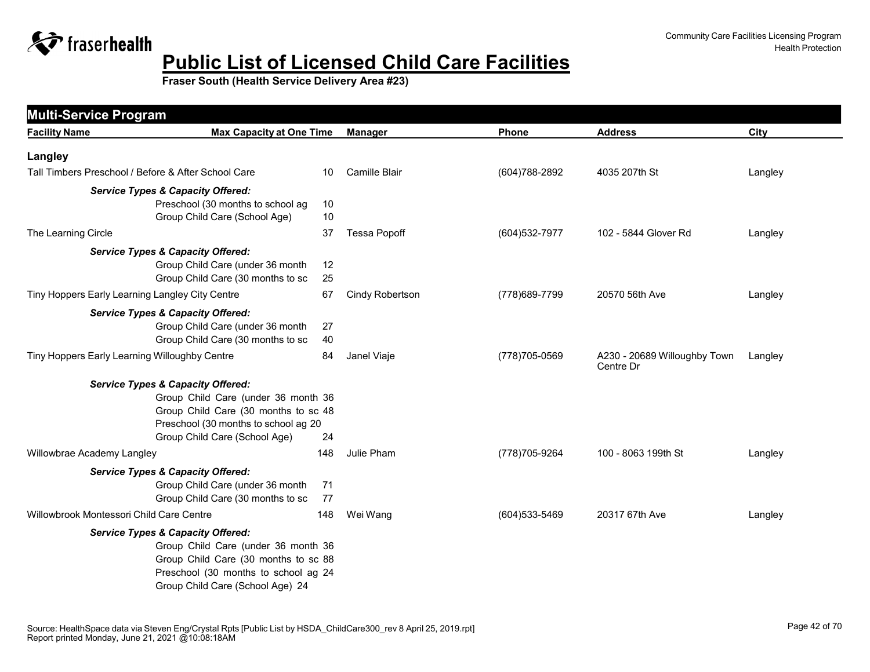

| <b>Facility Name</b>                                | <b>Max Capacity at One Time</b>                                       |          | <b>Manager</b>       | Phone          | <b>Address</b>                            | City    |
|-----------------------------------------------------|-----------------------------------------------------------------------|----------|----------------------|----------------|-------------------------------------------|---------|
|                                                     |                                                                       |          |                      |                |                                           |         |
| Langley                                             |                                                                       |          |                      |                |                                           |         |
| Tall Timbers Preschool / Before & After School Care |                                                                       | 10       | <b>Camille Blair</b> | (604) 788-2892 | 4035 207th St                             | Langley |
|                                                     | <b>Service Types &amp; Capacity Offered:</b>                          |          |                      |                |                                           |         |
|                                                     | Preschool (30 months to school ag                                     | 10       |                      |                |                                           |         |
|                                                     | Group Child Care (School Age)                                         | 10       |                      |                |                                           |         |
| The Learning Circle                                 |                                                                       | 37       | <b>Tessa Popoff</b>  | (604) 532-7977 | 102 - 5844 Glover Rd                      | Langley |
|                                                     | <b>Service Types &amp; Capacity Offered:</b>                          |          |                      |                |                                           |         |
|                                                     | Group Child Care (under 36 month                                      | 12       |                      |                |                                           |         |
|                                                     | Group Child Care (30 months to sc                                     | 25       |                      |                |                                           |         |
| Tiny Hoppers Early Learning Langley City Centre     |                                                                       | 67       | Cindy Robertson      | (778) 689-7799 | 20570 56th Ave                            | Langley |
|                                                     | <b>Service Types &amp; Capacity Offered:</b>                          |          |                      |                |                                           |         |
|                                                     | Group Child Care (under 36 month                                      | 27       |                      |                |                                           |         |
|                                                     | Group Child Care (30 months to sc                                     | 40       |                      |                |                                           |         |
| Tiny Hoppers Early Learning Willoughby Centre       |                                                                       | 84       | Janel Viaje          | (778) 705-0569 | A230 - 20689 Willoughby Town<br>Centre Dr | Langley |
|                                                     | <b>Service Types &amp; Capacity Offered:</b>                          |          |                      |                |                                           |         |
|                                                     | Group Child Care (under 36 month 36                                   |          |                      |                |                                           |         |
|                                                     | Group Child Care (30 months to sc 48                                  |          |                      |                |                                           |         |
|                                                     | Preschool (30 months to school ag 20<br>Group Child Care (School Age) | 24       |                      |                |                                           |         |
| Willowbrae Academy Langley                          |                                                                       | 148      | Julie Pham           | (778) 705-9264 | 100 - 8063 199th St                       | Langley |
|                                                     |                                                                       |          |                      |                |                                           |         |
|                                                     | <b>Service Types &amp; Capacity Offered:</b>                          |          |                      |                |                                           |         |
|                                                     | Group Child Care (under 36 month<br>Group Child Care (30 months to sc | 71<br>77 |                      |                |                                           |         |
| Willowbrook Montessori Child Care Centre            |                                                                       | 148      | Wei Wang             | (604) 533-5469 | 20317 67th Ave                            | Langley |
|                                                     | <b>Service Types &amp; Capacity Offered:</b>                          |          |                      |                |                                           |         |
|                                                     | Group Child Care (under 36 month 36                                   |          |                      |                |                                           |         |
|                                                     | Group Child Care (30 months to sc 88                                  |          |                      |                |                                           |         |
|                                                     | Preschool (30 months to school ag 24                                  |          |                      |                |                                           |         |
|                                                     | Group Child Care (School Age) 24                                      |          |                      |                |                                           |         |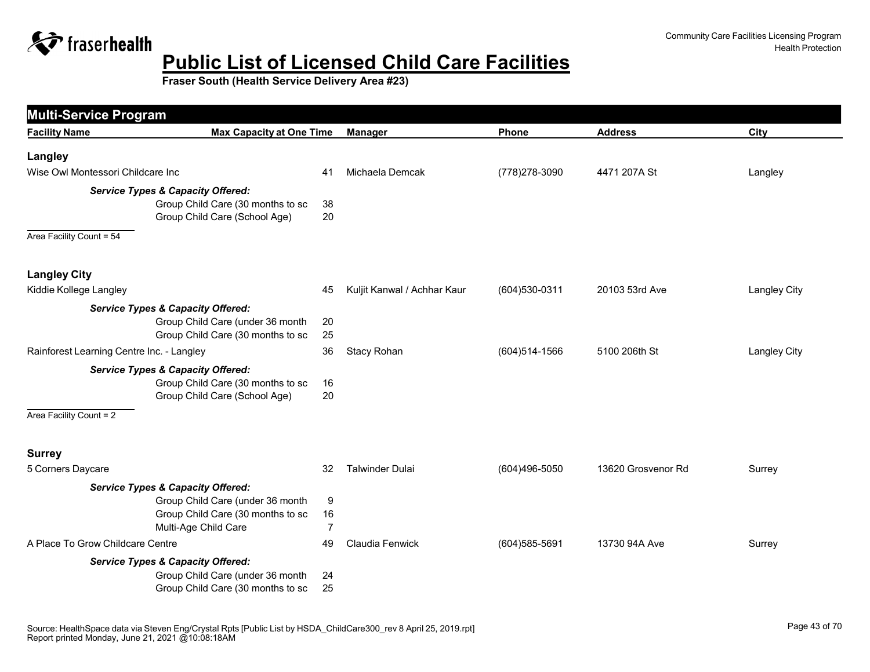

| <b>Multi-Service Program</b>              |                                                                                                                                               |                           |                             |                |                    |                     |
|-------------------------------------------|-----------------------------------------------------------------------------------------------------------------------------------------------|---------------------------|-----------------------------|----------------|--------------------|---------------------|
| <b>Facility Name</b>                      | <b>Max Capacity at One Time</b>                                                                                                               |                           | <b>Manager</b>              | Phone          | <b>Address</b>     | City                |
| Langley                                   |                                                                                                                                               |                           |                             |                |                    |                     |
| Wise Owl Montessori Childcare Inc         |                                                                                                                                               | 41                        | Michaela Demcak             | (778) 278-3090 | 4471 207A St       | Langley             |
| Area Facility Count = 54                  | <b>Service Types &amp; Capacity Offered:</b><br>Group Child Care (30 months to sc<br>Group Child Care (School Age)                            | 38<br>20                  |                             |                |                    |                     |
| <b>Langley City</b>                       |                                                                                                                                               |                           |                             |                |                    |                     |
| Kiddie Kollege Langley                    |                                                                                                                                               | 45                        | Kuljit Kanwal / Achhar Kaur | (604) 530-0311 | 20103 53rd Ave     | <b>Langley City</b> |
|                                           | <b>Service Types &amp; Capacity Offered:</b><br>Group Child Care (under 36 month<br>Group Child Care (30 months to sc                         | 20<br>25                  |                             |                |                    |                     |
| Rainforest Learning Centre Inc. - Langley |                                                                                                                                               | 36                        | Stacy Rohan                 | (604) 514-1566 | 5100 206th St      | <b>Langley City</b> |
| Area Facility Count = 2                   | <b>Service Types &amp; Capacity Offered:</b><br>Group Child Care (30 months to sc<br>Group Child Care (School Age)                            | 16<br>20                  |                             |                |                    |                     |
| <b>Surrey</b>                             |                                                                                                                                               |                           |                             |                |                    |                     |
| 5 Corners Daycare                         |                                                                                                                                               | 32                        | Talwinder Dulai             | (604)496-5050  | 13620 Grosvenor Rd | Surrey              |
|                                           | <b>Service Types &amp; Capacity Offered:</b><br>Group Child Care (under 36 month<br>Group Child Care (30 months to sc<br>Multi-Age Child Care | 9<br>16<br>$\overline{7}$ |                             |                |                    |                     |
| A Place To Grow Childcare Centre          |                                                                                                                                               | 49                        | Claudia Fenwick             | (604) 585-5691 | 13730 94A Ave      | Surrey              |
|                                           | <b>Service Types &amp; Capacity Offered:</b><br>Group Child Care (under 36 month<br>Group Child Care (30 months to sc                         | 24<br>25                  |                             |                |                    |                     |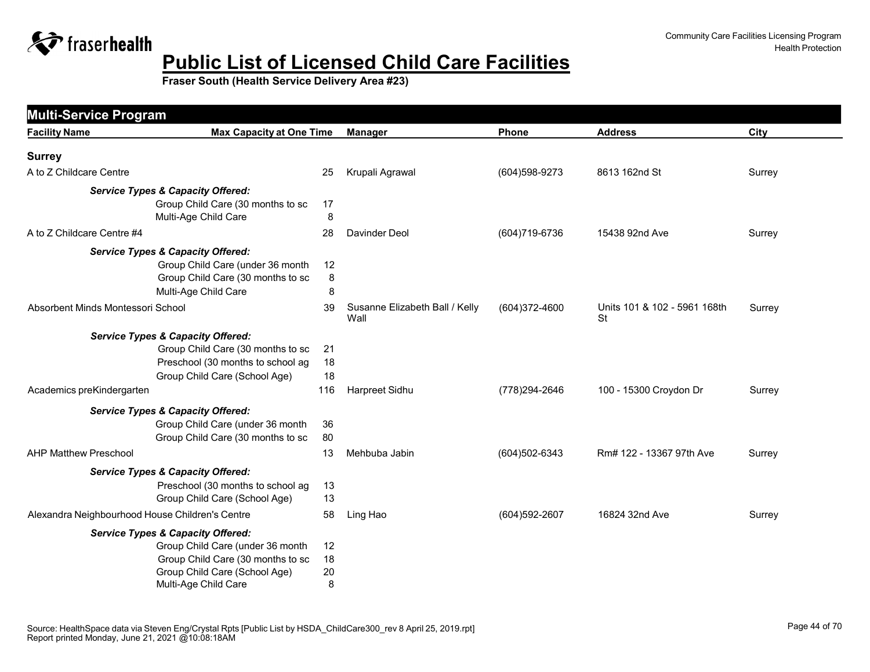

| <b>Facility Name</b>                            | <b>Max Capacity at One Time</b>              |     | <b>Manager</b>                         | <b>Phone</b>      | <b>Address</b>                     | City   |
|-------------------------------------------------|----------------------------------------------|-----|----------------------------------------|-------------------|------------------------------------|--------|
| <b>Surrey</b>                                   |                                              |     |                                        |                   |                                    |        |
| A to Z Childcare Centre                         |                                              | 25  | Krupali Agrawal                        | (604) 598-9273    | 8613 162nd St                      | Surrey |
|                                                 | <b>Service Types &amp; Capacity Offered:</b> |     |                                        |                   |                                    |        |
|                                                 | Group Child Care (30 months to sc            | 17  |                                        |                   |                                    |        |
|                                                 | Multi-Age Child Care                         | 8   |                                        |                   |                                    |        |
| A to Z Childcare Centre #4                      |                                              | 28  | Davinder Deol                          | (604) 719-6736    | 15438 92nd Ave                     | Surrey |
|                                                 | <b>Service Types &amp; Capacity Offered:</b> |     |                                        |                   |                                    |        |
|                                                 | Group Child Care (under 36 month             | 12  |                                        |                   |                                    |        |
|                                                 | Group Child Care (30 months to sc            | 8   |                                        |                   |                                    |        |
|                                                 | Multi-Age Child Care                         | 8   |                                        |                   |                                    |        |
| Absorbent Minds Montessori School               |                                              | 39  | Susanne Elizabeth Ball / Kelly<br>Wall | (604)372-4600     | Units 101 & 102 - 5961 168th<br>St | Surrey |
|                                                 | <b>Service Types &amp; Capacity Offered:</b> |     |                                        |                   |                                    |        |
|                                                 | Group Child Care (30 months to sc            | 21  |                                        |                   |                                    |        |
|                                                 | Preschool (30 months to school ag            | 18  |                                        |                   |                                    |        |
|                                                 | Group Child Care (School Age)                | 18  |                                        |                   |                                    |        |
| Academics preKindergarten                       |                                              | 116 | Harpreet Sidhu                         | (778) 294-2646    | 100 - 15300 Croydon Dr             | Surrey |
|                                                 | <b>Service Types &amp; Capacity Offered:</b> |     |                                        |                   |                                    |        |
|                                                 | Group Child Care (under 36 month             | 36  |                                        |                   |                                    |        |
|                                                 | Group Child Care (30 months to sc            | 80  |                                        |                   |                                    |        |
| <b>AHP Matthew Preschool</b>                    |                                              | 13  | Mehbuba Jabin                          | (604)502-6343     | Rm# 122 - 13367 97th Ave           | Surrey |
|                                                 | <b>Service Types &amp; Capacity Offered:</b> |     |                                        |                   |                                    |        |
|                                                 | Preschool (30 months to school ag            | 13  |                                        |                   |                                    |        |
|                                                 | Group Child Care (School Age)                | 13  |                                        |                   |                                    |        |
| Alexandra Neighbourhood House Children's Centre |                                              | 58  | Ling Hao                               | $(604)592 - 2607$ | 16824 32nd Ave                     | Surrey |
|                                                 | <b>Service Types &amp; Capacity Offered:</b> |     |                                        |                   |                                    |        |
|                                                 | Group Child Care (under 36 month             | 12  |                                        |                   |                                    |        |
|                                                 | Group Child Care (30 months to sc            | 18  |                                        |                   |                                    |        |
|                                                 | Group Child Care (School Age)                | 20  |                                        |                   |                                    |        |
|                                                 | Multi-Age Child Care                         | 8   |                                        |                   |                                    |        |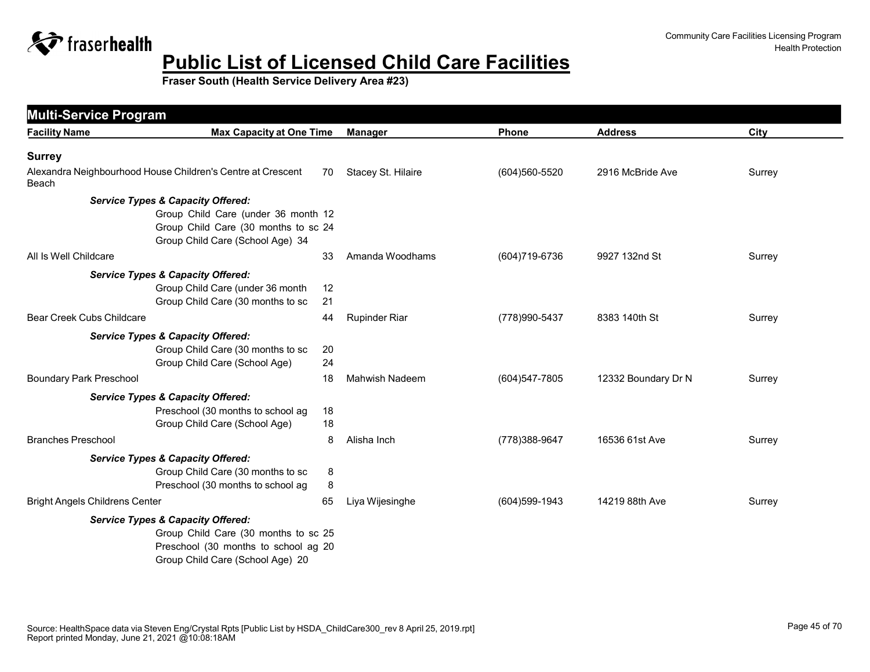

| <b>Facility Name</b>                  | <b>Max Capacity at One Time</b>                             |    | <b>Manager</b>        | Phone          | <b>Address</b>      | City   |
|---------------------------------------|-------------------------------------------------------------|----|-----------------------|----------------|---------------------|--------|
|                                       |                                                             |    |                       |                |                     |        |
| <b>Surrey</b>                         |                                                             |    |                       |                |                     |        |
| Beach                                 | Alexandra Neighbourhood House Children's Centre at Crescent | 70 | Stacey St. Hilaire    | (604)560-5520  | 2916 McBride Ave    | Surrey |
|                                       | <b>Service Types &amp; Capacity Offered:</b>                |    |                       |                |                     |        |
|                                       | Group Child Care (under 36 month 12                         |    |                       |                |                     |        |
|                                       | Group Child Care (30 months to sc 24                        |    |                       |                |                     |        |
|                                       | Group Child Care (School Age) 34                            |    |                       |                |                     |        |
| All Is Well Childcare                 |                                                             | 33 | Amanda Woodhams       | (604) 719-6736 | 9927 132nd St       | Surrey |
|                                       | <b>Service Types &amp; Capacity Offered:</b>                |    |                       |                |                     |        |
|                                       | Group Child Care (under 36 month                            | 12 |                       |                |                     |        |
|                                       | Group Child Care (30 months to sc                           | 21 |                       |                |                     |        |
| Bear Creek Cubs Childcare             |                                                             | 44 | <b>Rupinder Riar</b>  | (778) 990-5437 | 8383 140th St       | Surrey |
|                                       | <b>Service Types &amp; Capacity Offered:</b>                |    |                       |                |                     |        |
|                                       | Group Child Care (30 months to sc                           | 20 |                       |                |                     |        |
|                                       | Group Child Care (School Age)                               | 24 |                       |                |                     |        |
| <b>Boundary Park Preschool</b>        |                                                             | 18 | <b>Mahwish Nadeem</b> | (604) 547-7805 | 12332 Boundary Dr N | Surrey |
|                                       | <b>Service Types &amp; Capacity Offered:</b>                |    |                       |                |                     |        |
|                                       | Preschool (30 months to school ag                           | 18 |                       |                |                     |        |
|                                       | Group Child Care (School Age)                               | 18 |                       |                |                     |        |
| <b>Branches Preschool</b>             |                                                             | 8  | Alisha Inch           | (778) 388-9647 | 16536 61st Ave      | Surrey |
|                                       | <b>Service Types &amp; Capacity Offered:</b>                |    |                       |                |                     |        |
|                                       | Group Child Care (30 months to sc                           | 8  |                       |                |                     |        |
|                                       | Preschool (30 months to school ag                           | 8  |                       |                |                     |        |
| <b>Bright Angels Childrens Center</b> |                                                             | 65 | Liya Wijesinghe       | (604) 599-1943 | 14219 88th Ave      | Surrey |
|                                       | <b>Service Types &amp; Capacity Offered:</b>                |    |                       |                |                     |        |
|                                       | Group Child Care (30 months to sc 25                        |    |                       |                |                     |        |
|                                       | Preschool (30 months to school ag 20                        |    |                       |                |                     |        |
|                                       | Group Child Care (School Age) 20                            |    |                       |                |                     |        |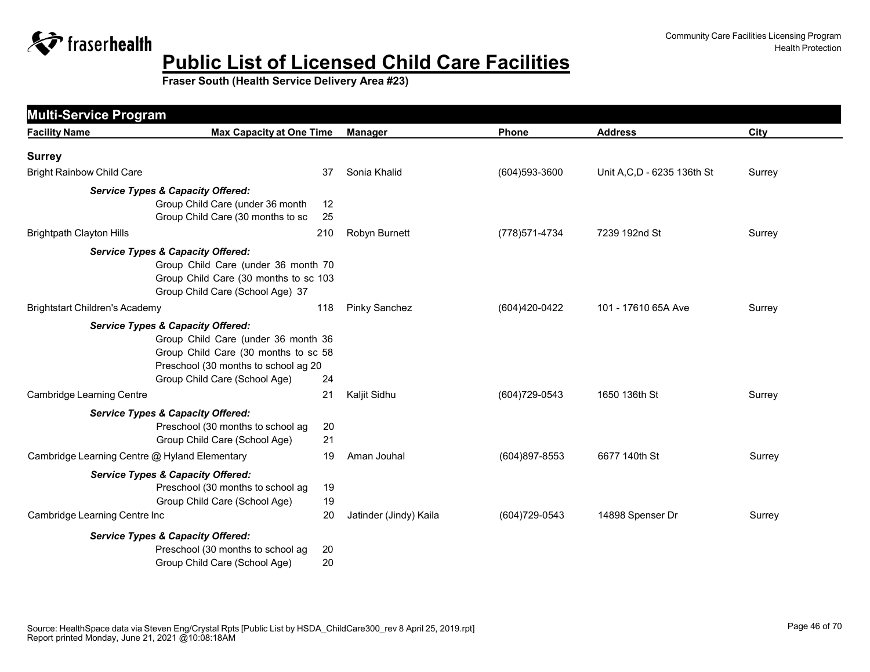

| <b>Facility Name</b>                          | <b>Max Capacity at One Time</b>              | <b>Manager</b>         | <b>Phone</b>   | <b>Address</b>               | City   |
|-----------------------------------------------|----------------------------------------------|------------------------|----------------|------------------------------|--------|
| <b>Surrey</b>                                 |                                              |                        |                |                              |        |
| <b>Bright Rainbow Child Care</b>              | 37                                           | Sonia Khalid           | (604) 593-3600 | Unit A, C, D - 6235 136th St | Surrey |
|                                               | <b>Service Types &amp; Capacity Offered:</b> |                        |                |                              |        |
|                                               | Group Child Care (under 36 month<br>12       |                        |                |                              |        |
|                                               | Group Child Care (30 months to sc<br>25      |                        |                |                              |        |
| <b>Brightpath Clayton Hills</b>               | 210                                          | Robyn Burnett          | (778) 571-4734 | 7239 192nd St                | Surrey |
|                                               | <b>Service Types &amp; Capacity Offered:</b> |                        |                |                              |        |
|                                               | Group Child Care (under 36 month 70          |                        |                |                              |        |
|                                               | Group Child Care (30 months to sc 103        |                        |                |                              |        |
|                                               | Group Child Care (School Age) 37             |                        |                |                              |        |
| <b>Brightstart Children's Academy</b>         | 118                                          | <b>Pinky Sanchez</b>   | (604)420-0422  | 101 - 17610 65A Ave          | Surrey |
| <b>Service Types &amp; Capacity Offered:</b>  |                                              |                        |                |                              |        |
|                                               | Group Child Care (under 36 month 36          |                        |                |                              |        |
|                                               | Group Child Care (30 months to sc 58         |                        |                |                              |        |
|                                               | Preschool (30 months to school ag 20         |                        |                |                              |        |
|                                               | Group Child Care (School Age)<br>24          |                        |                |                              |        |
| <b>Cambridge Learning Centre</b>              | 21                                           | Kaljit Sidhu           | (604) 729-0543 | 1650 136th St                | Surrey |
|                                               | <b>Service Types &amp; Capacity Offered:</b> |                        |                |                              |        |
|                                               | Preschool (30 months to school ag<br>20      |                        |                |                              |        |
|                                               | 21<br>Group Child Care (School Age)          |                        |                |                              |        |
| Cambridge Learning Centre @ Hyland Elementary | 19                                           | Aman Jouhal            | (604)897-8553  | 6677 140th St                | Surrey |
|                                               | <b>Service Types &amp; Capacity Offered:</b> |                        |                |                              |        |
|                                               | Preschool (30 months to school ag<br>19      |                        |                |                              |        |
|                                               | Group Child Care (School Age)<br>19          |                        |                |                              |        |
| Cambridge Learning Centre Inc                 | 20                                           | Jatinder (Jindy) Kaila | (604) 729-0543 | 14898 Spenser Dr             | Surrey |
|                                               | <b>Service Types &amp; Capacity Offered:</b> |                        |                |                              |        |
|                                               | Preschool (30 months to school ag<br>20      |                        |                |                              |        |
|                                               | Group Child Care (School Age)<br>20          |                        |                |                              |        |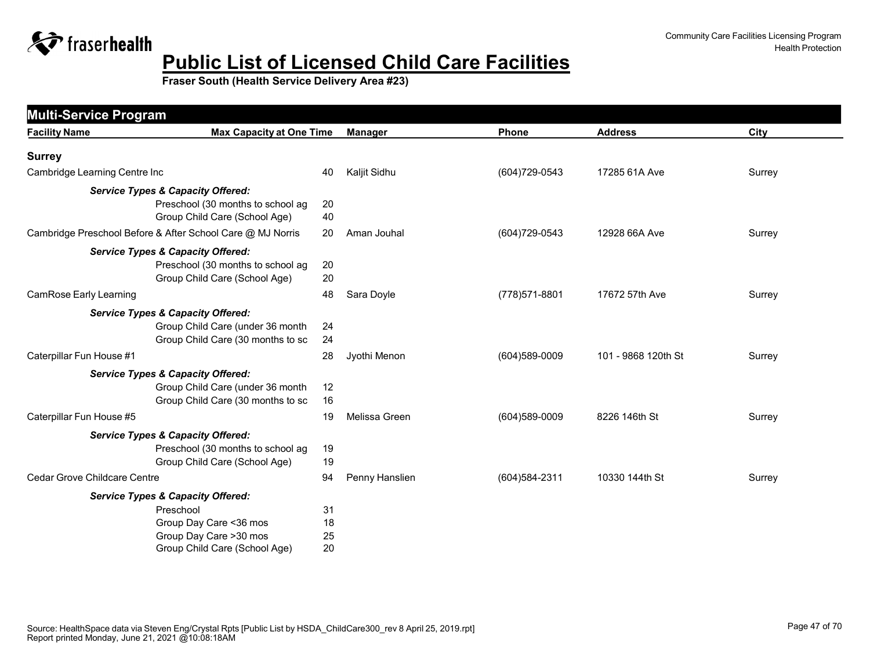

| <b>Multi-Service Program</b>                                                                                          |                                 |                |                |                     |        |  |  |  |
|-----------------------------------------------------------------------------------------------------------------------|---------------------------------|----------------|----------------|---------------------|--------|--|--|--|
| <b>Facility Name</b>                                                                                                  | <b>Max Capacity at One Time</b> | <b>Manager</b> | Phone          | <b>Address</b>      | City   |  |  |  |
| <b>Surrey</b>                                                                                                         |                                 |                |                |                     |        |  |  |  |
| Cambridge Learning Centre Inc                                                                                         | 40                              | Kaljit Sidhu   | (604) 729-0543 | 17285 61A Ave       | Surrey |  |  |  |
| <b>Service Types &amp; Capacity Offered:</b><br>Preschool (30 months to school ag<br>Group Child Care (School Age)    | 20<br>40                        |                |                |                     |        |  |  |  |
| Cambridge Preschool Before & After School Care @ MJ Norris                                                            | 20                              | Aman Jouhal    | (604) 729-0543 | 12928 66A Ave       | Surrey |  |  |  |
| <b>Service Types &amp; Capacity Offered:</b><br>Preschool (30 months to school ag<br>Group Child Care (School Age)    | 20<br>20                        |                |                |                     |        |  |  |  |
| CamRose Early Learning                                                                                                | 48                              | Sara Doyle     | (778) 571-8801 | 17672 57th Ave      | Surrey |  |  |  |
| <b>Service Types &amp; Capacity Offered:</b><br>Group Child Care (under 36 month<br>Group Child Care (30 months to sc | 24<br>24                        |                |                |                     |        |  |  |  |
| Caterpillar Fun House #1                                                                                              | 28                              | Jyothi Menon   | (604)589-0009  | 101 - 9868 120th St | Surrey |  |  |  |
| <b>Service Types &amp; Capacity Offered:</b><br>Group Child Care (under 36 month<br>Group Child Care (30 months to sc | 12<br>16                        |                |                |                     |        |  |  |  |
| Caterpillar Fun House #5                                                                                              | 19                              | Melissa Green  | (604) 589-0009 | 8226 146th St       | Surrey |  |  |  |
| <b>Service Types &amp; Capacity Offered:</b><br>Preschool (30 months to school ag<br>Group Child Care (School Age)    | 19<br>19                        |                |                |                     |        |  |  |  |
| Cedar Grove Childcare Centre                                                                                          | 94                              | Penny Hanslien | (604) 584-2311 | 10330 144th St      | Surrey |  |  |  |
| <b>Service Types &amp; Capacity Offered:</b>                                                                          |                                 |                |                |                     |        |  |  |  |
| Preschool<br>Group Day Care < 36 mos<br>Group Day Care >30 mos<br>Group Child Care (School Age)                       | 31<br>18<br>25<br>20            |                |                |                     |        |  |  |  |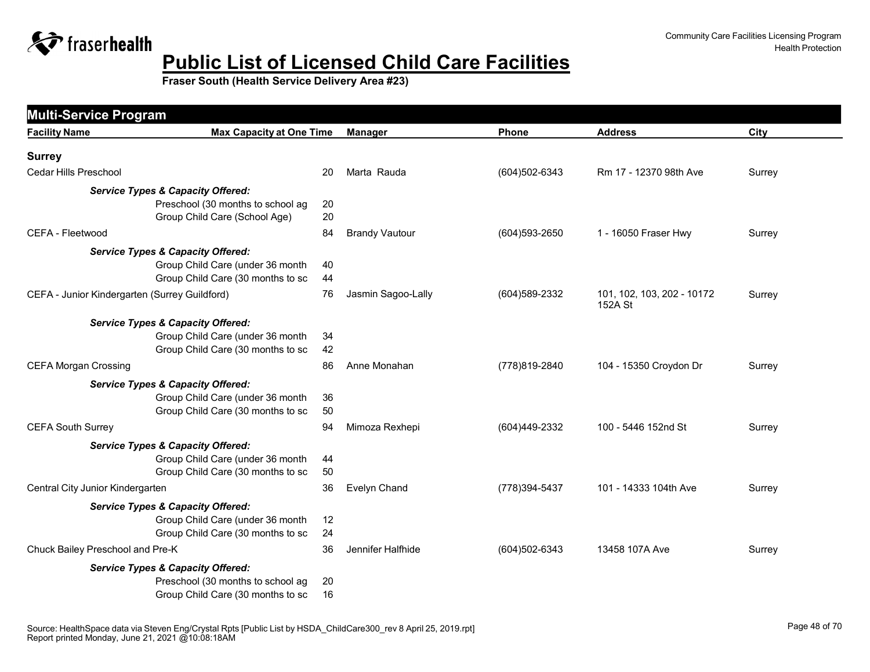

|                                               | <b>Multi-Service Program</b>                                                      |    |                       |                |                                       |        |  |  |
|-----------------------------------------------|-----------------------------------------------------------------------------------|----|-----------------------|----------------|---------------------------------------|--------|--|--|
| <b>Facility Name</b>                          | <b>Max Capacity at One Time</b>                                                   |    | <b>Manager</b>        | Phone          | <b>Address</b>                        | City   |  |  |
| <b>Surrey</b>                                 |                                                                                   |    |                       |                |                                       |        |  |  |
| Cedar Hills Preschool                         |                                                                                   | 20 | Marta Rauda           | (604)502-6343  | Rm 17 - 12370 98th Ave                | Surrey |  |  |
|                                               | <b>Service Types &amp; Capacity Offered:</b>                                      |    |                       |                |                                       |        |  |  |
|                                               | Preschool (30 months to school ag                                                 | 20 |                       |                |                                       |        |  |  |
|                                               | Group Child Care (School Age)                                                     | 20 |                       |                |                                       |        |  |  |
| CEFA - Fleetwood                              | 84                                                                                |    | <b>Brandy Vautour</b> | (604) 593-2650 | 1 - 16050 Fraser Hwy                  | Surrey |  |  |
|                                               | <b>Service Types &amp; Capacity Offered:</b>                                      |    |                       |                |                                       |        |  |  |
|                                               | Group Child Care (under 36 month<br>40                                            |    |                       |                |                                       |        |  |  |
|                                               | Group Child Care (30 months to sc<br>44                                           |    |                       |                |                                       |        |  |  |
| CEFA - Junior Kindergarten (Surrey Guildford) |                                                                                   | 76 | Jasmin Sagoo-Lally    | (604) 589-2332 | 101, 102, 103, 202 - 10172<br>152A St | Surrey |  |  |
|                                               | <b>Service Types &amp; Capacity Offered:</b>                                      |    |                       |                |                                       |        |  |  |
|                                               | Group Child Care (under 36 month<br>34                                            |    |                       |                |                                       |        |  |  |
|                                               | Group Child Care (30 months to sc                                                 | 42 |                       |                |                                       |        |  |  |
| <b>CEFA Morgan Crossing</b>                   |                                                                                   | 86 | Anne Monahan          | (778)819-2840  | 104 - 15350 Croydon Dr                | Surrey |  |  |
|                                               | <b>Service Types &amp; Capacity Offered:</b>                                      |    |                       |                |                                       |        |  |  |
|                                               | Group Child Care (under 36 month<br>36<br>Group Child Care (30 months to sc<br>50 |    |                       |                |                                       |        |  |  |
| <b>CEFA South Surrey</b>                      | 94                                                                                |    | Mimoza Rexhepi        | (604)449-2332  | 100 - 5446 152nd St                   | Surrey |  |  |
|                                               | <b>Service Types &amp; Capacity Offered:</b>                                      |    |                       |                |                                       |        |  |  |
|                                               | Group Child Care (under 36 month<br>44                                            |    |                       |                |                                       |        |  |  |
|                                               | Group Child Care (30 months to sc<br>50                                           |    |                       |                |                                       |        |  |  |
| Central City Junior Kindergarten              |                                                                                   | 36 | Evelyn Chand          | (778) 394-5437 | 101 - 14333 104th Ave                 | Surrey |  |  |
|                                               | <b>Service Types &amp; Capacity Offered:</b>                                      |    |                       |                |                                       |        |  |  |
|                                               | Group Child Care (under 36 month                                                  | 12 |                       |                |                                       |        |  |  |
|                                               | 24<br>Group Child Care (30 months to sc                                           |    |                       |                |                                       |        |  |  |
| Chuck Bailey Preschool and Pre-K              |                                                                                   | 36 | Jennifer Halfhide     | (604)502-6343  | 13458 107A Ave                        | Surrey |  |  |
|                                               | <b>Service Types &amp; Capacity Offered:</b>                                      |    |                       |                |                                       |        |  |  |
|                                               | Preschool (30 months to school ag<br>20<br>16                                     |    |                       |                |                                       |        |  |  |
|                                               | Group Child Care (30 months to sc                                                 |    |                       |                |                                       |        |  |  |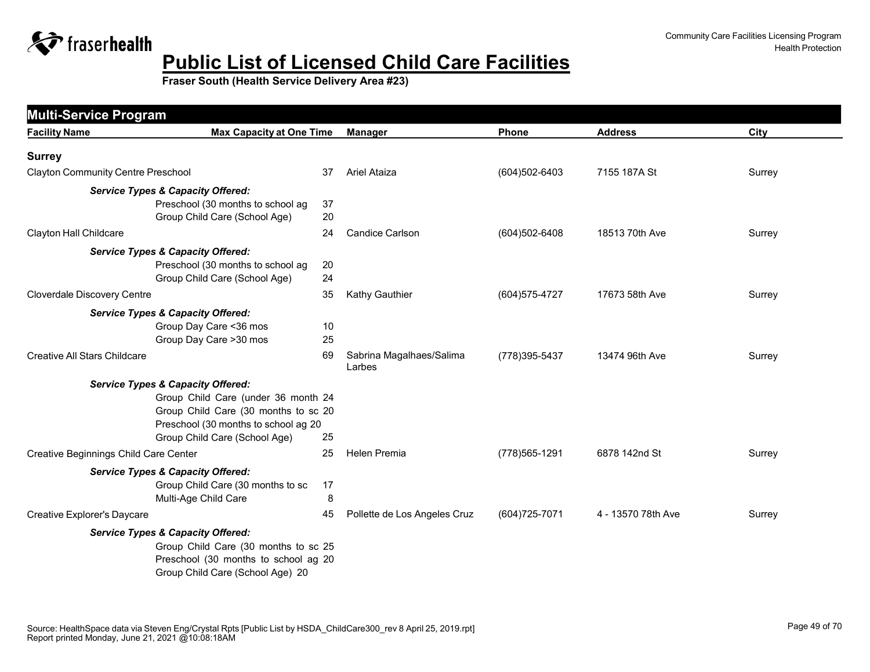

| <b>Multi-Service Program</b>              |                                              |    |                                    |                   |                    |        |
|-------------------------------------------|----------------------------------------------|----|------------------------------------|-------------------|--------------------|--------|
| <b>Facility Name</b>                      | <b>Max Capacity at One Time</b>              |    | <b>Manager</b>                     | Phone             | <b>Address</b>     | City   |
| <b>Surrey</b>                             |                                              |    |                                    |                   |                    |        |
| <b>Clayton Community Centre Preschool</b> |                                              | 37 | Ariel Ataiza                       | (604)502-6403     | 7155 187A St       | Surrey |
|                                           | <b>Service Types &amp; Capacity Offered:</b> |    |                                    |                   |                    |        |
|                                           | Preschool (30 months to school ag            | 37 |                                    |                   |                    |        |
|                                           | Group Child Care (School Age)                | 20 |                                    |                   |                    |        |
| Clayton Hall Childcare                    |                                              | 24 | <b>Candice Carlson</b>             | $(604)502 - 6408$ | 18513 70th Ave     | Surrey |
|                                           | <b>Service Types &amp; Capacity Offered:</b> |    |                                    |                   |                    |        |
|                                           | Preschool (30 months to school ag            | 20 |                                    |                   |                    |        |
|                                           | Group Child Care (School Age)                | 24 |                                    |                   |                    |        |
| Cloverdale Discovery Centre               |                                              | 35 | Kathy Gauthier                     | (604) 575-4727    | 17673 58th Ave     | Surrey |
|                                           | <b>Service Types &amp; Capacity Offered:</b> |    |                                    |                   |                    |        |
|                                           | Group Day Care < 36 mos                      | 10 |                                    |                   |                    |        |
|                                           | Group Day Care >30 mos                       | 25 |                                    |                   |                    |        |
| <b>Creative All Stars Childcare</b>       |                                              | 69 | Sabrina Magalhaes/Salima<br>Larbes | (778) 395-5437    | 13474 96th Ave     | Surrey |
|                                           | <b>Service Types &amp; Capacity Offered:</b> |    |                                    |                   |                    |        |
|                                           | Group Child Care (under 36 month 24          |    |                                    |                   |                    |        |
|                                           | Group Child Care (30 months to sc 20         |    |                                    |                   |                    |        |
|                                           | Preschool (30 months to school ag 20         |    |                                    |                   |                    |        |
|                                           | Group Child Care (School Age)                | 25 |                                    |                   |                    |        |
| Creative Beginnings Child Care Center     |                                              | 25 | <b>Helen Premia</b>                | (778) 565-1291    | 6878 142nd St      | Surrey |
|                                           | <b>Service Types &amp; Capacity Offered:</b> |    |                                    |                   |                    |        |
|                                           | Group Child Care (30 months to sc            | 17 |                                    |                   |                    |        |
|                                           | Multi-Age Child Care                         | 8  |                                    |                   |                    |        |
| Creative Explorer's Daycare               |                                              | 45 | Pollette de Los Angeles Cruz       | (604) 725-7071    | 4 - 13570 78th Ave | Surrey |
|                                           | <b>Service Types &amp; Capacity Offered:</b> |    |                                    |                   |                    |        |
|                                           | Group Child Care (30 months to sc 25         |    |                                    |                   |                    |        |
|                                           | Preschool (30 months to school ag 20         |    |                                    |                   |                    |        |
|                                           | Group Child Care (School Age) 20             |    |                                    |                   |                    |        |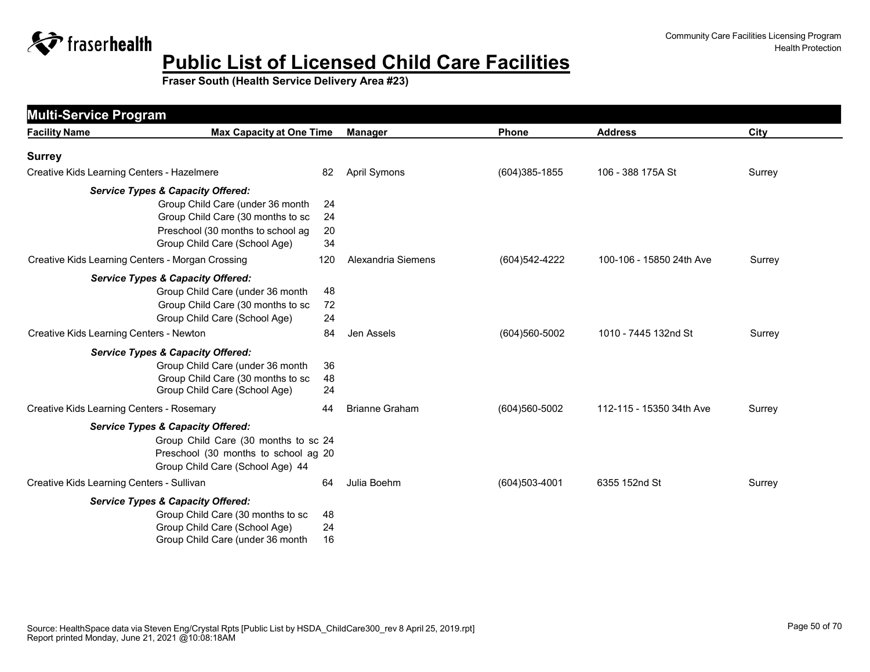

| <b>Multi-Service Program</b>                     |                                      |                       |                   |                          |        |
|--------------------------------------------------|--------------------------------------|-----------------------|-------------------|--------------------------|--------|
| <b>Facility Name</b>                             | <b>Max Capacity at One Time</b>      | <b>Manager</b>        | <b>Phone</b>      | <b>Address</b>           | City   |
| <b>Surrey</b>                                    |                                      |                       |                   |                          |        |
| Creative Kids Learning Centers - Hazelmere       | 82                                   | <b>April Symons</b>   | $(604)385 - 1855$ | 106 - 388 175A St        | Surrey |
| <b>Service Types &amp; Capacity Offered:</b>     |                                      |                       |                   |                          |        |
| Group Child Care (under 36 month                 | 24                                   |                       |                   |                          |        |
| Group Child Care (30 months to sc                | 24                                   |                       |                   |                          |        |
| Preschool (30 months to school ag                | 20                                   |                       |                   |                          |        |
| Group Child Care (School Age)                    | 34                                   |                       |                   |                          |        |
| Creative Kids Learning Centers - Morgan Crossing | 120                                  | Alexandria Siemens    | (604) 542-4222    | 100-106 - 15850 24th Ave | Surrey |
| <b>Service Types &amp; Capacity Offered:</b>     |                                      |                       |                   |                          |        |
| Group Child Care (under 36 month                 | 48                                   |                       |                   |                          |        |
| Group Child Care (30 months to sc                | 72                                   |                       |                   |                          |        |
| Group Child Care (School Age)                    | 24                                   |                       |                   |                          |        |
| Creative Kids Learning Centers - Newton          | 84                                   | Jen Assels            | (604) 560-5002    | 1010 - 7445 132nd St     | Surrey |
| <b>Service Types &amp; Capacity Offered:</b>     |                                      |                       |                   |                          |        |
| Group Child Care (under 36 month                 | 36                                   |                       |                   |                          |        |
| Group Child Care (30 months to sc                | 48                                   |                       |                   |                          |        |
| Group Child Care (School Age)                    | 24                                   |                       |                   |                          |        |
| Creative Kids Learning Centers - Rosemary        | 44                                   | <b>Brianne Graham</b> | (604)560-5002     | 112-115 - 15350 34th Ave | Surrey |
| <b>Service Types &amp; Capacity Offered:</b>     |                                      |                       |                   |                          |        |
|                                                  | Group Child Care (30 months to sc 24 |                       |                   |                          |        |
|                                                  | Preschool (30 months to school ag 20 |                       |                   |                          |        |
| Group Child Care (School Age) 44                 |                                      |                       |                   |                          |        |
| Creative Kids Learning Centers - Sullivan        | 64                                   | Julia Boehm           | $(604)503-4001$   | 6355 152nd St            | Surrey |
| <b>Service Types &amp; Capacity Offered:</b>     |                                      |                       |                   |                          |        |
| Group Child Care (30 months to sc                | 48                                   |                       |                   |                          |        |
| Group Child Care (School Age)                    | 24                                   |                       |                   |                          |        |
| Group Child Care (under 36 month                 | 16                                   |                       |                   |                          |        |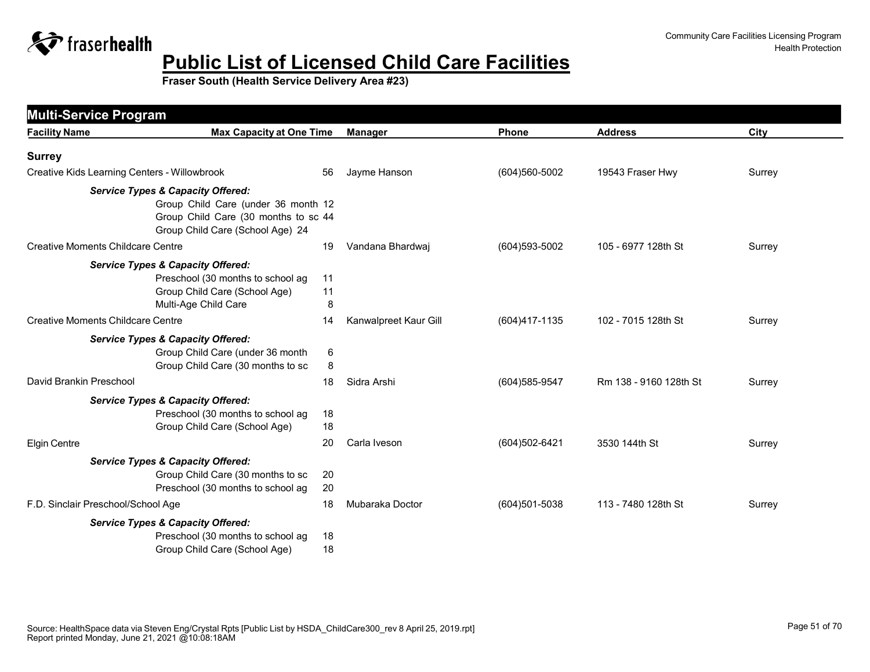

| <b>Multi-Service Program</b>                 |                                                                                                                 |                       |                |                        |        |
|----------------------------------------------|-----------------------------------------------------------------------------------------------------------------|-----------------------|----------------|------------------------|--------|
| <b>Facility Name</b>                         | <b>Max Capacity at One Time</b>                                                                                 | Manager               | Phone          | <b>Address</b>         | City   |
| <b>Surrey</b>                                |                                                                                                                 |                       |                |                        |        |
| Creative Kids Learning Centers - Willowbrook | 56                                                                                                              | Jayme Hanson          | (604)560-5002  | 19543 Fraser Hwy       | Surrey |
| <b>Service Types &amp; Capacity Offered:</b> | Group Child Care (under 36 month 12<br>Group Child Care (30 months to sc 44<br>Group Child Care (School Age) 24 |                       |                |                        |        |
| <b>Creative Moments Childcare Centre</b>     | 19                                                                                                              | Vandana Bhardwaj      | (604) 593-5002 | 105 - 6977 128th St    | Surrey |
| <b>Service Types &amp; Capacity Offered:</b> | Preschool (30 months to school ag<br>11<br>Group Child Care (School Age)<br>11<br>Multi-Age Child Care<br>8     |                       |                |                        |        |
| Creative Moments Childcare Centre            | 14                                                                                                              | Kanwalpreet Kaur Gill | (604)417-1135  | 102 - 7015 128th St    | Surrey |
| <b>Service Types &amp; Capacity Offered:</b> | Group Child Care (under 36 month<br>6<br>Group Child Care (30 months to sc<br>8                                 |                       |                |                        |        |
| David Brankin Preschool                      | 18                                                                                                              | Sidra Arshi           | (604) 585-9547 | Rm 138 - 9160 128th St | Surrey |
| <b>Service Types &amp; Capacity Offered:</b> | Preschool (30 months to school ag<br>18<br>Group Child Care (School Age)<br>18                                  |                       |                |                        |        |
| <b>Elgin Centre</b>                          | 20                                                                                                              | Carla Iveson          | (604)502-6421  | 3530 144th St          | Surrey |
| <b>Service Types &amp; Capacity Offered:</b> | Group Child Care (30 months to sc<br>20<br>Preschool (30 months to school ag<br>20                              |                       |                |                        |        |
| F.D. Sinclair Preschool/School Age           | 18                                                                                                              | Mubaraka Doctor       | (604)501-5038  | 113 - 7480 128th St    | Surrey |
| <b>Service Types &amp; Capacity Offered:</b> | Preschool (30 months to school ag<br>18<br>Group Child Care (School Age)<br>18                                  |                       |                |                        |        |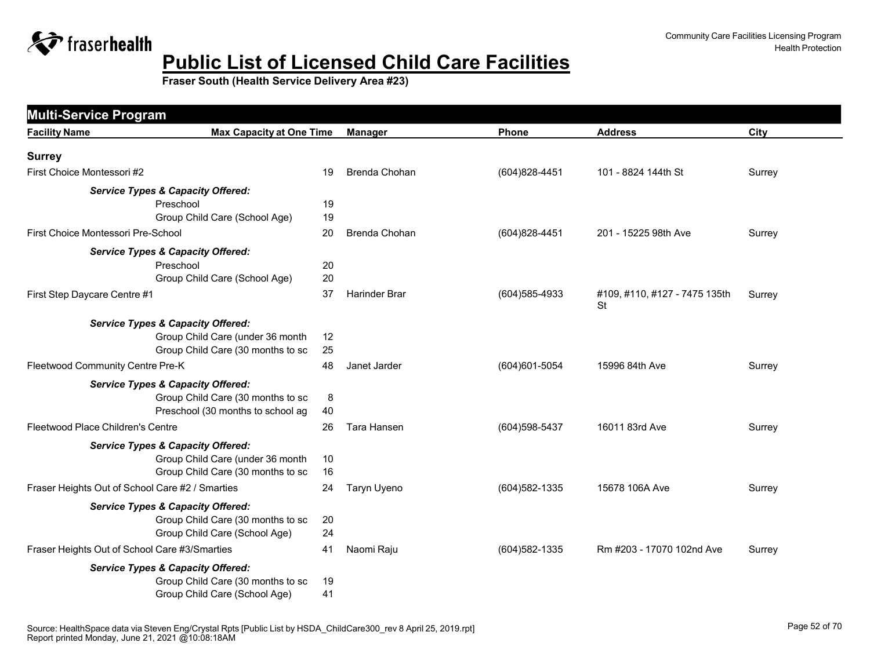

| <b>Facility Name</b>                          | <b>Max Capacity at One Time</b>                 |    | <b>Manager</b>       | Phone          | <b>Address</b>                      | City   |
|-----------------------------------------------|-------------------------------------------------|----|----------------------|----------------|-------------------------------------|--------|
| <b>Surrey</b>                                 |                                                 |    |                      |                |                                     |        |
| First Choice Montessori #2                    |                                                 | 19 | Brenda Chohan        | (604) 828-4451 | 101 - 8824 144th St                 | Surrey |
|                                               | <b>Service Types &amp; Capacity Offered:</b>    |    |                      |                |                                     |        |
|                                               | Preschool                                       | 19 |                      |                |                                     |        |
|                                               | Group Child Care (School Age)                   | 19 |                      |                |                                     |        |
| First Choice Montessori Pre-School            |                                                 | 20 | Brenda Chohan        | (604) 828-4451 | 201 - 15225 98th Ave                | Surrey |
|                                               | <b>Service Types &amp; Capacity Offered:</b>    |    |                      |                |                                     |        |
|                                               | Preschool                                       | 20 |                      |                |                                     |        |
|                                               | Group Child Care (School Age)                   | 20 |                      |                |                                     |        |
| First Step Daycare Centre #1                  |                                                 | 37 | <b>Harinder Brar</b> | (604) 585-4933 | #109, #110, #127 - 7475 135th<br>St | Surrey |
|                                               | <b>Service Types &amp; Capacity Offered:</b>    |    |                      |                |                                     |        |
|                                               | Group Child Care (under 36 month                | 12 |                      |                |                                     |        |
|                                               | Group Child Care (30 months to sc               | 25 |                      |                |                                     |        |
| Fleetwood Community Centre Pre-K              |                                                 | 48 | Janet Jarder         | (604)601-5054  | 15996 84th Ave                      | Surrey |
|                                               | <b>Service Types &amp; Capacity Offered:</b>    |    |                      |                |                                     |        |
|                                               | Group Child Care (30 months to sc               | 8  |                      |                |                                     |        |
|                                               | Preschool (30 months to school ag               | 40 |                      |                |                                     |        |
| Fleetwood Place Children's Centre             |                                                 | 26 | Tara Hansen          | (604) 598-5437 | 16011 83rd Ave                      | Surrey |
|                                               | <b>Service Types &amp; Capacity Offered:</b>    |    |                      |                |                                     |        |
|                                               | Group Child Care (under 36 month                | 10 |                      |                |                                     |        |
|                                               | Group Child Care (30 months to sc               | 16 |                      |                |                                     |        |
|                                               | Fraser Heights Out of School Care #2 / Smarties | 24 | Taryn Uyeno          | (604) 582-1335 | 15678 106A Ave                      | Surrey |
|                                               | <b>Service Types &amp; Capacity Offered:</b>    |    |                      |                |                                     |        |
|                                               | Group Child Care (30 months to sc               | 20 |                      |                |                                     |        |
|                                               | Group Child Care (School Age)                   | 24 |                      |                |                                     |        |
| Fraser Heights Out of School Care #3/Smarties |                                                 | 41 | Naomi Raju           | (604) 582-1335 | Rm #203 - 17070 102nd Ave           | Surrey |
|                                               | <b>Service Types &amp; Capacity Offered:</b>    |    |                      |                |                                     |        |
|                                               | Group Child Care (30 months to sc               | 19 |                      |                |                                     |        |
|                                               | Group Child Care (School Age)                   | 41 |                      |                |                                     |        |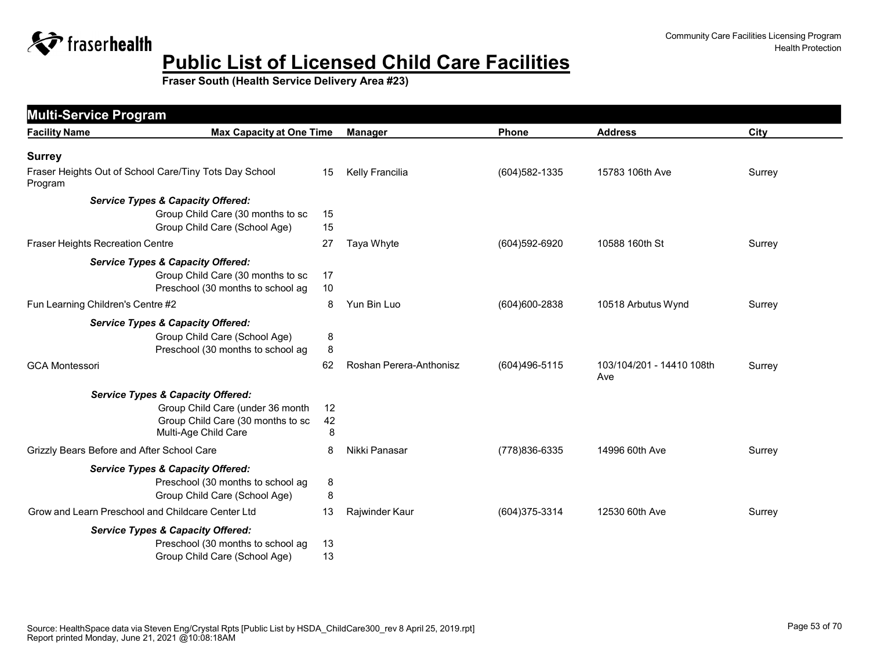

Community Care Facilities Licensing Program Health Protection

| <b>Multi-Service Program</b>               |                                                        |    |                         |                |                                  |        |
|--------------------------------------------|--------------------------------------------------------|----|-------------------------|----------------|----------------------------------|--------|
| <b>Facility Name</b>                       | <b>Max Capacity at One Time</b>                        |    | <b>Manager</b>          | Phone          | <b>Address</b>                   | City   |
| <b>Surrey</b>                              |                                                        |    |                         |                |                                  |        |
| Program                                    | Fraser Heights Out of School Care/Tiny Tots Day School | 15 | Kelly Francilia         | (604) 582-1335 | 15783 106th Ave                  | Surrey |
|                                            | <b>Service Types &amp; Capacity Offered:</b>           |    |                         |                |                                  |        |
|                                            | Group Child Care (30 months to sc                      | 15 |                         |                |                                  |        |
|                                            | Group Child Care (School Age)                          | 15 |                         |                |                                  |        |
| Fraser Heights Recreation Centre           |                                                        | 27 | Taya Whyte              | (604)592-6920  | 10588 160th St                   | Surrey |
|                                            | <b>Service Types &amp; Capacity Offered:</b>           |    |                         |                |                                  |        |
|                                            | Group Child Care (30 months to sc                      | 17 |                         |                |                                  |        |
|                                            | Preschool (30 months to school ag                      | 10 |                         |                |                                  |        |
| Fun Learning Children's Centre #2          |                                                        | 8  | Yun Bin Luo             | (604)600-2838  | 10518 Arbutus Wynd               | Surrey |
|                                            | <b>Service Types &amp; Capacity Offered:</b>           |    |                         |                |                                  |        |
|                                            | Group Child Care (School Age)                          | 8  |                         |                |                                  |        |
|                                            | Preschool (30 months to school ag                      | 8  |                         |                |                                  |        |
| <b>GCA Montessori</b>                      |                                                        | 62 | Roshan Perera-Anthonisz | (604)496-5115  | 103/104/201 - 14410 108th<br>Ave | Surrey |
|                                            | <b>Service Types &amp; Capacity Offered:</b>           |    |                         |                |                                  |        |
|                                            | Group Child Care (under 36 month                       | 12 |                         |                |                                  |        |
|                                            | Group Child Care (30 months to sc                      | 42 |                         |                |                                  |        |
|                                            | Multi-Age Child Care                                   | 8  |                         |                |                                  |        |
| Grizzly Bears Before and After School Care |                                                        | 8  | Nikki Panasar           | (778) 836-6335 | 14996 60th Ave                   | Surrey |
|                                            | <b>Service Types &amp; Capacity Offered:</b>           |    |                         |                |                                  |        |
|                                            | Preschool (30 months to school ag                      | 8  |                         |                |                                  |        |
|                                            | Group Child Care (School Age)                          | 8  |                         |                |                                  |        |
|                                            | Grow and Learn Preschool and Childcare Center Ltd      | 13 | Rajwinder Kaur          | (604) 375-3314 | 12530 60th Ave                   | Surrey |
|                                            | <b>Service Types &amp; Capacity Offered:</b>           |    |                         |                |                                  |        |
|                                            | Preschool (30 months to school ag                      | 13 |                         |                |                                  |        |
|                                            | Group Child Care (School Age)                          | 13 |                         |                |                                  |        |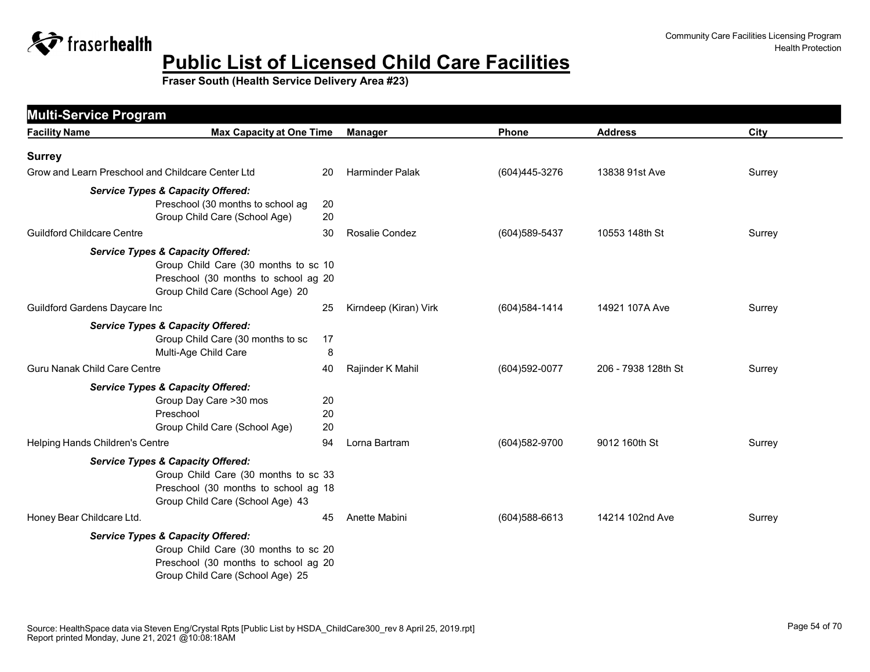

| <b>Facility Name</b>                | <b>Max Capacity at One Time</b>                   |    | <b>Manager</b>         | Phone          | <b>Address</b>      | City   |
|-------------------------------------|---------------------------------------------------|----|------------------------|----------------|---------------------|--------|
| <b>Surrey</b>                       |                                                   |    |                        |                |                     |        |
|                                     | Grow and Learn Preschool and Childcare Center Ltd | 20 | <b>Harminder Palak</b> | (604)445-3276  | 13838 91st Ave      | Surrey |
|                                     | <b>Service Types &amp; Capacity Offered:</b>      |    |                        |                |                     |        |
|                                     | Preschool (30 months to school ag                 | 20 |                        |                |                     |        |
|                                     | Group Child Care (School Age)                     | 20 |                        |                |                     |        |
| <b>Guildford Childcare Centre</b>   |                                                   | 30 | Rosalie Condez         | (604) 589-5437 | 10553 148th St      | Surrey |
|                                     | <b>Service Types &amp; Capacity Offered:</b>      |    |                        |                |                     |        |
|                                     | Group Child Care (30 months to sc 10              |    |                        |                |                     |        |
|                                     | Preschool (30 months to school ag 20              |    |                        |                |                     |        |
|                                     | Group Child Care (School Age) 20                  |    |                        |                |                     |        |
| Guildford Gardens Daycare Inc       |                                                   | 25 | Kirndeep (Kiran) Virk  | (604) 584-1414 | 14921 107A Ave      | Surrey |
|                                     | <b>Service Types &amp; Capacity Offered:</b>      |    |                        |                |                     |        |
|                                     | Group Child Care (30 months to sc<br>17           |    |                        |                |                     |        |
|                                     | Multi-Age Child Care                              | 8  |                        |                |                     |        |
| <b>Guru Nanak Child Care Centre</b> | 40                                                |    | Rajinder K Mahil       | (604) 592-0077 | 206 - 7938 128th St | Surrey |
|                                     | <b>Service Types &amp; Capacity Offered:</b>      |    |                        |                |                     |        |
|                                     | Group Day Care > 30 mos                           | 20 |                        |                |                     |        |
|                                     | Preschool                                         | 20 |                        |                |                     |        |
|                                     | Group Child Care (School Age)                     | 20 |                        |                |                     |        |
| Helping Hands Children's Centre     |                                                   | 94 | Lorna Bartram          | (604) 582-9700 | 9012 160th St       | Surrey |
|                                     | <b>Service Types &amp; Capacity Offered:</b>      |    |                        |                |                     |        |
|                                     | Group Child Care (30 months to sc 33              |    |                        |                |                     |        |
|                                     | Preschool (30 months to school ag 18              |    |                        |                |                     |        |
|                                     | Group Child Care (School Age) 43                  |    |                        |                |                     |        |
| Honey Bear Childcare Ltd.           |                                                   | 45 | Anette Mabini          | (604) 588-6613 | 14214 102nd Ave     | Surrey |
|                                     | <b>Service Types &amp; Capacity Offered:</b>      |    |                        |                |                     |        |
|                                     | Group Child Care (30 months to sc 20              |    |                        |                |                     |        |
|                                     | Preschool (30 months to school ag 20              |    |                        |                |                     |        |
|                                     | Group Child Care (School Age) 25                  |    |                        |                |                     |        |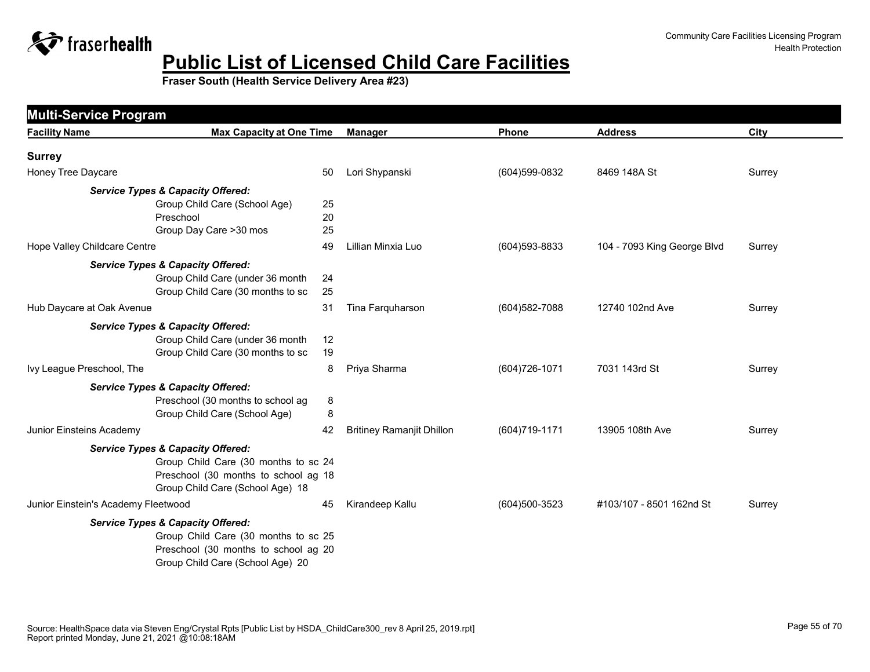

| <b>Facility Name</b>                         | <b>Max Capacity at One Time</b>         | <b>Manager</b>                   | Phone          | <b>Address</b>              | City   |
|----------------------------------------------|-----------------------------------------|----------------------------------|----------------|-----------------------------|--------|
| <b>Surrey</b>                                |                                         |                                  |                |                             |        |
| Honey Tree Daycare                           | 50                                      | Lori Shypanski                   | (604)599-0832  | 8469 148A St                | Surrey |
| <b>Service Types &amp; Capacity Offered:</b> |                                         |                                  |                |                             |        |
|                                              | Group Child Care (School Age)<br>25     |                                  |                |                             |        |
| Preschool                                    | 20                                      |                                  |                |                             |        |
|                                              | 25<br>Group Day Care >30 mos            |                                  |                |                             |        |
| Hope Valley Childcare Centre                 | 49                                      | Lillian Minxia Luo               | (604) 593-8833 | 104 - 7093 King George Blvd | Surrey |
| <b>Service Types &amp; Capacity Offered:</b> |                                         |                                  |                |                             |        |
|                                              | Group Child Care (under 36 month<br>24  |                                  |                |                             |        |
|                                              | 25<br>Group Child Care (30 months to sc |                                  |                |                             |        |
| Hub Daycare at Oak Avenue                    | 31                                      | Tina Farquharson                 | (604) 582-7088 | 12740 102nd Ave             | Surrey |
| <b>Service Types &amp; Capacity Offered:</b> |                                         |                                  |                |                             |        |
|                                              | Group Child Care (under 36 month<br>12  |                                  |                |                             |        |
|                                              | Group Child Care (30 months to sc<br>19 |                                  |                |                             |        |
| Ivy League Preschool, The                    | 8                                       | Priya Sharma                     | (604) 726-1071 | 7031 143rd St               | Surrey |
| <b>Service Types &amp; Capacity Offered:</b> |                                         |                                  |                |                             |        |
|                                              | Preschool (30 months to school ag<br>8  |                                  |                |                             |        |
|                                              | Group Child Care (School Age)<br>8      |                                  |                |                             |        |
| Junior Einsteins Academy                     | 42                                      | <b>Britiney Ramanjit Dhillon</b> | (604) 719-1171 | 13905 108th Ave             | Surrey |
| <b>Service Types &amp; Capacity Offered:</b> |                                         |                                  |                |                             |        |
|                                              | Group Child Care (30 months to sc 24    |                                  |                |                             |        |
|                                              | Preschool (30 months to school ag 18    |                                  |                |                             |        |
|                                              | Group Child Care (School Age) 18        |                                  |                |                             |        |
| Junior Einstein's Academy Fleetwood          | 45                                      | Kirandeep Kallu                  | (604)500-3523  | #103/107 - 8501 162nd St    | Surrey |
| <b>Service Types &amp; Capacity Offered:</b> |                                         |                                  |                |                             |        |
|                                              | Group Child Care (30 months to sc 25    |                                  |                |                             |        |
|                                              | Preschool (30 months to school ag 20    |                                  |                |                             |        |
|                                              | Group Child Care (School Age) 20        |                                  |                |                             |        |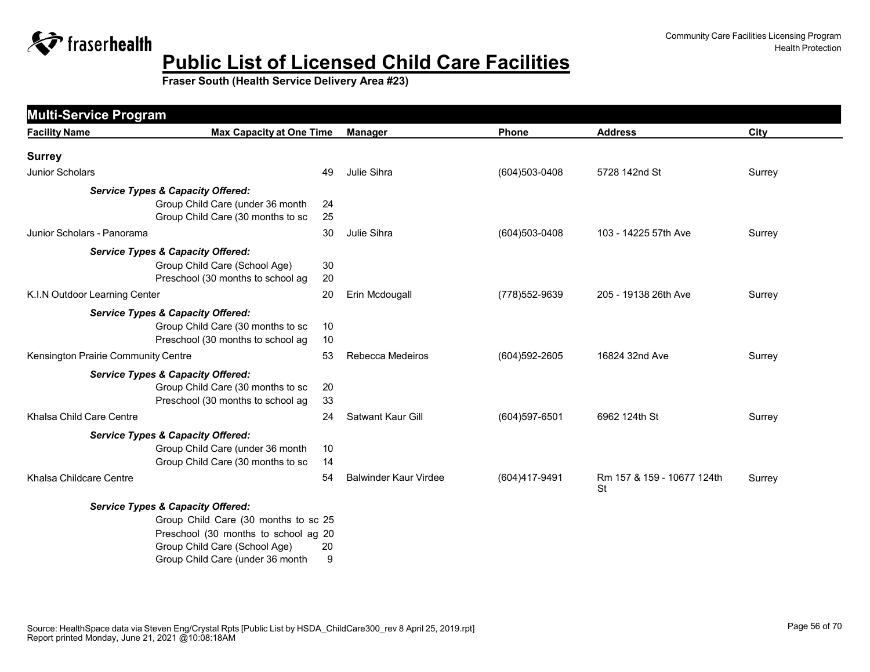

| <b>Facility Name</b>                | <b>Max Capacity at One Time</b>              | <b>Manager</b>    |                              | Phone            | <b>Address</b>                          | City   |
|-------------------------------------|----------------------------------------------|-------------------|------------------------------|------------------|-----------------------------------------|--------|
| <b>Surrey</b>                       |                                              |                   |                              |                  |                                         |        |
| Junior Scholars                     | 49                                           | Julie Sihra       |                              | (604)503-0408    | 5728 142nd St                           | Surrey |
|                                     | <b>Service Types &amp; Capacity Offered:</b> |                   |                              |                  |                                         |        |
|                                     | Group Child Care (under 36 month<br>24       |                   |                              |                  |                                         |        |
|                                     | Group Child Care (30 months to sc<br>25      |                   |                              |                  |                                         |        |
| Junior Scholars - Panorama          |                                              | Julie Sihra<br>30 |                              | (604)503-0408    | 103 - 14225 57th Ave                    | Surrey |
|                                     | <b>Service Types &amp; Capacity Offered:</b> |                   |                              |                  |                                         |        |
|                                     | Group Child Care (School Age)                | 30                |                              |                  |                                         |        |
|                                     | Preschool (30 months to school ag            | 20                |                              |                  |                                         |        |
| K.I.N Outdoor Learning Center       | 20                                           |                   | Erin Mcdougall               | (778) 552-9639   | 205 - 19138 26th Ave                    | Surrey |
|                                     | <b>Service Types &amp; Capacity Offered:</b> |                   |                              |                  |                                         |        |
|                                     | Group Child Care (30 months to sc<br>10      |                   |                              |                  |                                         |        |
|                                     | Preschool (30 months to school ag<br>10      |                   |                              |                  |                                         |        |
| Kensington Prairie Community Centre | 53                                           |                   | Rebecca Medeiros             | (604) 592-2605   | 16824 32nd Ave                          | Surrey |
|                                     | <b>Service Types &amp; Capacity Offered:</b> |                   |                              |                  |                                         |        |
|                                     | Group Child Care (30 months to sc            | 20                |                              |                  |                                         |        |
|                                     | Preschool (30 months to school ag<br>33      |                   |                              |                  |                                         |        |
| Khalsa Child Care Centre            | 24                                           |                   | <b>Satwant Kaur Gill</b>     | $(604)$ 597-6501 | 6962 124th St                           | Surrey |
|                                     | <b>Service Types &amp; Capacity Offered:</b> |                   |                              |                  |                                         |        |
|                                     | Group Child Care (under 36 month<br>10       |                   |                              |                  |                                         |        |
|                                     | Group Child Care (30 months to sc<br>14      |                   |                              |                  |                                         |        |
| Khalsa Childcare Centre             | 54                                           |                   | <b>Balwinder Kaur Virdee</b> | (604)417-9491    | Rm 157 & 159 - 10677 124th<br><b>St</b> | Surrey |
|                                     | <b>Service Types &amp; Capacity Offered:</b> |                   |                              |                  |                                         |        |
|                                     | Group Child Care (30 months to sc 25         |                   |                              |                  |                                         |        |
|                                     | Preschool (30 months to school ag 20         |                   |                              |                  |                                         |        |
|                                     | Group Child Care (School Age)<br>20          |                   |                              |                  |                                         |        |
|                                     | Group Child Care (under 36 month             | 9                 |                              |                  |                                         |        |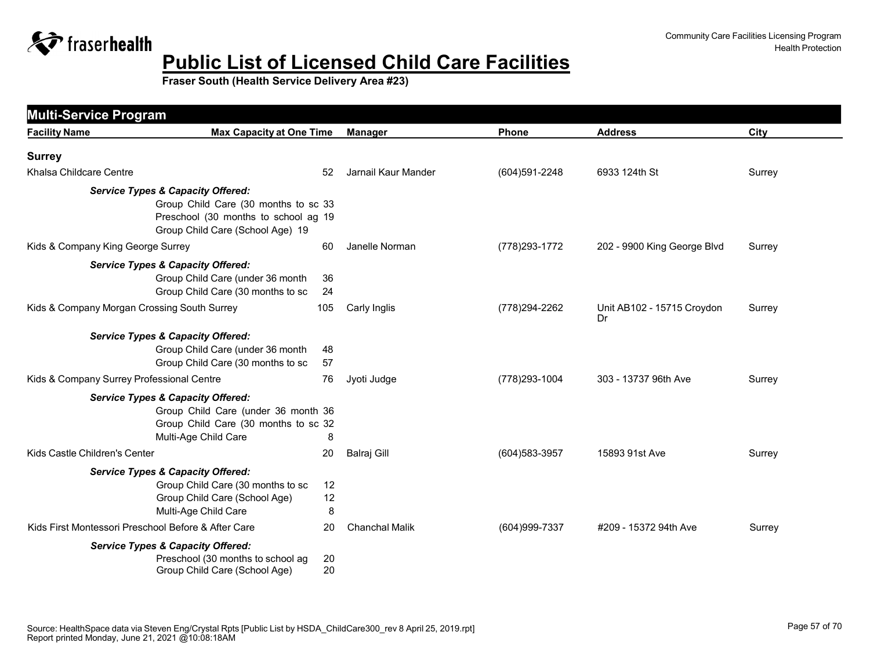

| <b>Facility Name</b>                                | <b>Max Capacity at One Time</b>                                                                                                                                  | <b>Manager</b>        | Phone          | <b>Address</b>                   | City   |
|-----------------------------------------------------|------------------------------------------------------------------------------------------------------------------------------------------------------------------|-----------------------|----------------|----------------------------------|--------|
| <b>Surrey</b>                                       |                                                                                                                                                                  |                       |                |                                  |        |
| Khalsa Childcare Centre                             | 52                                                                                                                                                               | Jarnail Kaur Mander   | (604)591-2248  | 6933 124th St                    | Surrey |
|                                                     | <b>Service Types &amp; Capacity Offered:</b><br>Group Child Care (30 months to sc 33<br>Preschool (30 months to school ag 19<br>Group Child Care (School Age) 19 |                       |                |                                  |        |
| Kids & Company King George Surrey                   | 60                                                                                                                                                               | Janelle Norman        | (778) 293-1772 | 202 - 9900 King George Blvd      | Surrey |
|                                                     | <b>Service Types &amp; Capacity Offered:</b><br>Group Child Care (under 36 month<br>36<br>Group Child Care (30 months to sc<br>24                                |                       |                |                                  |        |
| Kids & Company Morgan Crossing South Surrey         | 105                                                                                                                                                              | Carly Inglis          | (778) 294-2262 | Unit AB102 - 15715 Croydon<br>Dr | Surrey |
|                                                     | <b>Service Types &amp; Capacity Offered:</b><br>Group Child Care (under 36 month<br>48<br>Group Child Care (30 months to sc<br>57                                |                       |                |                                  |        |
| Kids & Company Surrey Professional Centre           | 76                                                                                                                                                               | Jyoti Judge           | (778) 293-1004 | 303 - 13737 96th Ave             | Surrey |
|                                                     | <b>Service Types &amp; Capacity Offered:</b><br>Group Child Care (under 36 month 36<br>Group Child Care (30 months to sc 32<br>Multi-Age Child Care<br>8         |                       |                |                                  |        |
| Kids Castle Children's Center                       | 20                                                                                                                                                               | Balraj Gill           | (604) 583-3957 | 15893 91st Ave                   | Surrey |
|                                                     | <b>Service Types &amp; Capacity Offered:</b><br>Group Child Care (30 months to sc<br>12<br>Group Child Care (School Age)<br>12<br>Multi-Age Child Care<br>8      |                       |                |                                  |        |
| Kids First Montessori Preschool Before & After Care | 20                                                                                                                                                               | <b>Chanchal Malik</b> | (604) 999-7337 | #209 - 15372 94th Ave            | Surrey |
|                                                     | <b>Service Types &amp; Capacity Offered:</b><br>Preschool (30 months to school ag<br>20<br>Group Child Care (School Age)<br>20                                   |                       |                |                                  |        |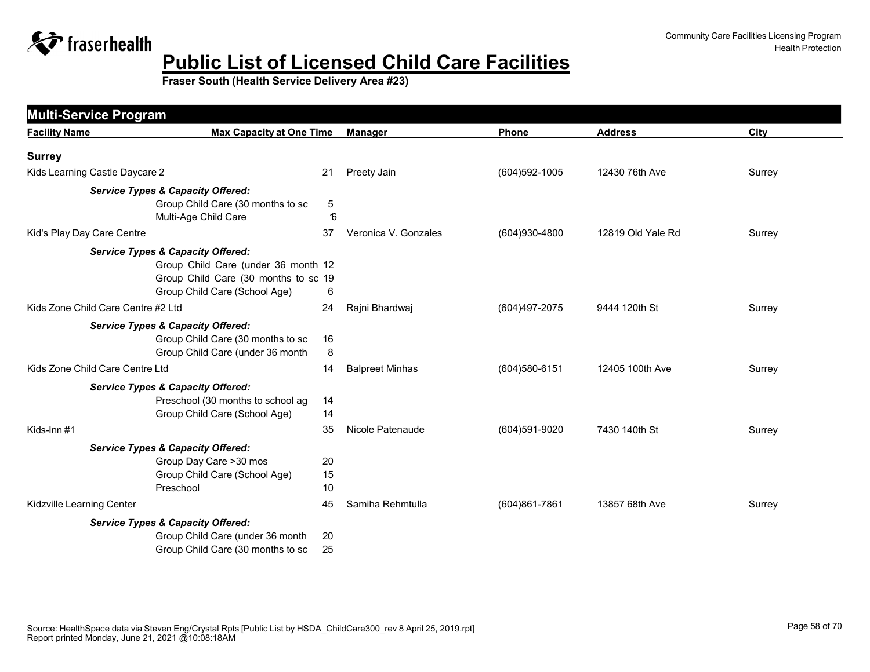

| <b>Multi-Service Program</b>       |                                                                                                                                                              |                |                        |                |                   |        |
|------------------------------------|--------------------------------------------------------------------------------------------------------------------------------------------------------------|----------------|------------------------|----------------|-------------------|--------|
| <b>Facility Name</b>               | <b>Max Capacity at One Time</b>                                                                                                                              |                | <b>Manager</b>         | Phone          | <b>Address</b>    | City   |
| <b>Surrey</b>                      |                                                                                                                                                              |                |                        |                |                   |        |
| Kids Learning Castle Daycare 2     |                                                                                                                                                              | 21             | Preety Jain            | (604) 592-1005 | 12430 76th Ave    | Surrey |
|                                    | <b>Service Types &amp; Capacity Offered:</b><br>Group Child Care (30 months to sc<br>Multi-Age Child Care                                                    | 5<br>16        |                        |                |                   |        |
| Kid's Play Day Care Centre         |                                                                                                                                                              | 37             | Veronica V. Gonzales   | (604)930-4800  | 12819 Old Yale Rd | Surrey |
|                                    | <b>Service Types &amp; Capacity Offered:</b><br>Group Child Care (under 36 month 12<br>Group Child Care (30 months to sc 19<br>Group Child Care (School Age) | 6              |                        |                |                   |        |
| Kids Zone Child Care Centre #2 Ltd |                                                                                                                                                              | 24             | Rajni Bhardwaj         | (604)497-2075  | 9444 120th St     | Surrey |
|                                    | <b>Service Types &amp; Capacity Offered:</b><br>Group Child Care (30 months to sc<br>Group Child Care (under 36 month                                        | 16<br>8        |                        |                |                   |        |
| Kids Zone Child Care Centre Ltd    |                                                                                                                                                              | 14             | <b>Balpreet Minhas</b> | (604) 580-6151 | 12405 100th Ave   | Surrey |
|                                    | <b>Service Types &amp; Capacity Offered:</b><br>Preschool (30 months to school ag<br>Group Child Care (School Age)                                           | 14<br>14       |                        |                |                   |        |
| Kids-Inn #1                        |                                                                                                                                                              | 35             | Nicole Patenaude       | (604)591-9020  | 7430 140th St     | Surrey |
|                                    | <b>Service Types &amp; Capacity Offered:</b><br>Group Day Care > 30 mos<br>Group Child Care (School Age)<br>Preschool                                        | 20<br>15<br>10 |                        |                |                   |        |
| Kidzville Learning Center          |                                                                                                                                                              | 45             | Samiha Rehmtulla       | (604)861-7861  | 13857 68th Ave    | Surrey |
|                                    | <b>Service Types &amp; Capacity Offered:</b><br>Group Child Care (under 36 month<br>Group Child Care (30 months to sc                                        | 20<br>25       |                        |                |                   |        |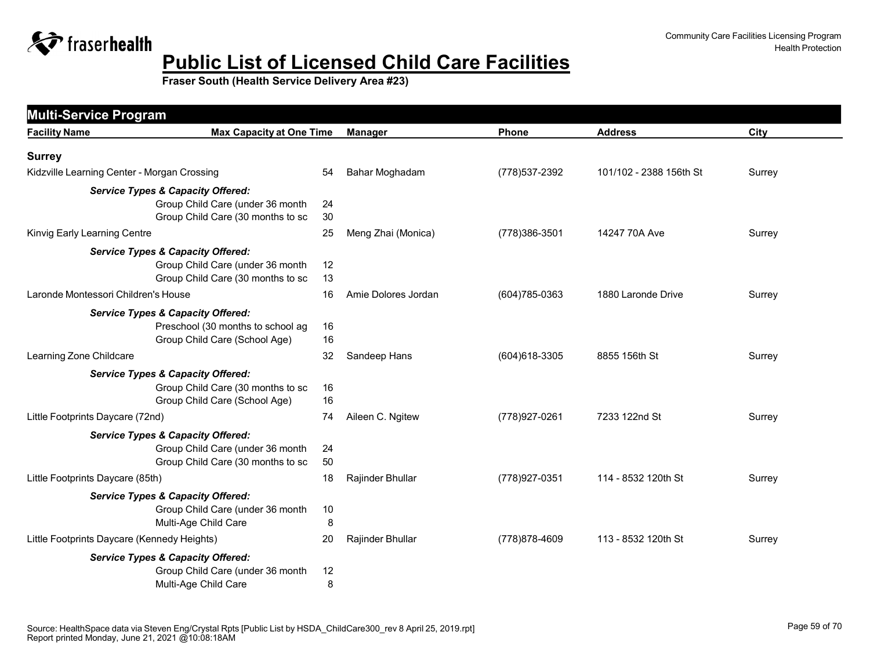

| <b>Multi-Service Program</b>                 |                                                                                   |                     |                |                         |        |
|----------------------------------------------|-----------------------------------------------------------------------------------|---------------------|----------------|-------------------------|--------|
| <b>Facility Name</b>                         | <b>Max Capacity at One Time</b>                                                   | <b>Manager</b>      | <b>Phone</b>   | <b>Address</b>          | City   |
| <b>Surrey</b>                                |                                                                                   |                     |                |                         |        |
| Kidzville Learning Center - Morgan Crossing  | 54                                                                                | Bahar Moghadam      | (778) 537-2392 | 101/102 - 2388 156th St | Surrey |
| <b>Service Types &amp; Capacity Offered:</b> | Group Child Care (under 36 month<br>24                                            |                     |                |                         |        |
|                                              | Group Child Care (30 months to sc<br>30                                           |                     |                |                         |        |
| Kinvig Early Learning Centre                 | 25                                                                                | Meng Zhai (Monica)  | (778) 386-3501 | 14247 70A Ave           | Surrey |
| <b>Service Types &amp; Capacity Offered:</b> | Group Child Care (under 36 month<br>12<br>Group Child Care (30 months to sc<br>13 |                     |                |                         |        |
| Laronde Montessori Children's House          | 16                                                                                | Amie Dolores Jordan | (604) 785-0363 | 1880 Laronde Drive      | Surrey |
| <b>Service Types &amp; Capacity Offered:</b> | Preschool (30 months to school ag<br>16<br>Group Child Care (School Age)<br>16    |                     |                |                         |        |
| Learning Zone Childcare                      | 32                                                                                | Sandeep Hans        | (604) 618-3305 | 8855 156th St           | Surrey |
| <b>Service Types &amp; Capacity Offered:</b> | Group Child Care (30 months to sc<br>16<br>Group Child Care (School Age)<br>16    |                     |                |                         |        |
| Little Footprints Daycare (72nd)             | 74                                                                                | Aileen C. Ngitew    | (778) 927-0261 | 7233 122nd St           | Surrey |
| <b>Service Types &amp; Capacity Offered:</b> | Group Child Care (under 36 month<br>24<br>Group Child Care (30 months to sc<br>50 |                     |                |                         |        |
| Little Footprints Daycare (85th)             | 18                                                                                | Rajinder Bhullar    | (778) 927-0351 | 114 - 8532 120th St     | Surrey |
| <b>Service Types &amp; Capacity Offered:</b> | Group Child Care (under 36 month<br>10<br>Multi-Age Child Care<br>8               |                     |                |                         |        |
| Little Footprints Daycare (Kennedy Heights)  | 20                                                                                | Rajinder Bhullar    | (778) 878-4609 | 113 - 8532 120th St     | Surrey |
| <b>Service Types &amp; Capacity Offered:</b> | Group Child Care (under 36 month<br>12<br>Multi-Age Child Care<br>8               |                     |                |                         |        |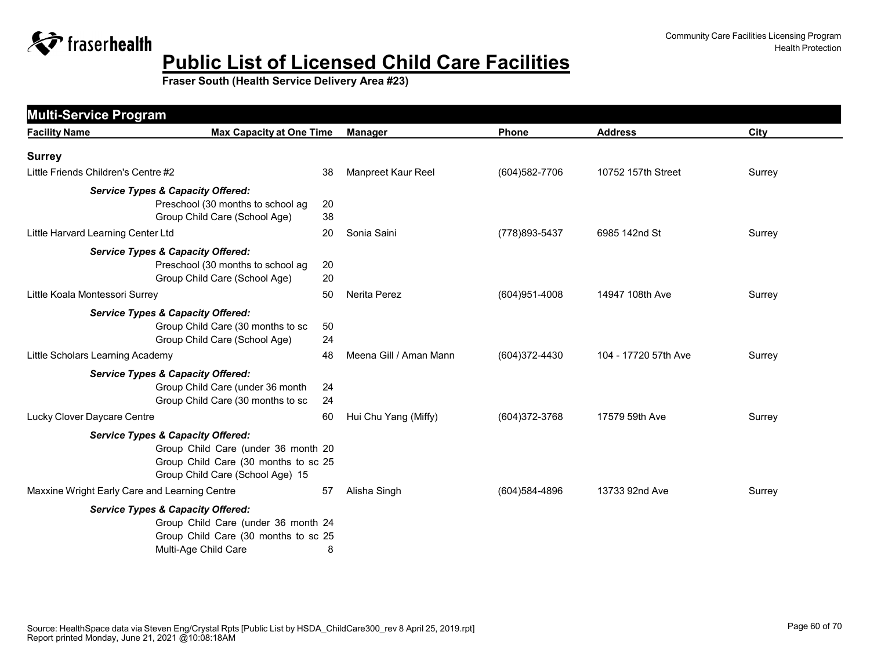

| <b>Multi-Service Program</b><br><b>Facility Name</b> | <b>Max Capacity at One Time</b>              |    | <b>Manager</b>         | Phone             | <b>Address</b>       | City   |
|------------------------------------------------------|----------------------------------------------|----|------------------------|-------------------|----------------------|--------|
|                                                      |                                              |    |                        |                   |                      |        |
| <b>Surrey</b>                                        |                                              |    |                        |                   |                      |        |
| Little Friends Children's Centre #2                  |                                              | 38 | Manpreet Kaur Reel     | (604) 582-7706    | 10752 157th Street   | Surrey |
|                                                      | <b>Service Types &amp; Capacity Offered:</b> |    |                        |                   |                      |        |
|                                                      | Preschool (30 months to school ag            | 20 |                        |                   |                      |        |
|                                                      | Group Child Care (School Age)                | 38 |                        |                   |                      |        |
| Little Harvard Learning Center Ltd                   |                                              | 20 | Sonia Saini            | (778) 893-5437    | 6985 142nd St        | Surrey |
|                                                      | <b>Service Types &amp; Capacity Offered:</b> |    |                        |                   |                      |        |
|                                                      | Preschool (30 months to school ag            | 20 |                        |                   |                      |        |
|                                                      | Group Child Care (School Age)                | 20 |                        |                   |                      |        |
| Little Koala Montessori Surrey                       |                                              | 50 | Nerita Perez           | $(604)951 - 4008$ | 14947 108th Ave      | Surrey |
|                                                      | <b>Service Types &amp; Capacity Offered:</b> |    |                        |                   |                      |        |
|                                                      | Group Child Care (30 months to sc            | 50 |                        |                   |                      |        |
|                                                      | Group Child Care (School Age)                | 24 |                        |                   |                      |        |
| Little Scholars Learning Academy                     |                                              | 48 | Meena Gill / Aman Mann | (604) 372-4430    | 104 - 17720 57th Ave | Surrey |
|                                                      | <b>Service Types &amp; Capacity Offered:</b> |    |                        |                   |                      |        |
|                                                      | Group Child Care (under 36 month             | 24 |                        |                   |                      |        |
|                                                      | Group Child Care (30 months to sc            | 24 |                        |                   |                      |        |
| Lucky Clover Daycare Centre                          |                                              | 60 | Hui Chu Yang (Miffy)   | (604)372-3768     | 17579 59th Ave       | Surrey |
|                                                      | <b>Service Types &amp; Capacity Offered:</b> |    |                        |                   |                      |        |
|                                                      | Group Child Care (under 36 month 20          |    |                        |                   |                      |        |
|                                                      | Group Child Care (30 months to sc 25         |    |                        |                   |                      |        |
|                                                      | Group Child Care (School Age) 15             |    |                        |                   |                      |        |
| Maxxine Wright Early Care and Learning Centre        |                                              | 57 | Alisha Singh           | (604) 584-4896    | 13733 92nd Ave       | Surrey |
|                                                      | <b>Service Types &amp; Capacity Offered:</b> |    |                        |                   |                      |        |
|                                                      | Group Child Care (under 36 month 24          |    |                        |                   |                      |        |
|                                                      | Group Child Care (30 months to sc 25         |    |                        |                   |                      |        |
|                                                      | Multi-Age Child Care                         | 8  |                        |                   |                      |        |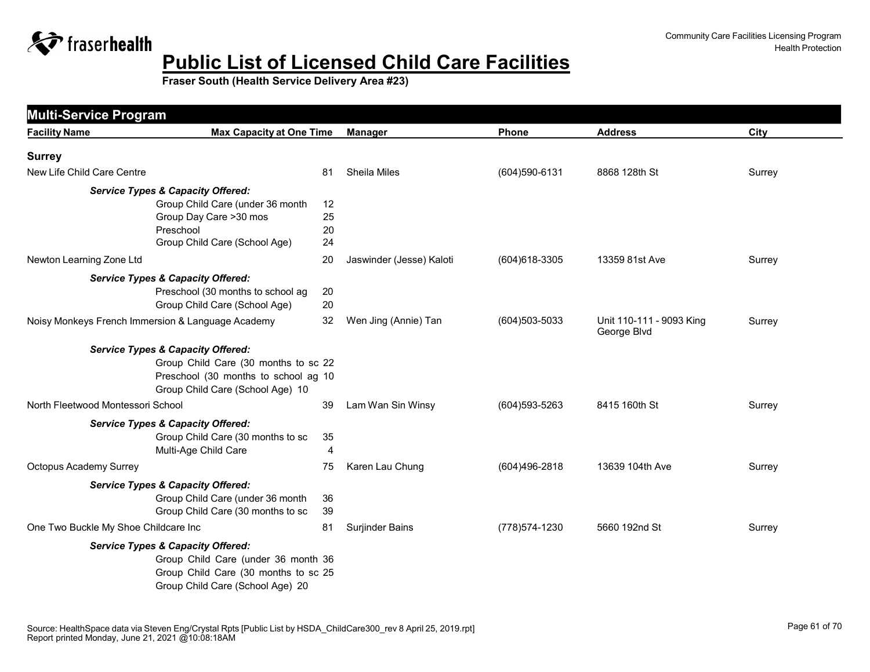

| <b>Facility Name</b>                              | <b>Max Capacity at One Time</b>              |    | <b>Manager</b>           | Phone             | <b>Address</b>                          | City   |
|---------------------------------------------------|----------------------------------------------|----|--------------------------|-------------------|-----------------------------------------|--------|
| <b>Surrey</b>                                     |                                              |    |                          |                   |                                         |        |
| New Life Child Care Centre                        |                                              | 81 | Sheila Miles             | (604)590-6131     | 8868 128th St                           | Surrey |
|                                                   | <b>Service Types &amp; Capacity Offered:</b> |    |                          |                   |                                         |        |
|                                                   | Group Child Care (under 36 month             | 12 |                          |                   |                                         |        |
|                                                   | Group Day Care >30 mos                       | 25 |                          |                   |                                         |        |
|                                                   | Preschool                                    | 20 |                          |                   |                                         |        |
|                                                   | Group Child Care (School Age)                | 24 |                          |                   |                                         |        |
| Newton Learning Zone Ltd                          |                                              | 20 | Jaswinder (Jesse) Kaloti | (604) 618-3305    | 13359 81st Ave                          | Surrey |
|                                                   | <b>Service Types &amp; Capacity Offered:</b> |    |                          |                   |                                         |        |
|                                                   | Preschool (30 months to school ag            | 20 |                          |                   |                                         |        |
|                                                   | Group Child Care (School Age)                | 20 |                          |                   |                                         |        |
| Noisy Monkeys French Immersion & Language Academy |                                              | 32 | Wen Jing (Annie) Tan     | (604) 503-5033    | Unit 110-111 - 9093 King<br>George Blvd | Surrey |
|                                                   | <b>Service Types &amp; Capacity Offered:</b> |    |                          |                   |                                         |        |
|                                                   | Group Child Care (30 months to sc 22         |    |                          |                   |                                         |        |
|                                                   | Preschool (30 months to school ag 10         |    |                          |                   |                                         |        |
|                                                   | Group Child Care (School Age) 10             |    |                          |                   |                                         |        |
| North Fleetwood Montessori School                 |                                              | 39 | Lam Wan Sin Winsy        | $(604)593 - 5263$ | 8415 160th St                           | Surrey |
|                                                   | <b>Service Types &amp; Capacity Offered:</b> |    |                          |                   |                                         |        |
|                                                   | Group Child Care (30 months to sc            | 35 |                          |                   |                                         |        |
|                                                   | Multi-Age Child Care                         | 4  |                          |                   |                                         |        |
| <b>Octopus Academy Surrey</b>                     |                                              | 75 | Karen Lau Chung          | (604)496-2818     | 13639 104th Ave                         | Surrey |
|                                                   | <b>Service Types &amp; Capacity Offered:</b> |    |                          |                   |                                         |        |
|                                                   | Group Child Care (under 36 month             | 36 |                          |                   |                                         |        |
|                                                   | Group Child Care (30 months to sc            | 39 |                          |                   |                                         |        |
| One Two Buckle My Shoe Childcare Inc              |                                              | 81 | <b>Surjinder Bains</b>   | (778) 574-1230    | 5660 192nd St                           | Surrey |
|                                                   | <b>Service Types &amp; Capacity Offered:</b> |    |                          |                   |                                         |        |
|                                                   | Group Child Care (under 36 month 36          |    |                          |                   |                                         |        |
|                                                   | Group Child Care (30 months to sc 25         |    |                          |                   |                                         |        |
|                                                   | Group Child Care (School Age) 20             |    |                          |                   |                                         |        |
|                                                   |                                              |    |                          |                   |                                         |        |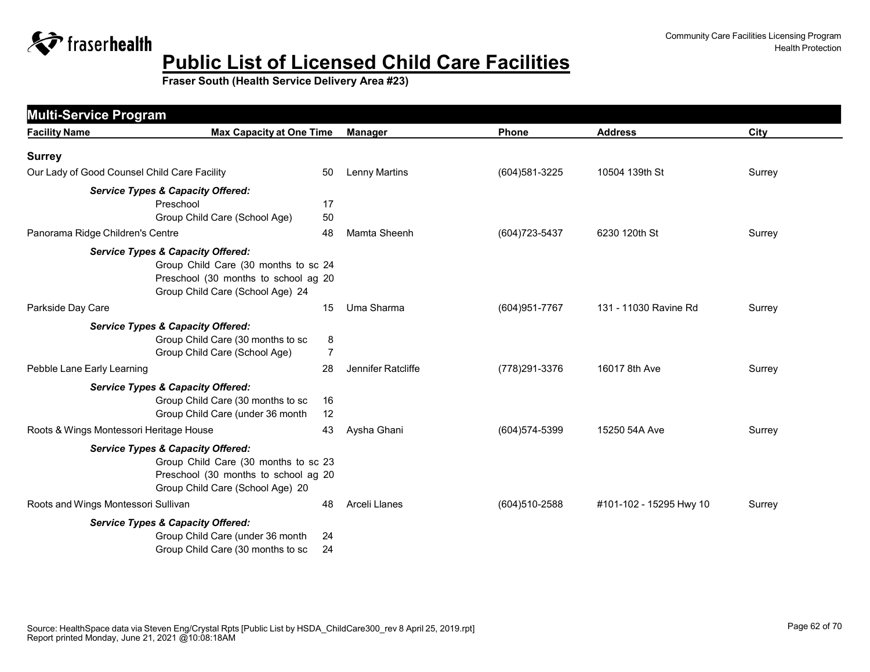

| <b>Multi-Service Program</b>                 |                                              |                |                    |                   |                         |        |
|----------------------------------------------|----------------------------------------------|----------------|--------------------|-------------------|-------------------------|--------|
| <b>Facility Name</b>                         | <b>Max Capacity at One Time</b>              |                | <b>Manager</b>     | Phone             | <b>Address</b>          | City   |
| <b>Surrey</b>                                |                                              |                |                    |                   |                         |        |
| Our Lady of Good Counsel Child Care Facility |                                              | 50             | Lenny Martins      | (604) 581-3225    | 10504 139th St          | Surrey |
|                                              | <b>Service Types &amp; Capacity Offered:</b> |                |                    |                   |                         |        |
|                                              | Preschool                                    | 17             |                    |                   |                         |        |
|                                              | Group Child Care (School Age)                | 50             |                    |                   |                         |        |
| Panorama Ridge Children's Centre             |                                              | 48             | Mamta Sheenh       | (604) 723-5437    | 6230 120th St           | Surrey |
|                                              | <b>Service Types &amp; Capacity Offered:</b> |                |                    |                   |                         |        |
|                                              | Group Child Care (30 months to sc 24         |                |                    |                   |                         |        |
|                                              | Preschool (30 months to school ag 20         |                |                    |                   |                         |        |
|                                              | Group Child Care (School Age) 24             |                |                    |                   |                         |        |
| Parkside Day Care                            |                                              | 15             | Uma Sharma         | (604) 951-7767    | 131 - 11030 Ravine Rd   | Surrey |
|                                              | <b>Service Types &amp; Capacity Offered:</b> |                |                    |                   |                         |        |
|                                              | Group Child Care (30 months to sc            | 8              |                    |                   |                         |        |
|                                              | Group Child Care (School Age)                | $\overline{7}$ |                    |                   |                         |        |
| Pebble Lane Early Learning                   |                                              | 28             | Jennifer Ratcliffe | (778) 291-3376    | 16017 8th Ave           | Surrey |
|                                              | <b>Service Types &amp; Capacity Offered:</b> |                |                    |                   |                         |        |
|                                              | Group Child Care (30 months to sc            | 16             |                    |                   |                         |        |
|                                              | Group Child Care (under 36 month             | 12             |                    |                   |                         |        |
| Roots & Wings Montessori Heritage House      |                                              | 43             | Aysha Ghani        | (604) 574-5399    | 15250 54A Ave           | Surrey |
|                                              | <b>Service Types &amp; Capacity Offered:</b> |                |                    |                   |                         |        |
|                                              | Group Child Care (30 months to sc 23         |                |                    |                   |                         |        |
|                                              | Preschool (30 months to school ag 20         |                |                    |                   |                         |        |
|                                              | Group Child Care (School Age) 20             |                |                    |                   |                         |        |
| Roots and Wings Montessori Sullivan          |                                              | 48             | Arceli Llanes      | $(604)510 - 2588$ | #101-102 - 15295 Hwy 10 | Surrey |
|                                              | <b>Service Types &amp; Capacity Offered:</b> |                |                    |                   |                         |        |
|                                              | Group Child Care (under 36 month             | 24             |                    |                   |                         |        |
|                                              | Group Child Care (30 months to sc            | 24             |                    |                   |                         |        |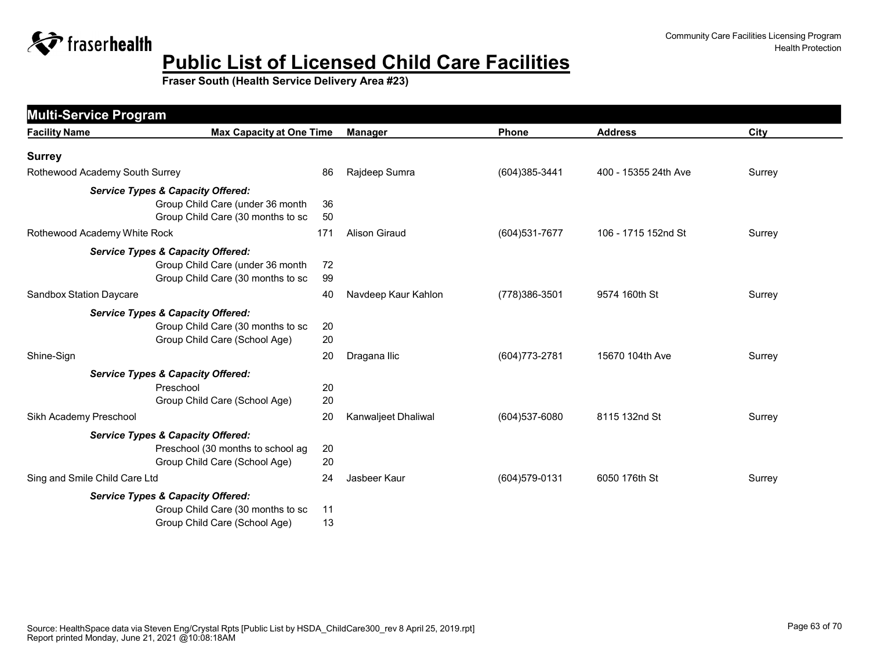

| <b>Multi-Service Program</b><br><b>Facility Name</b> | <b>Max Capacity at One Time</b>                                       |          | <b>Manager</b>      | <b>Phone</b>      | <b>Address</b>       | City   |
|------------------------------------------------------|-----------------------------------------------------------------------|----------|---------------------|-------------------|----------------------|--------|
|                                                      |                                                                       |          |                     |                   |                      |        |
| <b>Surrey</b><br>Rothewood Academy South Surrey      |                                                                       | 86       | Rajdeep Sumra       | (604)385-3441     | 400 - 15355 24th Ave | Surrey |
|                                                      |                                                                       |          |                     |                   |                      |        |
|                                                      | <b>Service Types &amp; Capacity Offered:</b>                          |          |                     |                   |                      |        |
|                                                      | Group Child Care (under 36 month<br>Group Child Care (30 months to sc | 36<br>50 |                     |                   |                      |        |
|                                                      |                                                                       |          |                     |                   |                      |        |
| Rothewood Academy White Rock                         |                                                                       | 171      | Alison Giraud       | (604) 531-7677    | 106 - 1715 152nd St  | Surrey |
|                                                      | <b>Service Types &amp; Capacity Offered:</b>                          |          |                     |                   |                      |        |
|                                                      | Group Child Care (under 36 month                                      | 72       |                     |                   |                      |        |
|                                                      | Group Child Care (30 months to sc                                     | 99       |                     |                   |                      |        |
| Sandbox Station Daycare                              |                                                                       | 40       | Navdeep Kaur Kahlon | (778) 386-3501    | 9574 160th St        | Surrey |
|                                                      | <b>Service Types &amp; Capacity Offered:</b>                          |          |                     |                   |                      |        |
|                                                      | Group Child Care (30 months to sc                                     | 20       |                     |                   |                      |        |
|                                                      | Group Child Care (School Age)                                         | 20       |                     |                   |                      |        |
| Shine-Sign                                           |                                                                       | 20       | Dragana Ilic        | (604) 773-2781    | 15670 104th Ave      | Surrey |
|                                                      | <b>Service Types &amp; Capacity Offered:</b>                          |          |                     |                   |                      |        |
|                                                      | Preschool                                                             | 20       |                     |                   |                      |        |
|                                                      | Group Child Care (School Age)                                         | 20       |                     |                   |                      |        |
| Sikh Academy Preschool                               |                                                                       | 20       | Kanwaljeet Dhaliwal | (604) 537-6080    | 8115 132nd St        | Surrey |
|                                                      | <b>Service Types &amp; Capacity Offered:</b>                          |          |                     |                   |                      |        |
|                                                      | Preschool (30 months to school ag                                     | 20       |                     |                   |                      |        |
|                                                      | Group Child Care (School Age)                                         | 20       |                     |                   |                      |        |
| Sing and Smile Child Care Ltd                        |                                                                       | 24       | Jasbeer Kaur        | $(604)579 - 0131$ | 6050 176th St        | Surrey |
|                                                      | <b>Service Types &amp; Capacity Offered:</b>                          |          |                     |                   |                      |        |
|                                                      | Group Child Care (30 months to sc                                     | 11       |                     |                   |                      |        |
|                                                      | Group Child Care (School Age)                                         | 13       |                     |                   |                      |        |
|                                                      |                                                                       |          |                     |                   |                      |        |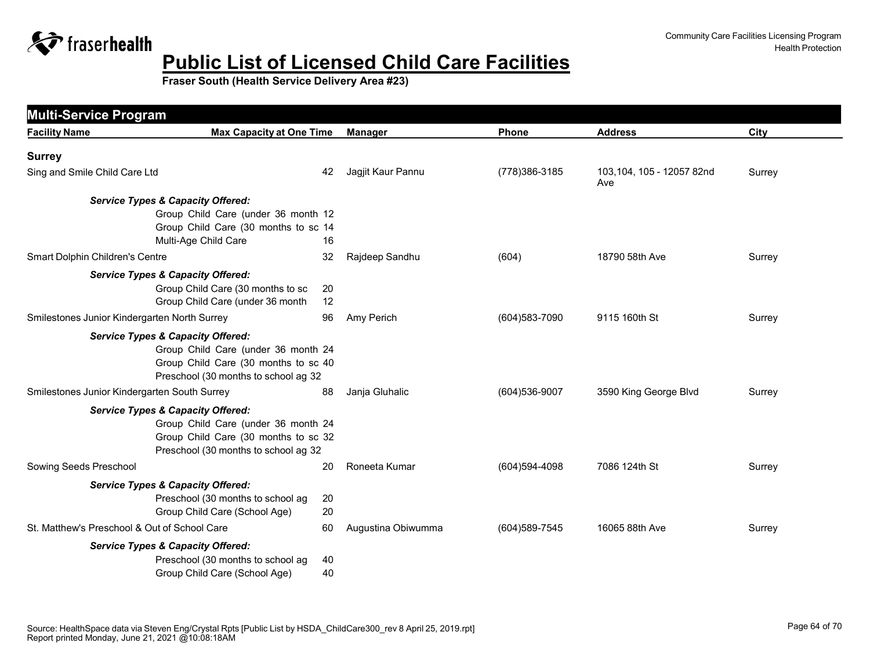

| <b>Facility Name</b>                         | <b>Max Capacity at One Time</b>                                                                                     | <b>Manager</b>     | Phone          | <b>Address</b>                   | City   |
|----------------------------------------------|---------------------------------------------------------------------------------------------------------------------|--------------------|----------------|----------------------------------|--------|
| <b>Surrey</b>                                |                                                                                                                     |                    |                |                                  |        |
| Sing and Smile Child Care Ltd                | 42                                                                                                                  | Jagjit Kaur Pannu  | (778) 386-3185 | 103,104, 105 - 12057 82nd<br>Ave | Surrey |
| <b>Service Types &amp; Capacity Offered:</b> | Group Child Care (under 36 month 12<br>Group Child Care (30 months to sc 14<br>Multi-Age Child Care<br>16           |                    |                |                                  |        |
| Smart Dolphin Children's Centre              | 32                                                                                                                  | Rajdeep Sandhu     | (604)          | 18790 58th Ave                   | Surrey |
| <b>Service Types &amp; Capacity Offered:</b> | Group Child Care (30 months to sc<br>20<br>Group Child Care (under 36 month<br>12                                   |                    |                |                                  |        |
| Smilestones Junior Kindergarten North Surrey | 96                                                                                                                  | Amy Perich         | (604) 583-7090 | 9115 160th St                    | Surrey |
| <b>Service Types &amp; Capacity Offered:</b> | Group Child Care (under 36 month 24<br>Group Child Care (30 months to sc 40<br>Preschool (30 months to school ag 32 |                    |                |                                  |        |
| Smilestones Junior Kindergarten South Surrey | 88                                                                                                                  | Janja Gluhalic     | (604) 536-9007 | 3590 King George Blvd            | Surrey |
| <b>Service Types &amp; Capacity Offered:</b> | Group Child Care (under 36 month 24<br>Group Child Care (30 months to sc 32<br>Preschool (30 months to school ag 32 |                    |                |                                  |        |
| Sowing Seeds Preschool                       | 20                                                                                                                  | Roneeta Kumar      | (604)594-4098  | 7086 124th St                    | Surrey |
| <b>Service Types &amp; Capacity Offered:</b> | Preschool (30 months to school ag<br>20<br>Group Child Care (School Age)<br>20                                      |                    |                |                                  |        |
| St. Matthew's Preschool & Out of School Care | 60                                                                                                                  | Augustina Obiwumma | (604) 589-7545 | 16065 88th Ave                   | Surrey |
| <b>Service Types &amp; Capacity Offered:</b> | Preschool (30 months to school ag<br>40<br>Group Child Care (School Age)<br>40                                      |                    |                |                                  |        |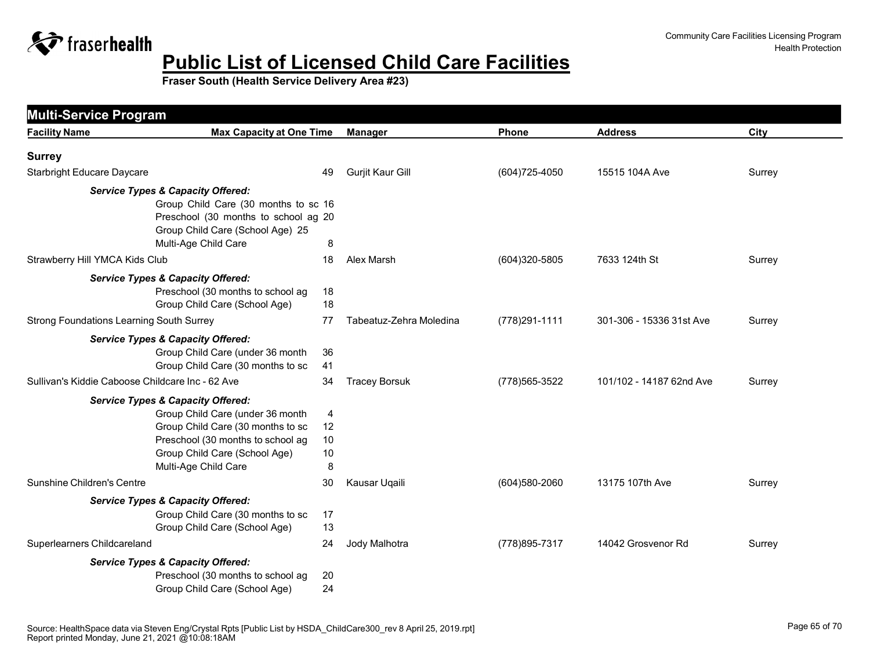

| <b>Facility Name</b>                             | <b>Max Capacity at One Time</b>              |                | <b>Manager</b>          | Phone           | <b>Address</b>           | City   |
|--------------------------------------------------|----------------------------------------------|----------------|-------------------------|-----------------|--------------------------|--------|
| <b>Surrey</b>                                    |                                              |                |                         |                 |                          |        |
| <b>Starbright Educare Daycare</b>                |                                              | 49             | Gurjit Kaur Gill        | $(604)725-4050$ | 15515 104A Ave           | Surrey |
|                                                  | <b>Service Types &amp; Capacity Offered:</b> |                |                         |                 |                          |        |
|                                                  | Group Child Care (30 months to sc 16         |                |                         |                 |                          |        |
|                                                  | Preschool (30 months to school ag 20         |                |                         |                 |                          |        |
|                                                  | Group Child Care (School Age) 25             |                |                         |                 |                          |        |
|                                                  | Multi-Age Child Care                         | 8              |                         |                 |                          |        |
| Strawberry Hill YMCA Kids Club                   |                                              | 18             | Alex Marsh              | (604)320-5805   | 7633 124th St            | Surrey |
|                                                  | <b>Service Types &amp; Capacity Offered:</b> |                |                         |                 |                          |        |
|                                                  | Preschool (30 months to school ag            | 18             |                         |                 |                          |        |
|                                                  | Group Child Care (School Age)                | 18             |                         |                 |                          |        |
| <b>Strong Foundations Learning South Surrey</b>  |                                              | 77             | Tabeatuz-Zehra Moledina | (778) 291-1111  | 301-306 - 15336 31st Ave | Surrey |
|                                                  | <b>Service Types &amp; Capacity Offered:</b> |                |                         |                 |                          |        |
|                                                  | Group Child Care (under 36 month             | 36             |                         |                 |                          |        |
|                                                  | Group Child Care (30 months to sc            | 41             |                         |                 |                          |        |
| Sullivan's Kiddie Caboose Childcare Inc - 62 Ave |                                              | 34             | <b>Tracey Borsuk</b>    | (778) 565-3522  | 101/102 - 14187 62nd Ave | Surrey |
|                                                  | <b>Service Types &amp; Capacity Offered:</b> |                |                         |                 |                          |        |
|                                                  | Group Child Care (under 36 month             | $\overline{4}$ |                         |                 |                          |        |
|                                                  | Group Child Care (30 months to sc            | 12             |                         |                 |                          |        |
|                                                  | Preschool (30 months to school ag            | 10             |                         |                 |                          |        |
|                                                  | Group Child Care (School Age)                | 10             |                         |                 |                          |        |
|                                                  | Multi-Age Child Care                         | 8              |                         |                 |                          |        |
| Sunshine Children's Centre                       |                                              | 30             | Kausar Uqaili           | (604) 580-2060  | 13175 107th Ave          | Surrey |
|                                                  | <b>Service Types &amp; Capacity Offered:</b> |                |                         |                 |                          |        |
|                                                  | Group Child Care (30 months to sc            | 17             |                         |                 |                          |        |
|                                                  | Group Child Care (School Age)                | 13             |                         |                 |                          |        |
| Superlearners Childcareland                      |                                              | 24             | Jody Malhotra           | (778) 895-7317  | 14042 Grosvenor Rd       | Surrey |
|                                                  | <b>Service Types &amp; Capacity Offered:</b> |                |                         |                 |                          |        |
|                                                  | Preschool (30 months to school ag            | 20             |                         |                 |                          |        |
|                                                  | Group Child Care (School Age)                | 24             |                         |                 |                          |        |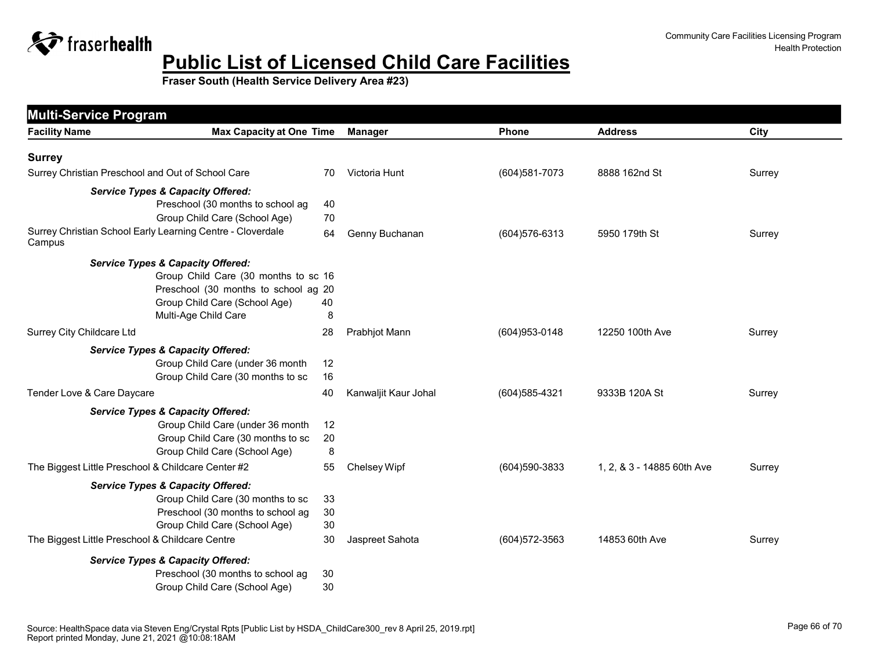

| <b>Multi-Service Program</b>                                         |                                         |                      |                   |                            |        |
|----------------------------------------------------------------------|-----------------------------------------|----------------------|-------------------|----------------------------|--------|
| <b>Facility Name</b>                                                 | <b>Max Capacity at One Time</b>         | <b>Manager</b>       | <b>Phone</b>      | <b>Address</b>             | City   |
| <b>Surrey</b>                                                        |                                         |                      |                   |                            |        |
| Surrey Christian Preschool and Out of School Care                    | 70                                      | Victoria Hunt        | (604) 581-7073    | 8888 162nd St              | Surrey |
| <b>Service Types &amp; Capacity Offered:</b>                         |                                         |                      |                   |                            |        |
|                                                                      | Preschool (30 months to school ag<br>40 |                      |                   |                            |        |
|                                                                      | Group Child Care (School Age)<br>70     |                      |                   |                            |        |
| Surrey Christian School Early Learning Centre - Cloverdale<br>Campus | 64                                      | Genny Buchanan       | (604) 576-6313    | 5950 179th St              | Surrey |
| <b>Service Types &amp; Capacity Offered:</b>                         |                                         |                      |                   |                            |        |
|                                                                      | Group Child Care (30 months to sc 16    |                      |                   |                            |        |
|                                                                      | Preschool (30 months to school ag 20    |                      |                   |                            |        |
|                                                                      | Group Child Care (School Age)<br>40     |                      |                   |                            |        |
|                                                                      | Multi-Age Child Care<br>8               |                      |                   |                            |        |
| <b>Surrey City Childcare Ltd</b>                                     | 28                                      | Prabhjot Mann        | (604) 953-0148    | 12250 100th Ave            | Surrey |
| <b>Service Types &amp; Capacity Offered:</b>                         |                                         |                      |                   |                            |        |
|                                                                      | Group Child Care (under 36 month<br>12  |                      |                   |                            |        |
|                                                                      | Group Child Care (30 months to sc<br>16 |                      |                   |                            |        |
| Tender Love & Care Daycare                                           | 40                                      | Kanwaljit Kaur Johal | (604) 585-4321    | 9333B 120A St              | Surrey |
| <b>Service Types &amp; Capacity Offered:</b>                         |                                         |                      |                   |                            |        |
|                                                                      | Group Child Care (under 36 month<br>12  |                      |                   |                            |        |
|                                                                      | Group Child Care (30 months to sc<br>20 |                      |                   |                            |        |
|                                                                      | 8<br>Group Child Care (School Age)      |                      |                   |                            |        |
| The Biggest Little Preschool & Childcare Center #2                   | 55                                      | Chelsey Wipf         | (604)590-3833     | 1, 2, & 3 - 14885 60th Ave | Surrey |
| <b>Service Types &amp; Capacity Offered:</b>                         |                                         |                      |                   |                            |        |
|                                                                      | Group Child Care (30 months to sc<br>33 |                      |                   |                            |        |
|                                                                      | Preschool (30 months to school ag<br>30 |                      |                   |                            |        |
|                                                                      | Group Child Care (School Age)<br>30     |                      |                   |                            |        |
| The Biggest Little Preschool & Childcare Centre                      | 30                                      | Jaspreet Sahota      | $(604)572 - 3563$ | 14853 60th Ave             | Surrey |
| <b>Service Types &amp; Capacity Offered:</b>                         |                                         |                      |                   |                            |        |
|                                                                      | Preschool (30 months to school ag<br>30 |                      |                   |                            |        |
|                                                                      | Group Child Care (School Age)<br>30     |                      |                   |                            |        |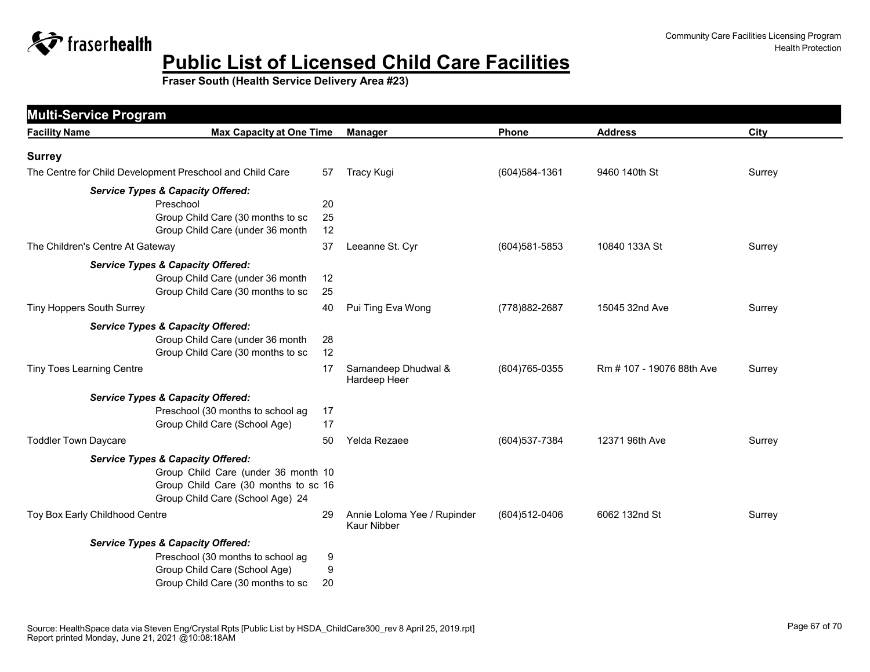

| <b>Facility Name</b>                                      | <b>Max Capacity at One Time</b>              | <b>Manager</b>                                    | Phone          | <b>Address</b>            | City   |
|-----------------------------------------------------------|----------------------------------------------|---------------------------------------------------|----------------|---------------------------|--------|
|                                                           |                                              |                                                   |                |                           |        |
| <b>Surrey</b>                                             |                                              |                                                   |                |                           |        |
| The Centre for Child Development Preschool and Child Care | 57                                           | <b>Tracy Kugi</b>                                 | (604) 584-1361 | 9460 140th St             | Surrey |
|                                                           | <b>Service Types &amp; Capacity Offered:</b> |                                                   |                |                           |        |
|                                                           | Preschool<br>20                              |                                                   |                |                           |        |
|                                                           | Group Child Care (30 months to sc<br>25      |                                                   |                |                           |        |
|                                                           | Group Child Care (under 36 month<br>12       |                                                   |                |                           |        |
| The Children's Centre At Gateway                          | 37                                           | Leeanne St. Cyr                                   | (604) 581-5853 | 10840 133A St             | Surrey |
|                                                           | <b>Service Types &amp; Capacity Offered:</b> |                                                   |                |                           |        |
|                                                           | Group Child Care (under 36 month<br>12       |                                                   |                |                           |        |
|                                                           | Group Child Care (30 months to sc<br>25      |                                                   |                |                           |        |
| <b>Tiny Hoppers South Surrey</b>                          | 40                                           | Pui Ting Eva Wong                                 | (778) 882-2687 | 15045 32nd Ave            | Surrey |
|                                                           | <b>Service Types &amp; Capacity Offered:</b> |                                                   |                |                           |        |
|                                                           | Group Child Care (under 36 month<br>28       |                                                   |                |                           |        |
|                                                           | Group Child Care (30 months to sc<br>12      |                                                   |                |                           |        |
| <b>Tiny Toes Learning Centre</b>                          | 17                                           | Samandeep Dhudwal &<br>Hardeep Heer               | (604) 765-0355 | Rm # 107 - 19076 88th Ave | Surrey |
|                                                           | <b>Service Types &amp; Capacity Offered:</b> |                                                   |                |                           |        |
|                                                           | Preschool (30 months to school ag<br>17      |                                                   |                |                           |        |
|                                                           | Group Child Care (School Age)<br>17          |                                                   |                |                           |        |
| <b>Toddler Town Daycare</b>                               | 50                                           | Yelda Rezaee                                      | (604) 537-7384 | 12371 96th Ave            | Surrey |
|                                                           | <b>Service Types &amp; Capacity Offered:</b> |                                                   |                |                           |        |
|                                                           | Group Child Care (under 36 month 10          |                                                   |                |                           |        |
|                                                           | Group Child Care (30 months to sc 16         |                                                   |                |                           |        |
|                                                           | Group Child Care (School Age) 24             |                                                   |                |                           |        |
| Toy Box Early Childhood Centre                            | 29                                           | Annie Loloma Yee / Rupinder<br><b>Kaur Nibber</b> | (604)512-0406  | 6062 132nd St             | Surrey |
|                                                           | <b>Service Types &amp; Capacity Offered:</b> |                                                   |                |                           |        |
|                                                           | Preschool (30 months to school ag<br>9       |                                                   |                |                           |        |
|                                                           | Group Child Care (School Age)<br>9           |                                                   |                |                           |        |
|                                                           | Group Child Care (30 months to sc<br>20      |                                                   |                |                           |        |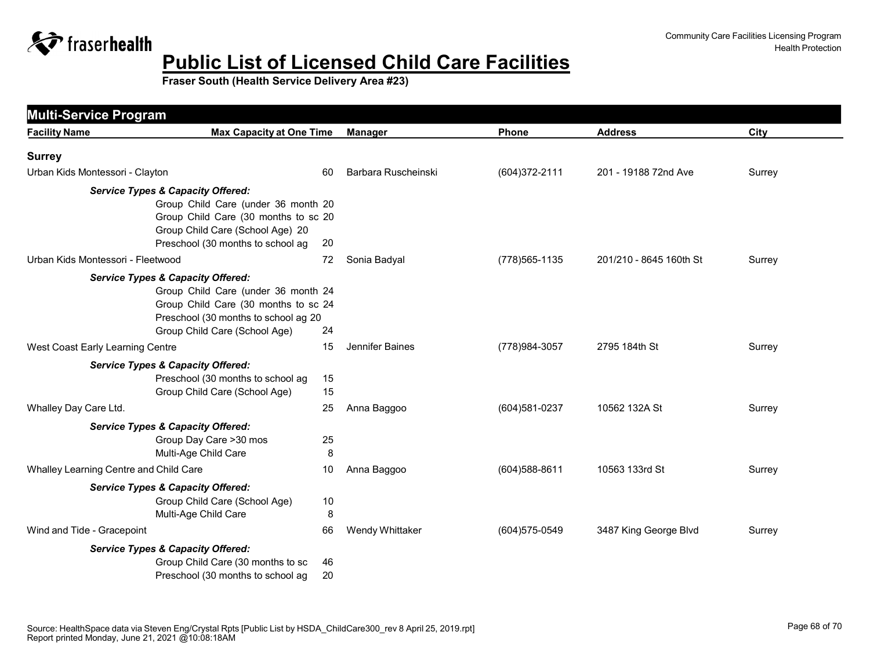

| <b>Facility Name</b>                         | <b>Max Capacity at One Time</b>                                                                                                                            | <b>Manager</b>      | Phone          | <b>Address</b>          | City   |
|----------------------------------------------|------------------------------------------------------------------------------------------------------------------------------------------------------------|---------------------|----------------|-------------------------|--------|
| <b>Surrey</b>                                |                                                                                                                                                            |                     |                |                         |        |
| Urban Kids Montessori - Clayton              | 60                                                                                                                                                         | Barbara Ruscheinski | (604) 372-2111 | 201 - 19188 72nd Ave    | Surrey |
| <b>Service Types &amp; Capacity Offered:</b> | Group Child Care (under 36 month 20<br>Group Child Care (30 months to sc 20<br>Group Child Care (School Age) 20<br>Preschool (30 months to school ag<br>20 |                     |                |                         |        |
| Urban Kids Montessori - Fleetwood            | 72                                                                                                                                                         | Sonia Badyal        | (778) 565-1135 | 201/210 - 8645 160th St | Surrey |
| <b>Service Types &amp; Capacity Offered:</b> | Group Child Care (under 36 month 24<br>Group Child Care (30 months to sc 24<br>Preschool (30 months to school ag 20<br>Group Child Care (School Age)<br>24 |                     |                |                         |        |
| West Coast Early Learning Centre             | 15                                                                                                                                                         | Jennifer Baines     | (778) 984-3057 | 2795 184th St           | Surrey |
| <b>Service Types &amp; Capacity Offered:</b> | Preschool (30 months to school ag<br>15<br>Group Child Care (School Age)<br>15                                                                             |                     |                |                         |        |
| Whalley Day Care Ltd.                        | 25                                                                                                                                                         | Anna Baggoo         | (604) 581-0237 | 10562 132A St           | Surrey |
| <b>Service Types &amp; Capacity Offered:</b> | Group Day Care > 30 mos<br>25<br>8<br>Multi-Age Child Care                                                                                                 |                     |                |                         |        |
| Whalley Learning Centre and Child Care       | 10                                                                                                                                                         | Anna Baggoo         | (604) 588-8611 | 10563 133rd St          | Surrey |
| <b>Service Types &amp; Capacity Offered:</b> | Group Child Care (School Age)<br>10<br>Multi-Age Child Care<br>8                                                                                           |                     |                |                         |        |
| Wind and Tide - Gracepoint                   | 66                                                                                                                                                         | Wendy Whittaker     | (604) 575-0549 | 3487 King George Blvd   | Surrey |
| <b>Service Types &amp; Capacity Offered:</b> | Group Child Care (30 months to sc<br>46<br>Preschool (30 months to school ag<br>20                                                                         |                     |                |                         |        |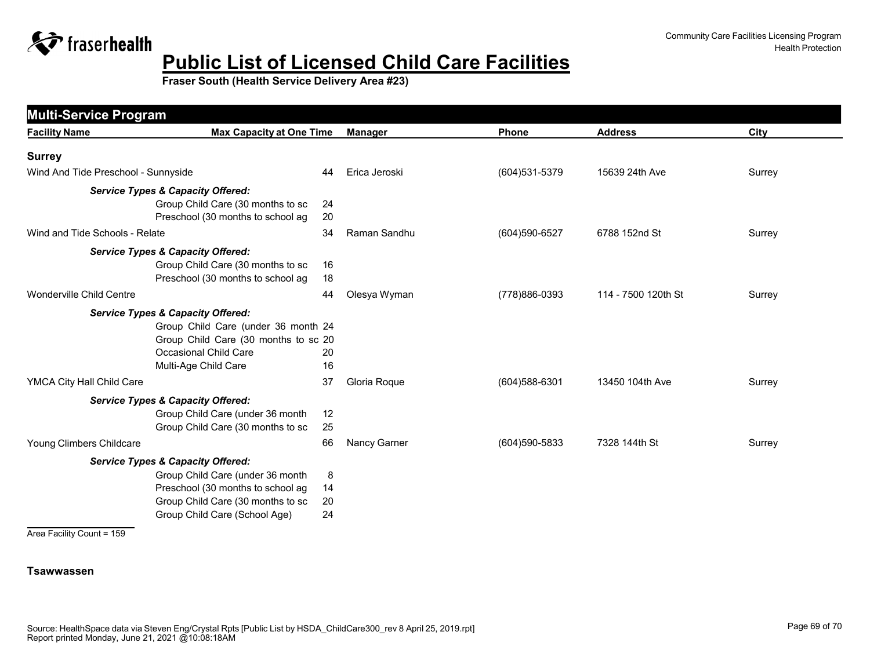

**Fraser South (Health Service Delivery Area #23)**

| <b>Facility Name</b>                         | <b>Max Capacity at One Time</b>                                                                                                                               | <b>Manager</b> | <b>Phone</b>      | <b>Address</b>      | City   |
|----------------------------------------------|---------------------------------------------------------------------------------------------------------------------------------------------------------------|----------------|-------------------|---------------------|--------|
| <b>Surrey</b>                                |                                                                                                                                                               |                |                   |                     |        |
| Wind And Tide Preschool - Sunnyside          | 44                                                                                                                                                            | Erica Jeroski  | (604) 531-5379    | 15639 24th Ave      | Surrey |
| <b>Service Types &amp; Capacity Offered:</b> | Group Child Care (30 months to sc<br>24<br>20<br>Preschool (30 months to school ag                                                                            |                |                   |                     |        |
| Wind and Tide Schools - Relate               | 34                                                                                                                                                            | Raman Sandhu   | (604)590-6527     | 6788 152nd St       | Surrey |
| <b>Service Types &amp; Capacity Offered:</b> | Group Child Care (30 months to sc<br>Preschool (30 months to school ag<br>18                                                                                  | 16             |                   |                     |        |
| <b>Wonderville Child Centre</b>              | 44                                                                                                                                                            | Olesya Wyman   | (778)886-0393     | 114 - 7500 120th St | Surrey |
| <b>Service Types &amp; Capacity Offered:</b> | Group Child Care (under 36 month 24<br>Group Child Care (30 months to sc 20<br>Occasional Child Care<br>20<br>16<br>Multi-Age Child Care                      |                |                   |                     |        |
| YMCA City Hall Child Care                    | 37                                                                                                                                                            | Gloria Roque   | $(604)588 - 6301$ | 13450 104th Ave     | Surrey |
| <b>Service Types &amp; Capacity Offered:</b> | Group Child Care (under 36 month<br>12<br>25<br>Group Child Care (30 months to sc                                                                             |                |                   |                     |        |
| Young Climbers Childcare                     | 66                                                                                                                                                            | Nancy Garner   | $(604)590 - 5833$ | 7328 144th St       | Surrey |
| <b>Service Types &amp; Capacity Offered:</b> | Group Child Care (under 36 month<br>Preschool (30 months to school ag<br>14<br>Group Child Care (30 months to sc<br>20<br>24<br>Group Child Care (School Age) | 8              |                   |                     |        |

Area Facility Count = 159

#### **Tsawwassen**